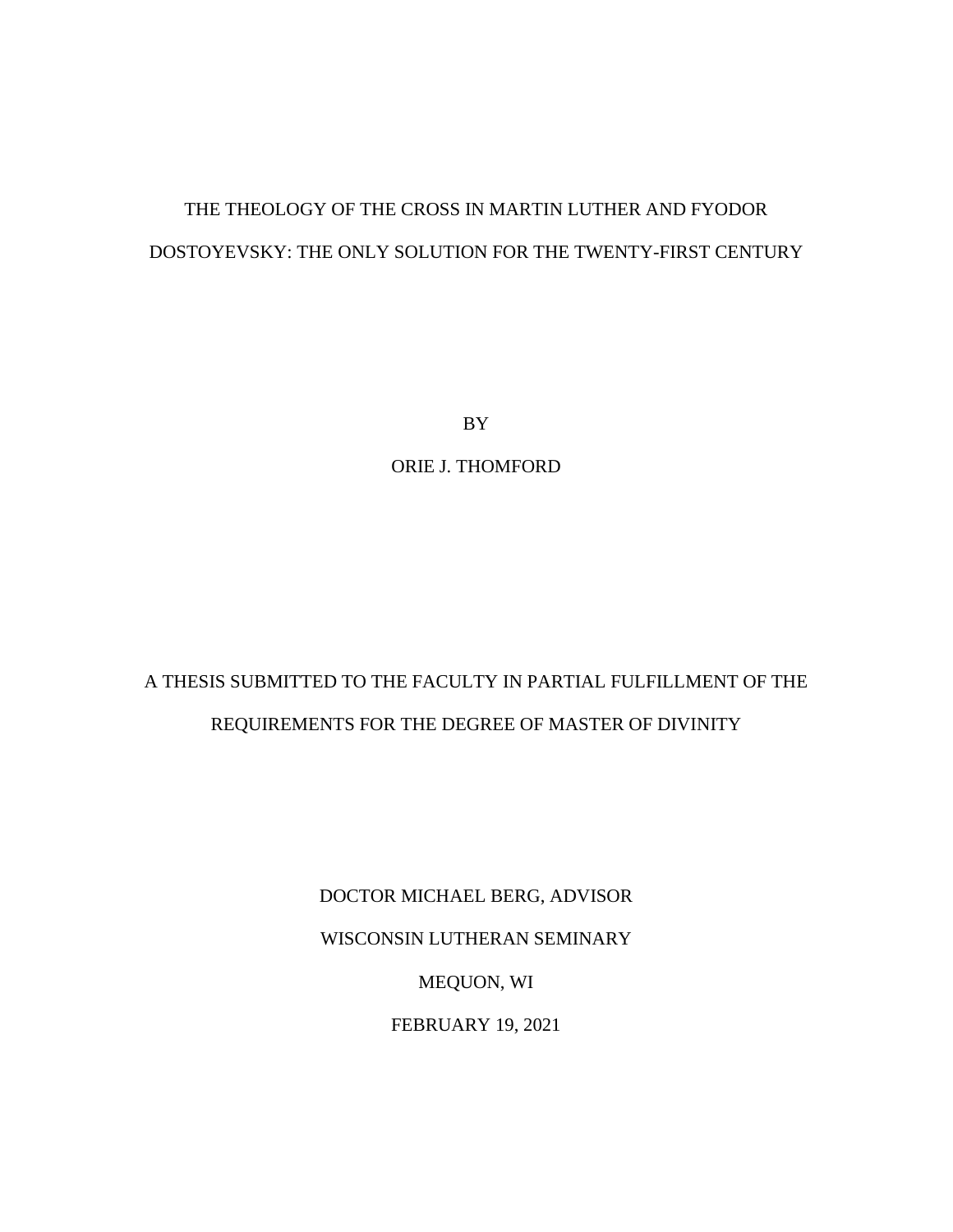# THE THEOLOGY OF THE CROSS IN MARTIN LUTHER AND FYODOR DOSTOYEVSKY: THE ONLY SOLUTION FOR THE TWENTY-FIRST CENTURY

BY

ORIE J. THOMFORD

# A THESIS SUBMITTED TO THE FACULTY IN PARTIAL FULFILLMENT OF THE REQUIREMENTS FOR THE DEGREE OF MASTER OF DIVINITY

DOCTOR MICHAEL BERG, ADVISOR WISCONSIN LUTHERAN SEMINARY

MEQUON, WI

FEBRUARY 19, 2021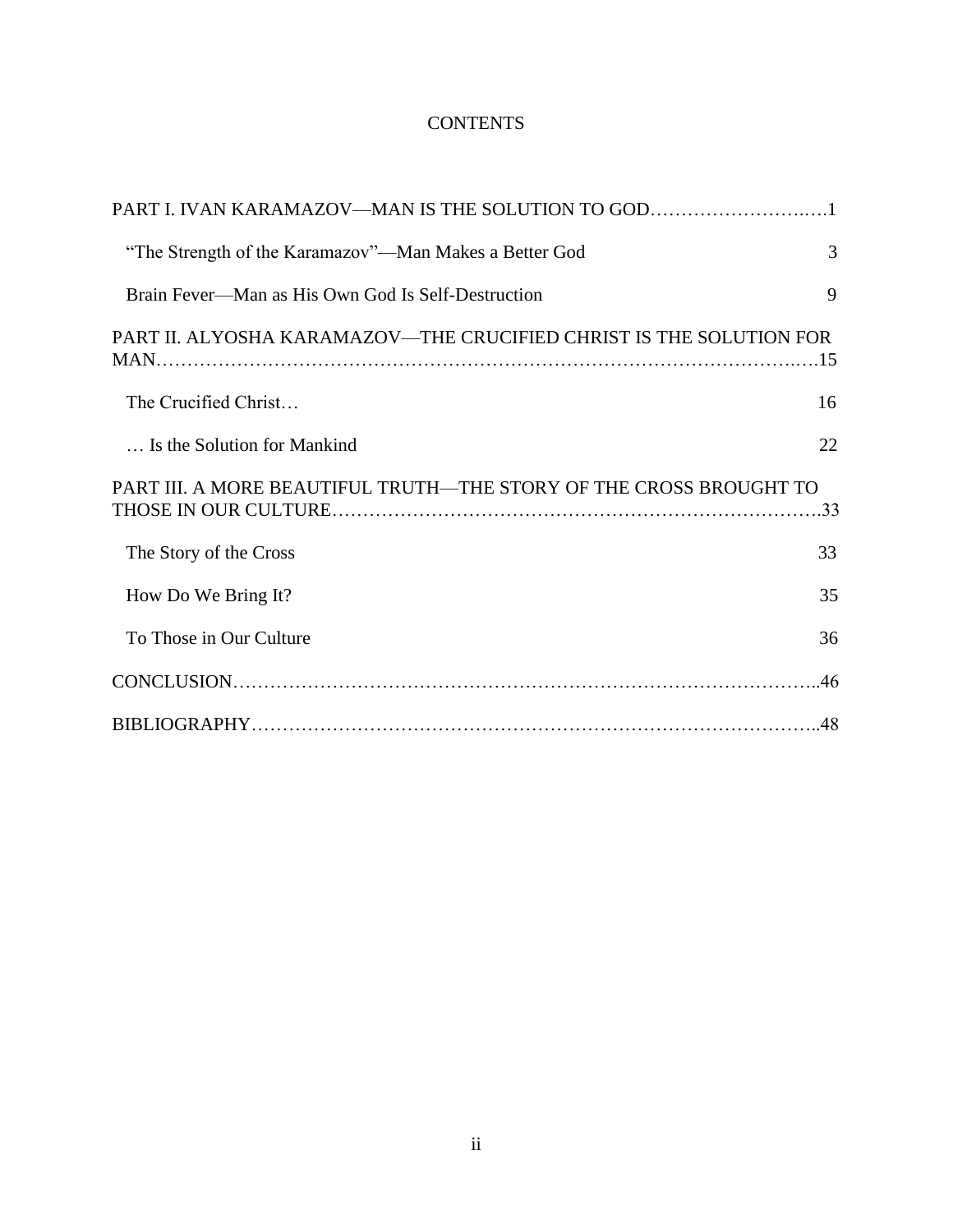# **CONTENTS**

| PART I. IVAN KARAMAZOV—MAN IS THE SOLUTION TO GOD1                  |    |
|---------------------------------------------------------------------|----|
| "The Strength of the Karamazov"—Man Makes a Better God              | 3  |
| Brain Fever—Man as His Own God Is Self-Destruction                  | 9  |
| PART II. ALYOSHA KARAMAZOV—THE CRUCIFIED CHRIST IS THE SOLUTION FOR |    |
| The Crucified Christ                                                | 16 |
| Is the Solution for Mankind                                         | 22 |
| PART III. A MORE BEAUTIFUL TRUTH—THE STORY OF THE CROSS BROUGHT TO  |    |
| The Story of the Cross                                              | 33 |
| How Do We Bring It?                                                 | 35 |
| To Those in Our Culture                                             | 36 |
|                                                                     |    |
|                                                                     |    |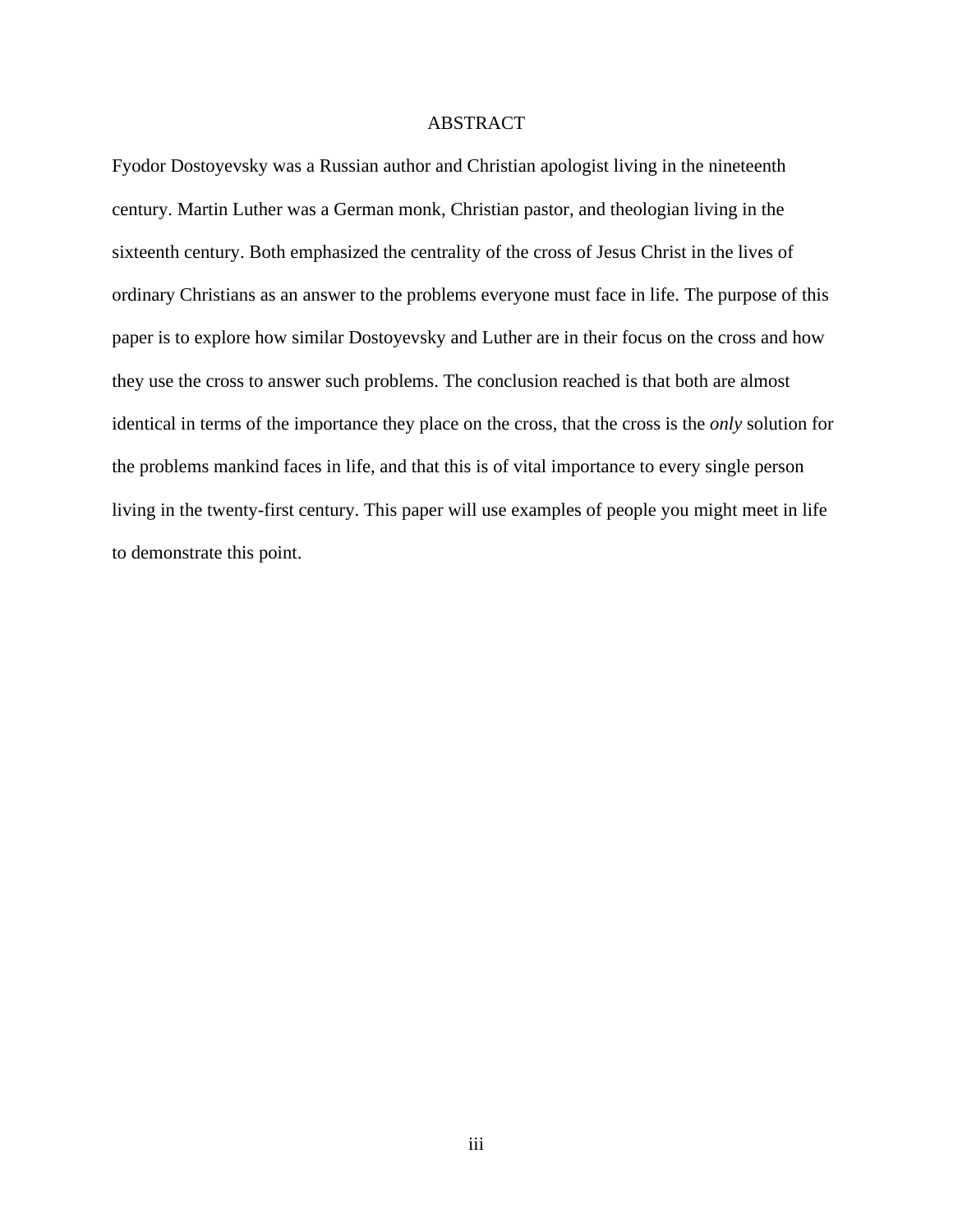## ABSTRACT

Fyodor Dostoyevsky was a Russian author and Christian apologist living in the nineteenth century. Martin Luther was a German monk, Christian pastor, and theologian living in the sixteenth century. Both emphasized the centrality of the cross of Jesus Christ in the lives of ordinary Christians as an answer to the problems everyone must face in life. The purpose of this paper is to explore how similar Dostoyevsky and Luther are in their focus on the cross and how they use the cross to answer such problems. The conclusion reached is that both are almost identical in terms of the importance they place on the cross, that the cross is the *only* solution for the problems mankind faces in life, and that this is of vital importance to every single person living in the twenty-first century. This paper will use examples of people you might meet in life to demonstrate this point.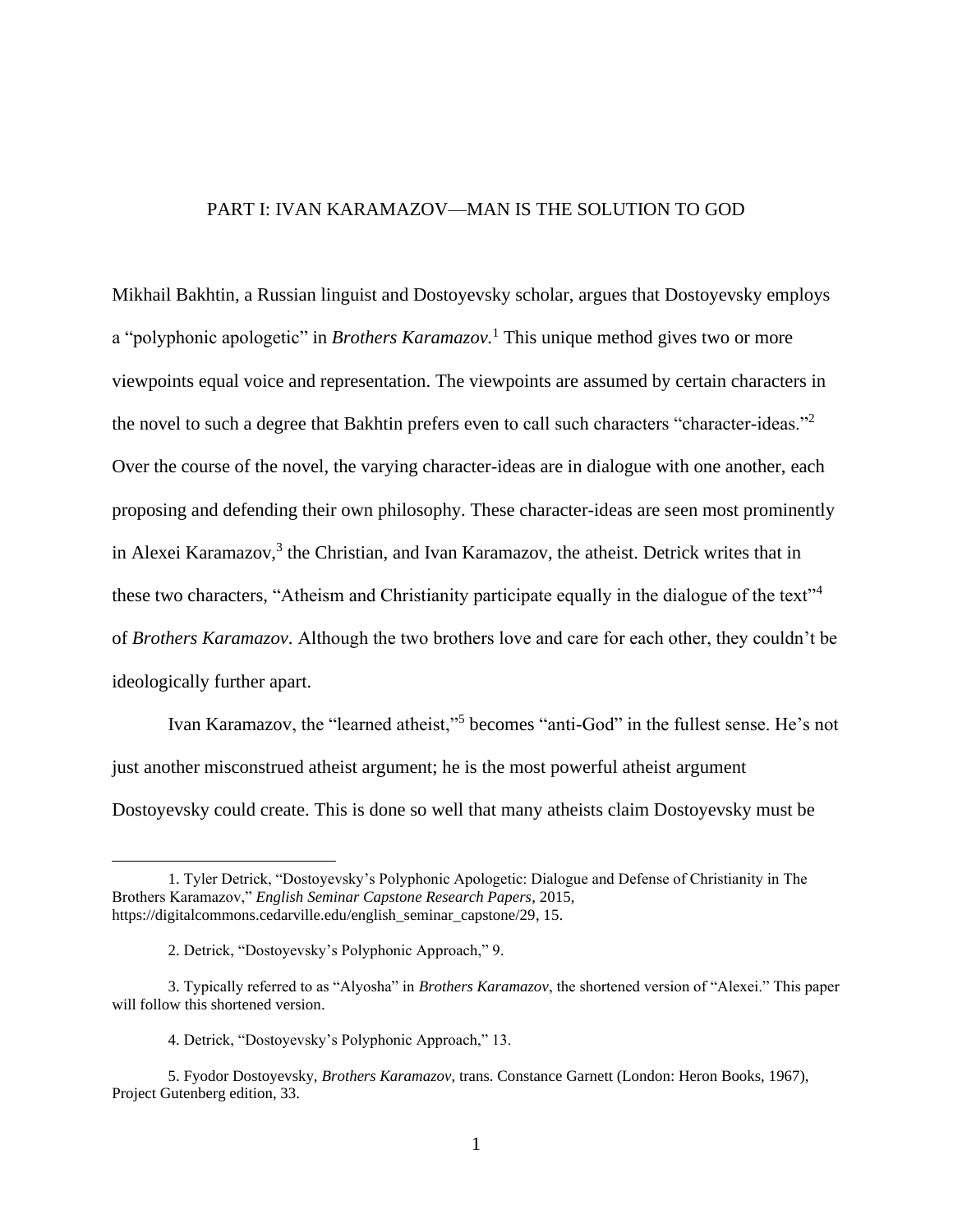## PART I: IVAN KARAMAZOV—MAN IS THE SOLUTION TO GOD

Mikhail Bakhtin, a Russian linguist and Dostoyevsky scholar, argues that Dostoyevsky employs a "polyphonic apologetic" in *Brothers Karamazov.* <sup>1</sup> This unique method gives two or more viewpoints equal voice and representation. The viewpoints are assumed by certain characters in the novel to such a degree that Bakhtin prefers even to call such characters "character-ideas."<sup>2</sup> Over the course of the novel, the varying character-ideas are in dialogue with one another, each proposing and defending their own philosophy. These character-ideas are seen most prominently in Alexei Karamazov, 3 the Christian, and Ivan Karamazov, the atheist. Detrick writes that in these two characters, "Atheism and Christianity participate equally in the dialogue of the text"<sup>4</sup> of *Brothers Karamazov*. Although the two brothers love and care for each other, they couldn't be ideologically further apart.

Ivan Karamazov, the "learned atheist,"<sup>5</sup> becomes "anti-God" in the fullest sense. He's not just another misconstrued atheist argument; he is the most powerful atheist argument Dostoyevsky could create. This is done so well that many atheists claim Dostoyevsky must be

<sup>1.</sup> Tyler Detrick, "Dostoyevsky's Polyphonic Apologetic: Dialogue and Defense of Christianity in The Brothers Karamazov," *English Seminar Capstone Research Papers*, 2015, https://digitalcommons.cedarville.edu/english\_seminar\_capstone/29, 15.

<sup>2.</sup> Detrick, "Dostoyevsky's Polyphonic Approach," 9.

<sup>3.</sup> Typically referred to as "Alyosha" in *Brothers Karamazov*, the shortened version of "Alexei." This paper will follow this shortened version.

<sup>4.</sup> Detrick, "Dostoyevsky's Polyphonic Approach," 13.

<sup>5.</sup> Fyodor Dostoyevsky, *Brothers Karamazov*, trans. Constance Garnett (London: Heron Books, 1967), Project Gutenberg edition, 33.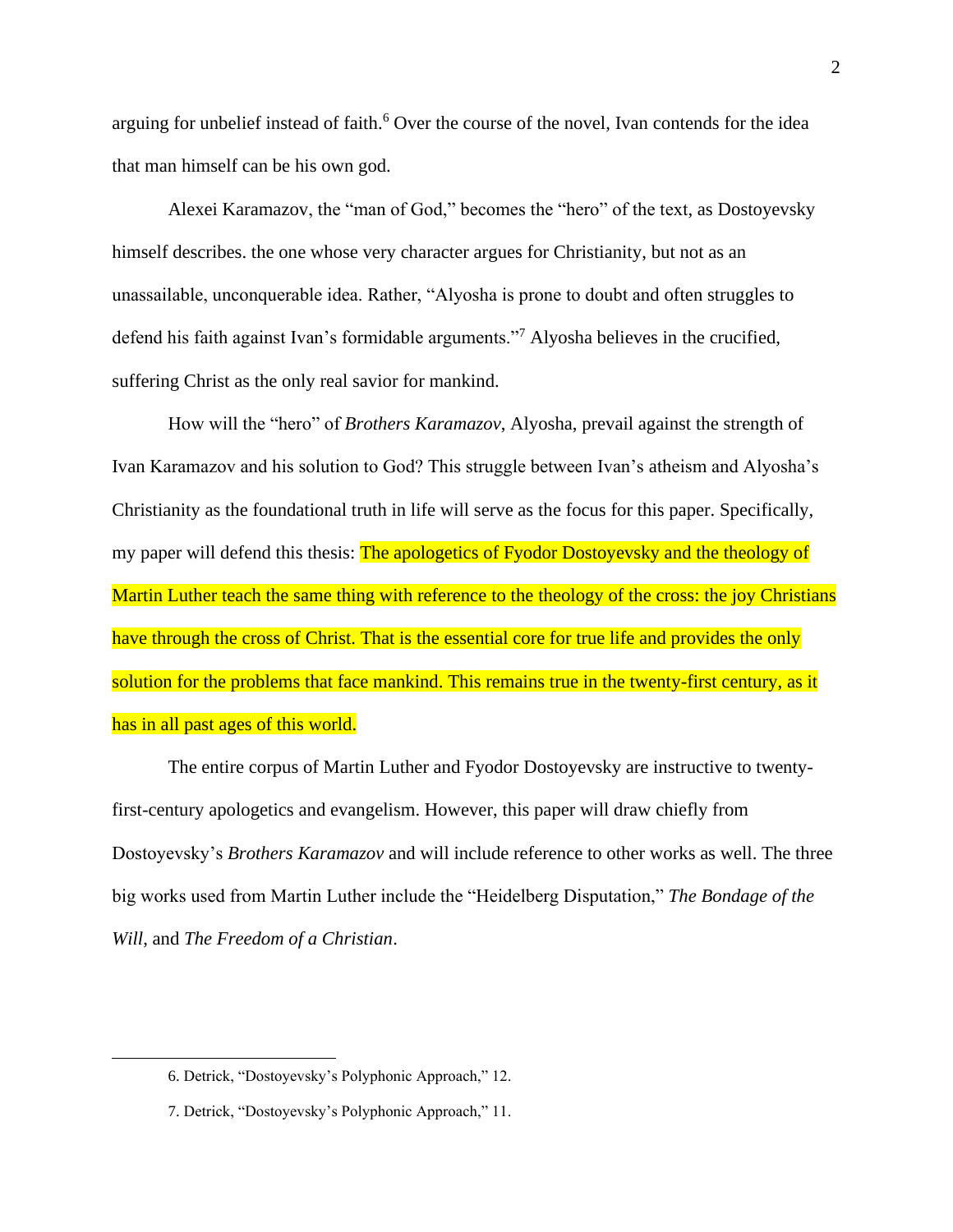arguing for unbelief instead of faith. <sup>6</sup> Over the course of the novel, Ivan contends for the idea that man himself can be his own god.

Alexei Karamazov, the "man of God," becomes the "hero" of the text, as Dostoyevsky himself describes. the one whose very character argues for Christianity, but not as an unassailable, unconquerable idea. Rather, "Alyosha is prone to doubt and often struggles to defend his faith against Ivan's formidable arguments."<sup>7</sup> Alyosha believes in the crucified, suffering Christ as the only real savior for mankind.

How will the "hero" of *Brothers Karamazov*, Alyosha, prevail against the strength of Ivan Karamazov and his solution to God? This struggle between Ivan's atheism and Alyosha's Christianity as the foundational truth in life will serve as the focus for this paper. Specifically, my paper will defend this thesis: The apologetics of Fyodor Dostoyevsky and the theology of Martin Luther teach the same thing with reference to the theology of the cross: the joy Christians have through the cross of Christ. That is the essential core for true life and provides the only solution for the problems that face mankind. This remains true in the twenty-first century, as it has in all past ages of this world.

The entire corpus of Martin Luther and Fyodor Dostoyevsky are instructive to twentyfirst-century apologetics and evangelism. However, this paper will draw chiefly from Dostoyevsky's *Brothers Karamazov* and will include reference to other works as well. The three big works used from Martin Luther include the "Heidelberg Disputation," *The Bondage of the Will*, and *The Freedom of a Christian*.

<sup>6.</sup> Detrick, "Dostoyevsky's Polyphonic Approach," 12.

<sup>7.</sup> Detrick, "Dostoyevsky's Polyphonic Approach," 11.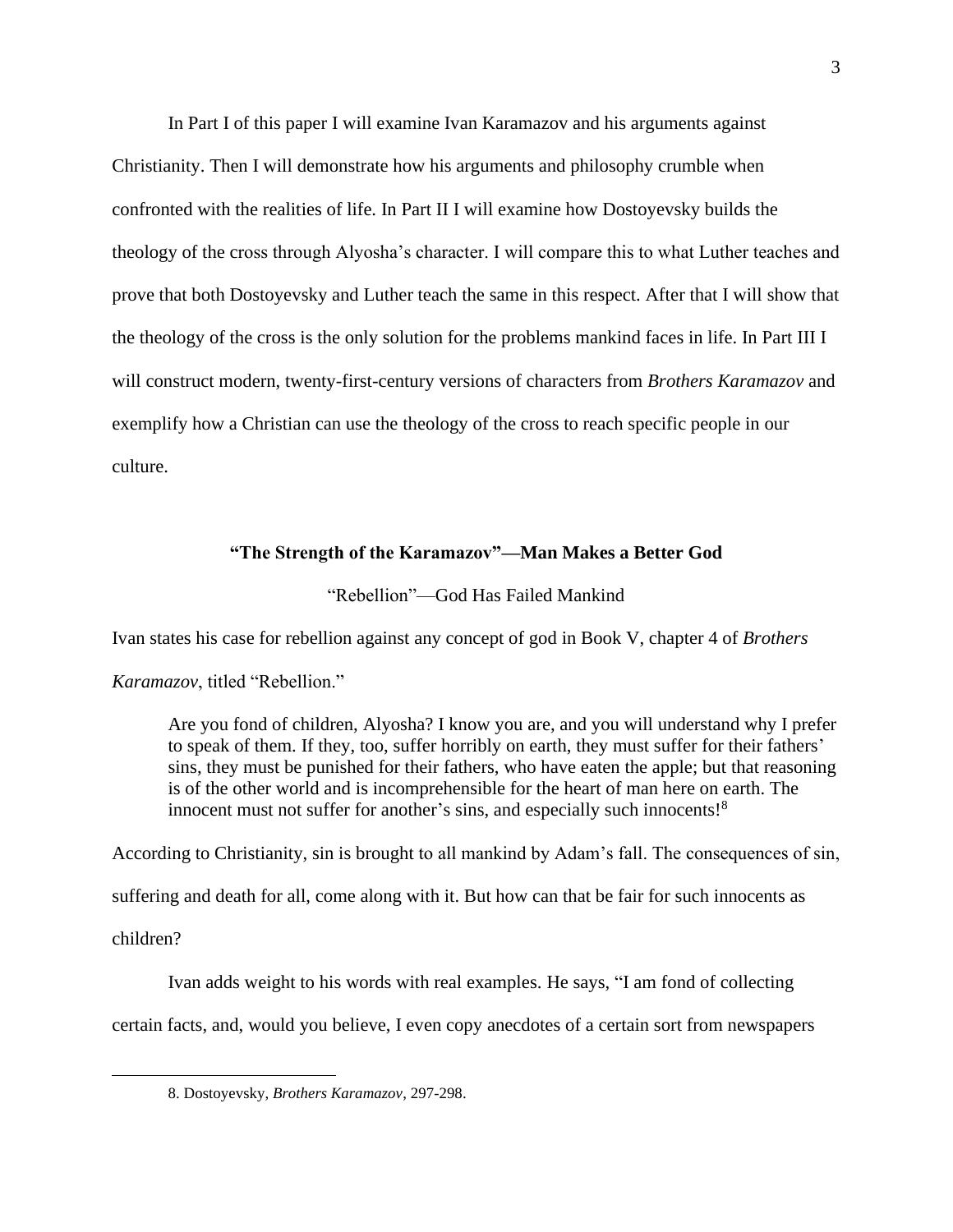In Part I of this paper I will examine Ivan Karamazov and his arguments against Christianity. Then I will demonstrate how his arguments and philosophy crumble when confronted with the realities of life. In Part II I will examine how Dostoyevsky builds the theology of the cross through Alyosha's character. I will compare this to what Luther teaches and prove that both Dostoyevsky and Luther teach the same in this respect. After that I will show that the theology of the cross is the only solution for the problems mankind faces in life. In Part III I will construct modern, twenty-first-century versions of characters from *Brothers Karamazov* and exemplify how a Christian can use the theology of the cross to reach specific people in our culture.

#### **"The Strength of the Karamazov"—Man Makes a Better God**

"Rebellion"—God Has Failed Mankind

Ivan states his case for rebellion against any concept of god in Book V, chapter 4 of *Brothers* 

*Karamazov*, titled "Rebellion."

Are you fond of children, Alyosha? I know you are, and you will understand why I prefer to speak of them. If they, too, suffer horribly on earth, they must suffer for their fathers' sins, they must be punished for their fathers, who have eaten the apple; but that reasoning is of the other world and is incomprehensible for the heart of man here on earth. The innocent must not suffer for another's sins, and especially such innocents!<sup>8</sup>

According to Christianity, sin is brought to all mankind by Adam's fall. The consequences of sin, suffering and death for all, come along with it. But how can that be fair for such innocents as children?

Ivan adds weight to his words with real examples. He says, "I am fond of collecting certain facts, and, would you believe, I even copy anecdotes of a certain sort from newspapers

<sup>8.</sup> Dostoyevsky, *Brothers Karamazov*, 297-298.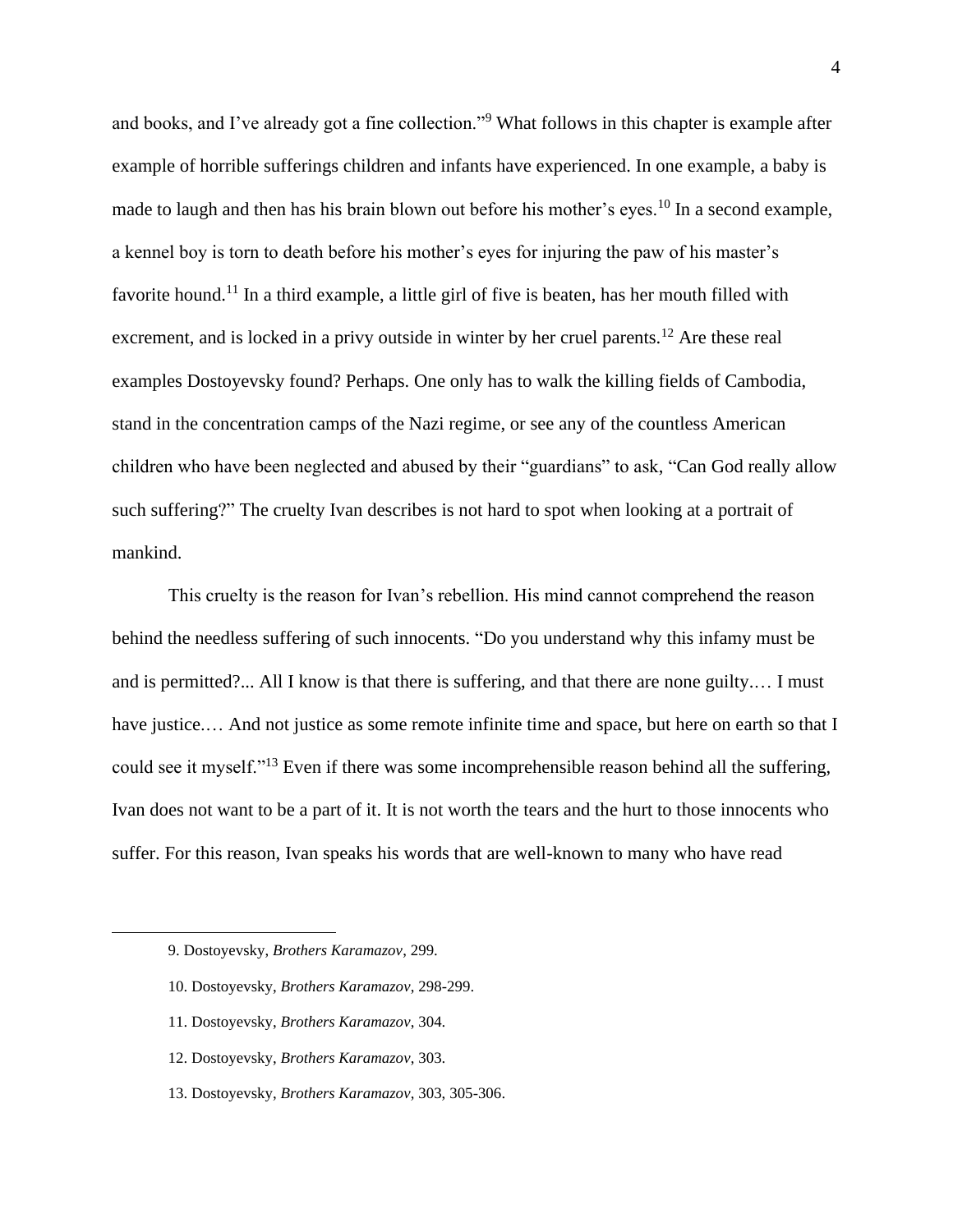and books, and I've already got a fine collection."<sup>9</sup> What follows in this chapter is example after example of horrible sufferings children and infants have experienced. In one example, a baby is made to laugh and then has his brain blown out before his mother's eyes.<sup>10</sup> In a second example, a kennel boy is torn to death before his mother's eyes for injuring the paw of his master's favorite hound.<sup>11</sup> In a third example, a little girl of five is beaten, has her mouth filled with excrement, and is locked in a privy outside in winter by her cruel parents.<sup>12</sup> Are these real examples Dostoyevsky found? Perhaps. One only has to walk the killing fields of Cambodia, stand in the concentration camps of the Nazi regime, or see any of the countless American children who have been neglected and abused by their "guardians" to ask, "Can God really allow such suffering?" The cruelty Ivan describes is not hard to spot when looking at a portrait of mankind.

This cruelty is the reason for Ivan's rebellion. His mind cannot comprehend the reason behind the needless suffering of such innocents. "Do you understand why this infamy must be and is permitted?... All I know is that there is suffering, and that there are none guilty.… I must have justice.... And not justice as some remote infinite time and space, but here on earth so that I could see it myself."<sup>13</sup> Even if there was some incomprehensible reason behind all the suffering, Ivan does not want to be a part of it. It is not worth the tears and the hurt to those innocents who suffer. For this reason, Ivan speaks his words that are well-known to many who have read

- 10. Dostoyevsky, *Brothers Karamazov*, 298-299.
- 11. Dostoyevsky, *Brothers Karamazov*, 304.
- 12. Dostoyevsky, *Brothers Karamazov*, 303.
- 13. Dostoyevsky, *Brothers Karamazov*, 303, 305-306.

<sup>9.</sup> Dostoyevsky, *Brothers Karamazov*, 299.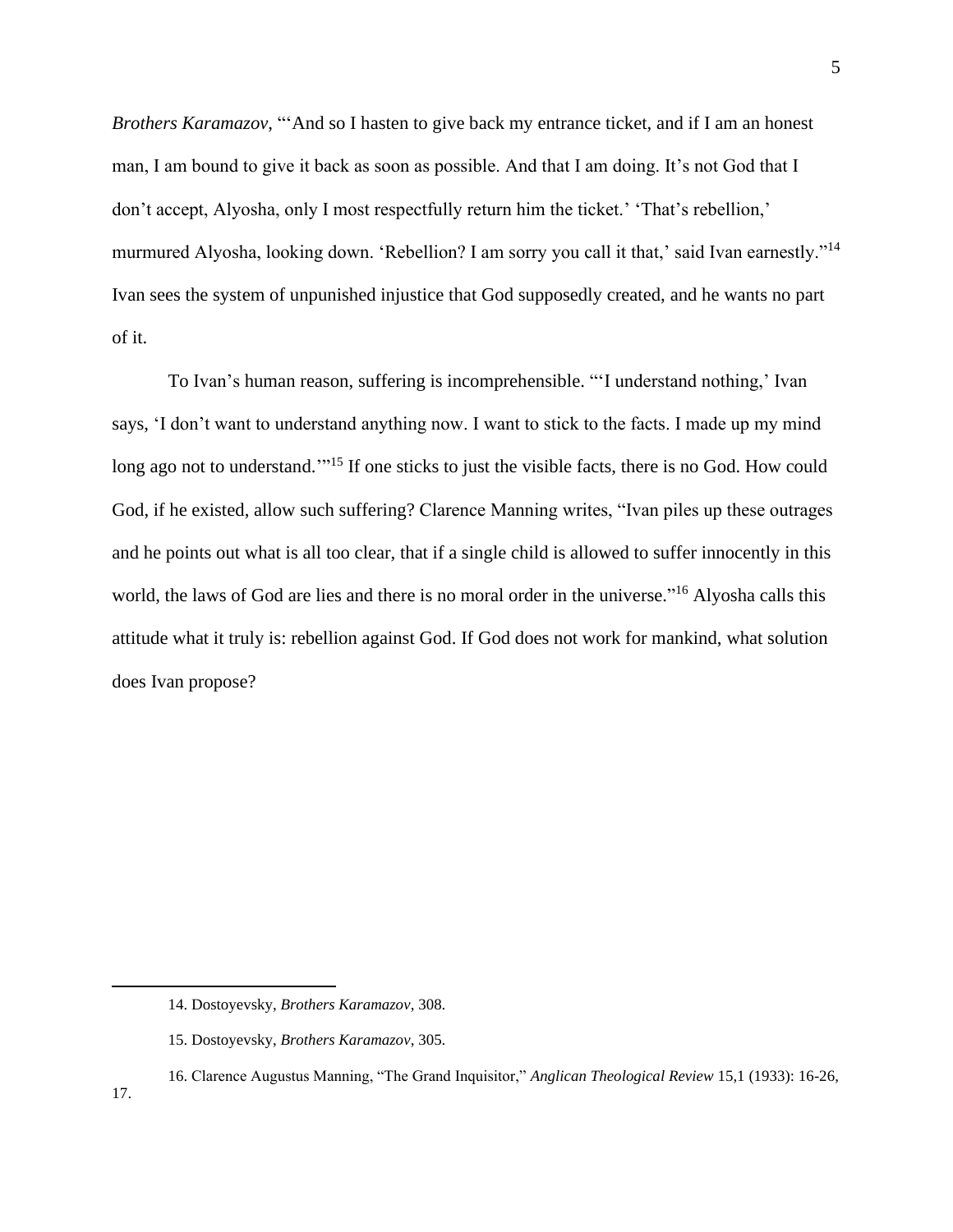*Brothers Karamazov*, "'And so I hasten to give back my entrance ticket, and if I am an honest man, I am bound to give it back as soon as possible. And that I am doing. It's not God that I don't accept, Alyosha, only I most respectfully return him the ticket.' 'That's rebellion,' murmured Alyosha, looking down. 'Rebellion? I am sorry you call it that,' said Ivan earnestly."<sup>14</sup> Ivan sees the system of unpunished injustice that God supposedly created, and he wants no part of it.

To Ivan's human reason, suffering is incomprehensible. "'I understand nothing,' Ivan says, 'I don't want to understand anything now. I want to stick to the facts. I made up my mind long ago not to understand.<sup>'"<sup>15</sup> If one sticks to just the visible facts, there is no God. How could</sup> God, if he existed, allow such suffering? Clarence Manning writes, "Ivan piles up these outrages and he points out what is all too clear, that if a single child is allowed to suffer innocently in this world, the laws of God are lies and there is no moral order in the universe."<sup>16</sup> Alyosha calls this attitude what it truly is: rebellion against God. If God does not work for mankind, what solution does Ivan propose?

<sup>14.</sup> Dostoyevsky, *Brothers Karamazov*, 308.

<sup>15.</sup> Dostoyevsky, *Brothers Karamazov*, 305.

<sup>16.</sup> Clarence Augustus Manning, "The Grand Inquisitor," *Anglican Theological Review* 15,1 (1933): 16-26,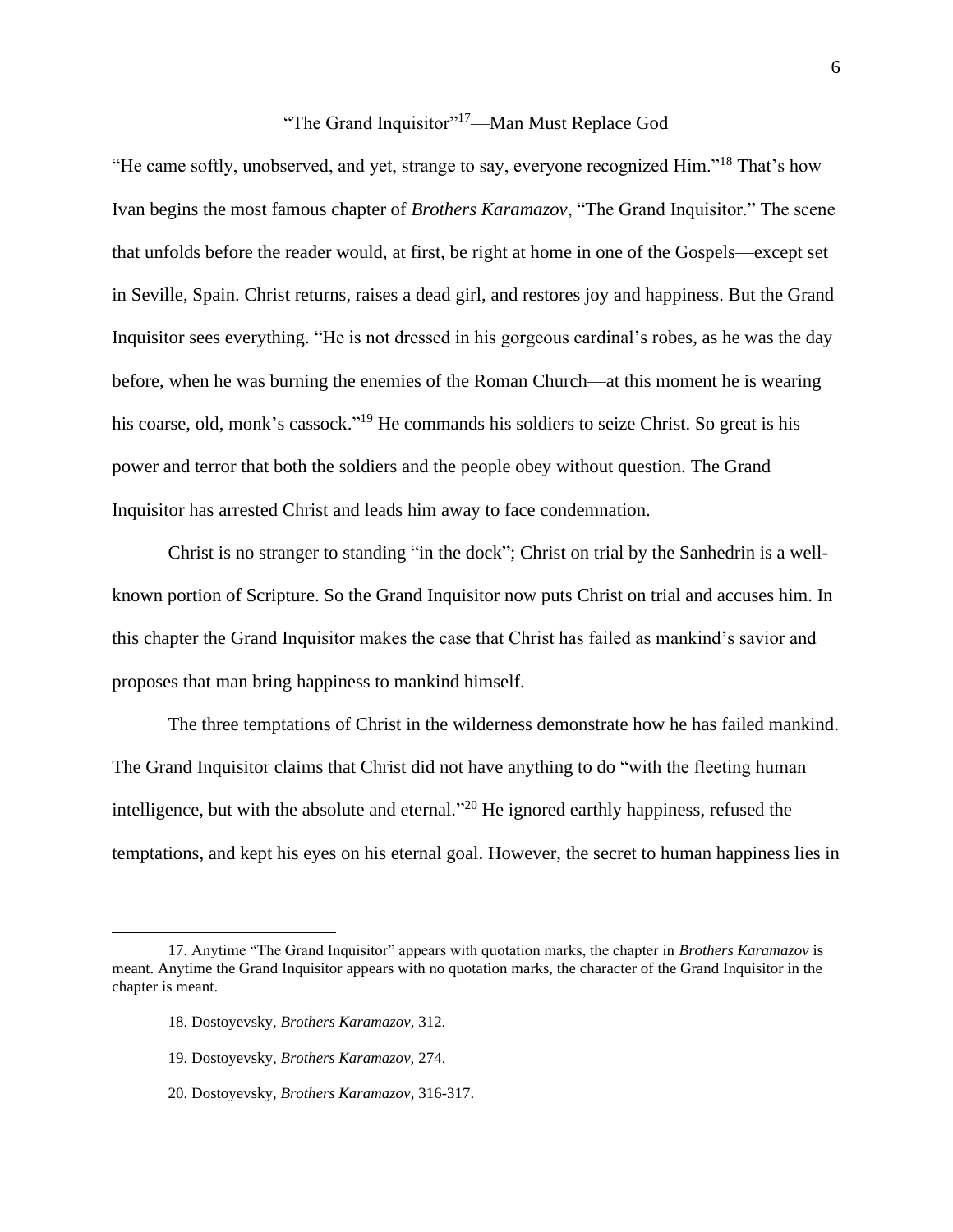## "The Grand Inquisitor"<sup>17</sup>—Man Must Replace God

"He came softly, unobserved, and yet, strange to say, everyone recognized Him."<sup>18</sup> That's how Ivan begins the most famous chapter of *Brothers Karamazov*, "The Grand Inquisitor." The scene that unfolds before the reader would, at first, be right at home in one of the Gospels—except set in Seville, Spain. Christ returns, raises a dead girl, and restores joy and happiness. But the Grand Inquisitor sees everything. "He is not dressed in his gorgeous cardinal's robes, as he was the day before, when he was burning the enemies of the Roman Church—at this moment he is wearing his coarse, old, monk's cassock."<sup>19</sup> He commands his soldiers to seize Christ. So great is his power and terror that both the soldiers and the people obey without question. The Grand Inquisitor has arrested Christ and leads him away to face condemnation.

Christ is no stranger to standing "in the dock"; Christ on trial by the Sanhedrin is a wellknown portion of Scripture. So the Grand Inquisitor now puts Christ on trial and accuses him. In this chapter the Grand Inquisitor makes the case that Christ has failed as mankind's savior and proposes that man bring happiness to mankind himself.

The three temptations of Christ in the wilderness demonstrate how he has failed mankind. The Grand Inquisitor claims that Christ did not have anything to do "with the fleeting human intelligence, but with the absolute and eternal."<sup>20</sup> He ignored earthly happiness, refused the temptations, and kept his eyes on his eternal goal. However, the secret to human happiness lies in

18. Dostoyevsky, *Brothers Karamazov*, 312.

20. Dostoyevsky, *Brothers Karamazov*, 316-317.

<sup>17.</sup> Anytime "The Grand Inquisitor" appears with quotation marks, the chapter in *Brothers Karamazov* is meant. Anytime the Grand Inquisitor appears with no quotation marks, the character of the Grand Inquisitor in the chapter is meant.

<sup>19.</sup> Dostoyevsky, *Brothers Karamazov,* 274.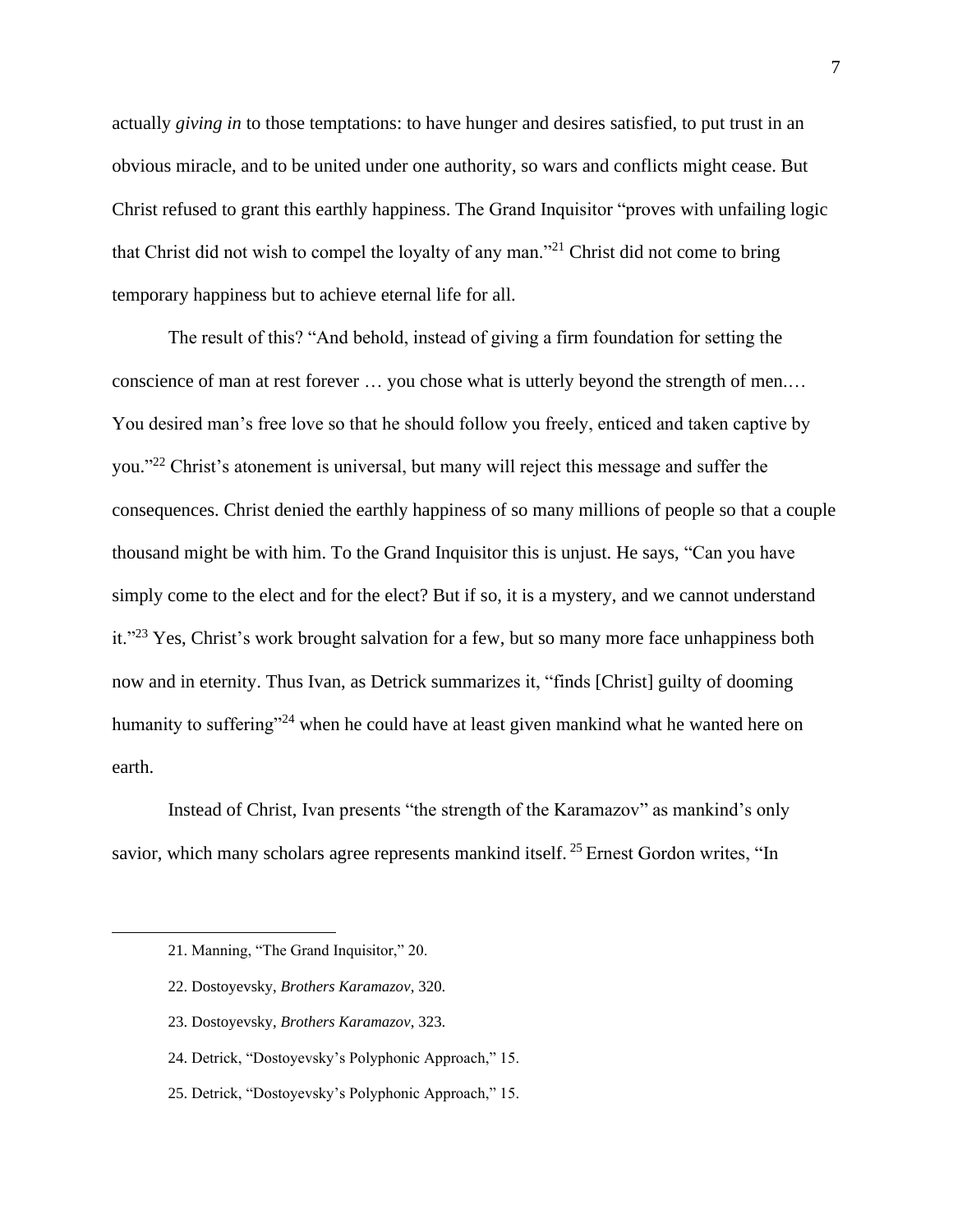actually *giving in* to those temptations: to have hunger and desires satisfied, to put trust in an obvious miracle, and to be united under one authority, so wars and conflicts might cease. But Christ refused to grant this earthly happiness. The Grand Inquisitor "proves with unfailing logic that Christ did not wish to compel the loyalty of any man."<sup>21</sup> Christ did not come to bring temporary happiness but to achieve eternal life for all.

The result of this? "And behold, instead of giving a firm foundation for setting the conscience of man at rest forever … you chose what is utterly beyond the strength of men.… You desired man's free love so that he should follow you freely, enticed and taken captive by you."<sup>22</sup> Christ's atonement is universal, but many will reject this message and suffer the consequences. Christ denied the earthly happiness of so many millions of people so that a couple thousand might be with him. To the Grand Inquisitor this is unjust. He says, "Can you have simply come to the elect and for the elect? But if so, it is a mystery, and we cannot understand it."<sup>23</sup> Yes, Christ's work brought salvation for a few, but so many more face unhappiness both now and in eternity. Thus Ivan, as Detrick summarizes it, "finds [Christ] guilty of dooming humanity to suffering<sup>"24</sup> when he could have at least given mankind what he wanted here on earth.

Instead of Christ, Ivan presents "the strength of the Karamazov" as mankind's only savior, which many scholars agree represents mankind itself.<sup>25</sup> Ernest Gordon writes, "In

- 22. Dostoyevsky, *Brothers Karamazov*, 320.
- 23. Dostoyevsky, *Brothers Karamazov*, 323.
- 24. Detrick, "Dostoyevsky's Polyphonic Approach," 15.
- 25. Detrick, "Dostoyevsky's Polyphonic Approach," 15.

<sup>21.</sup> Manning, "The Grand Inquisitor," 20.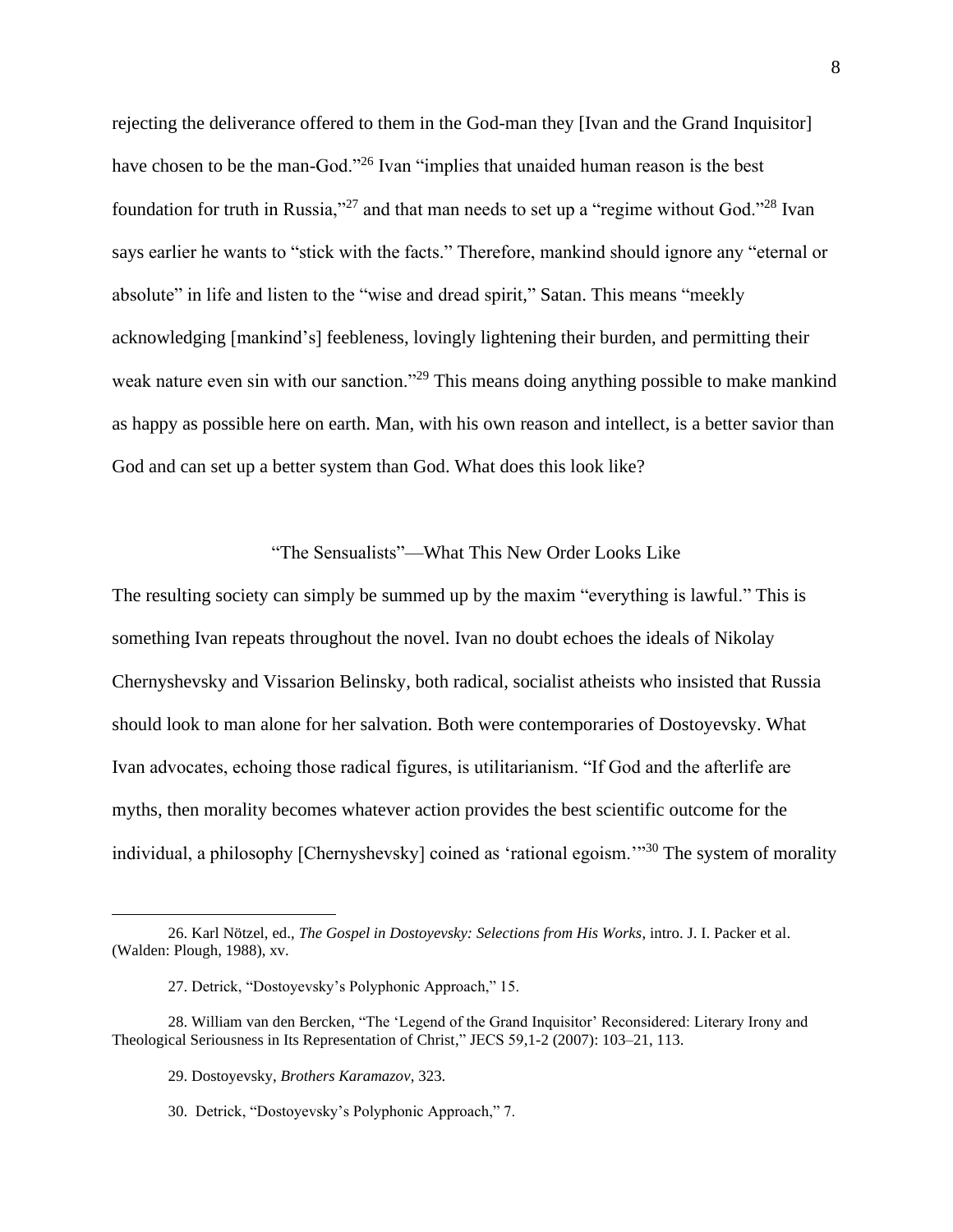rejecting the deliverance offered to them in the God-man they [Ivan and the Grand Inquisitor] have chosen to be the man-God."<sup>26</sup> Ivan "implies that unaided human reason is the best foundation for truth in Russia,"<sup>27</sup> and that man needs to set up a "regime without God."<sup>28</sup> Ivan says earlier he wants to "stick with the facts." Therefore, mankind should ignore any "eternal or absolute" in life and listen to the "wise and dread spirit," Satan. This means "meekly acknowledging [mankind's] feebleness, lovingly lightening their burden, and permitting their weak nature even sin with our sanction."<sup>29</sup> This means doing anything possible to make mankind as happy as possible here on earth. Man, with his own reason and intellect, is a better savior than God and can set up a better system than God. What does this look like?

#### "The Sensualists"—What This New Order Looks Like

The resulting society can simply be summed up by the maxim "everything is lawful." This is something Ivan repeats throughout the novel. Ivan no doubt echoes the ideals of Nikolay Chernyshevsky and Vissarion Belinsky, both radical, socialist atheists who insisted that Russia should look to man alone for her salvation. Both were contemporaries of Dostoyevsky. What Ivan advocates, echoing those radical figures, is utilitarianism. "If God and the afterlife are myths, then morality becomes whatever action provides the best scientific outcome for the individual, a philosophy [Chernyshevsky] coined as 'rational egoism."<sup>30</sup> The system of morality

<sup>26.</sup> Karl Nötzel, ed., *The Gospel in Dostoyevsky: Selections from His Works*, intro. J. I. Packer et al. (Walden: Plough, 1988), xv.

<sup>27.</sup> Detrick, "Dostoyevsky's Polyphonic Approach," 15.

<sup>28.</sup> William van den Bercken, "The 'Legend of the Grand Inquisitor' Reconsidered: Literary Irony and Theological Seriousness in Its Representation of Christ," JECS 59,1-2 (2007): 103–21, 113.

<sup>29.</sup> Dostoyevsky, *Brothers Karamazov*, 323.

<sup>30.</sup> Detrick, "Dostoyevsky's Polyphonic Approach," 7.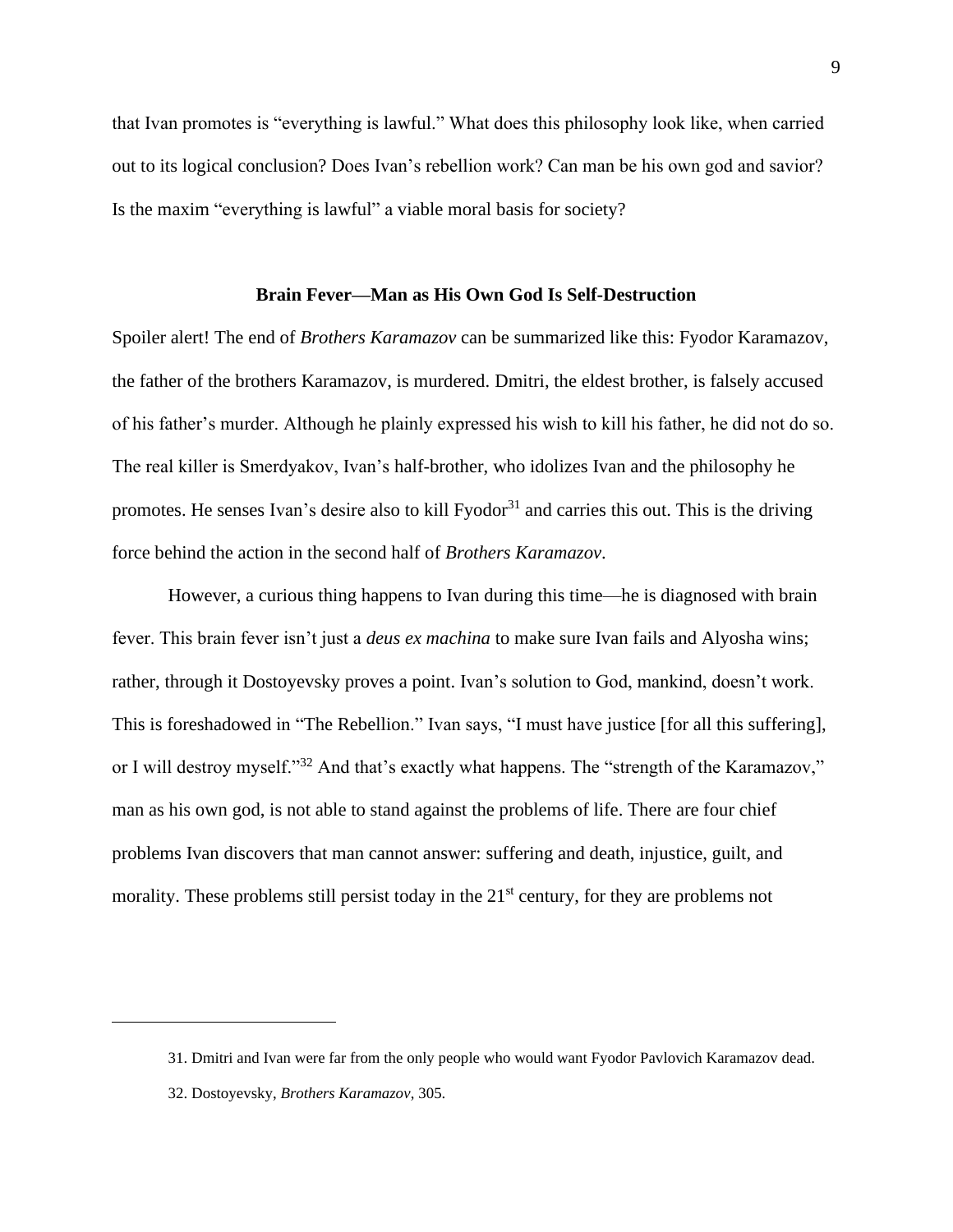that Ivan promotes is "everything is lawful." What does this philosophy look like, when carried out to its logical conclusion? Does Ivan's rebellion work? Can man be his own god and savior? Is the maxim "everything is lawful" a viable moral basis for society?

#### **Brain Fever—Man as His Own God Is Self-Destruction**

Spoiler alert! The end of *Brothers Karamazov* can be summarized like this: Fyodor Karamazov, the father of the brothers Karamazov, is murdered. Dmitri, the eldest brother, is falsely accused of his father's murder. Although he plainly expressed his wish to kill his father, he did not do so. The real killer is Smerdyakov, Ivan's half-brother, who idolizes Ivan and the philosophy he promotes. He senses Ivan's desire also to kill Fyodor<sup>31</sup> and carries this out. This is the driving force behind the action in the second half of *Brothers Karamazov*.

However, a curious thing happens to Ivan during this time—he is diagnosed with brain fever. This brain fever isn't just a *deus ex machina* to make sure Ivan fails and Alyosha wins; rather, through it Dostoyevsky proves a point. Ivan's solution to God, mankind, doesn't work. This is foreshadowed in "The Rebellion." Ivan says, "I must have justice [for all this suffering], or I will destroy myself."<sup>32</sup> And that's exactly what happens. The "strength of the Karamazov," man as his own god, is not able to stand against the problems of life. There are four chief problems Ivan discovers that man cannot answer: suffering and death, injustice, guilt, and morality. These problems still persist today in the  $21<sup>st</sup>$  century, for they are problems not

<sup>31.</sup> Dmitri and Ivan were far from the only people who would want Fyodor Pavlovich Karamazov dead.

<sup>32.</sup> Dostoyevsky, *Brothers Karamazov*, 305.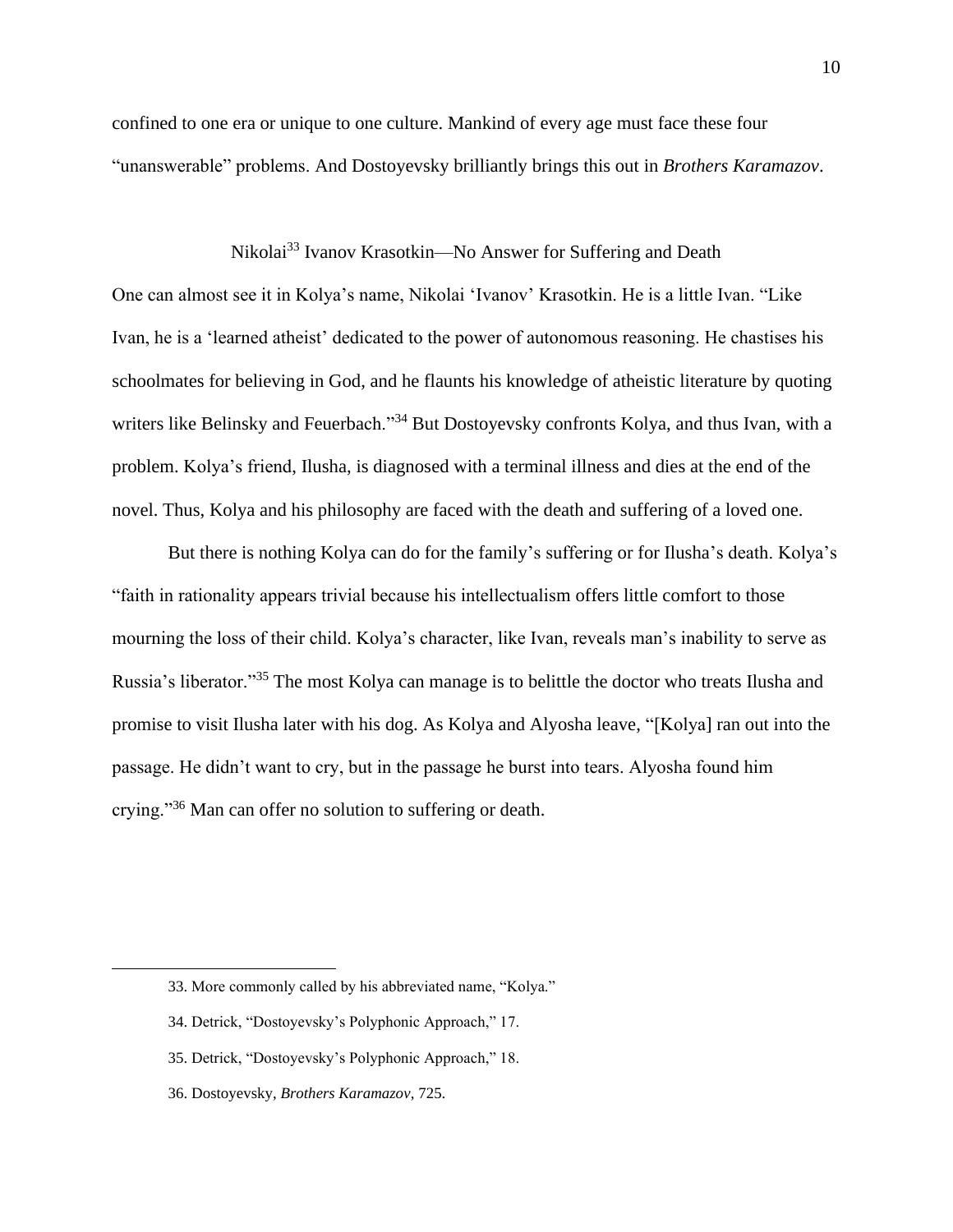confined to one era or unique to one culture. Mankind of every age must face these four "unanswerable" problems. And Dostoyevsky brilliantly brings this out in *Brothers Karamazov*.

# Nikolai<sup>33</sup> Ivanov Krasotkin—No Answer for Suffering and Death

One can almost see it in Kolya's name, Nikolai 'Ivanov' Krasotkin. He is a little Ivan. "Like Ivan, he is a 'learned atheist' dedicated to the power of autonomous reasoning. He chastises his schoolmates for believing in God, and he flaunts his knowledge of atheistic literature by quoting writers like Belinsky and Feuerbach."<sup>34</sup> But Dostoyevsky confronts Kolya, and thus Ivan, with a problem. Kolya's friend, Ilusha, is diagnosed with a terminal illness and dies at the end of the novel. Thus, Kolya and his philosophy are faced with the death and suffering of a loved one.

But there is nothing Kolya can do for the family's suffering or for Ilusha's death. Kolya's "faith in rationality appears trivial because his intellectualism offers little comfort to those mourning the loss of their child. Kolya's character, like Ivan, reveals man's inability to serve as Russia's liberator."<sup>35</sup> The most Kolya can manage is to belittle the doctor who treats Ilusha and promise to visit Ilusha later with his dog. As Kolya and Alyosha leave, "[Kolya] ran out into the passage. He didn't want to cry, but in the passage he burst into tears. Alyosha found him crying."<sup>36</sup> Man can offer no solution to suffering or death.

<sup>33.</sup> More commonly called by his abbreviated name, "Kolya."

<sup>34.</sup> Detrick, "Dostoyevsky's Polyphonic Approach," 17.

<sup>35.</sup> Detrick, "Dostoyevsky's Polyphonic Approach," 18.

<sup>36.</sup> Dostoyevsky, *Brothers Karamazov*, 725.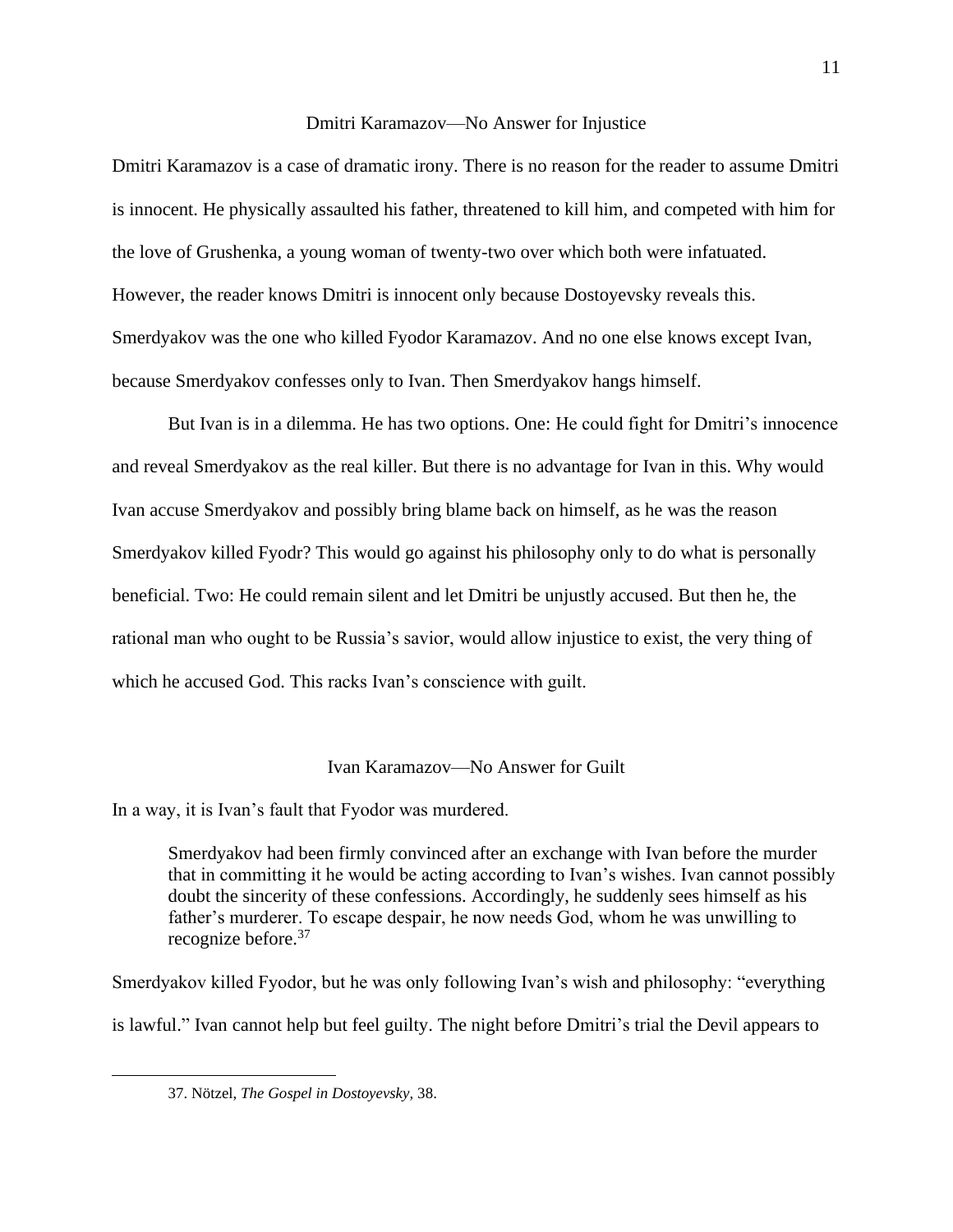#### Dmitri Karamazov—No Answer for Injustice

Dmitri Karamazov is a case of dramatic irony. There is no reason for the reader to assume Dmitri is innocent. He physically assaulted his father, threatened to kill him, and competed with him for the love of Grushenka, a young woman of twenty-two over which both were infatuated. However, the reader knows Dmitri is innocent only because Dostoyevsky reveals this. Smerdyakov was the one who killed Fyodor Karamazov. And no one else knows except Ivan, because Smerdyakov confesses only to Ivan. Then Smerdyakov hangs himself.

But Ivan is in a dilemma. He has two options. One: He could fight for Dmitri's innocence and reveal Smerdyakov as the real killer. But there is no advantage for Ivan in this. Why would Ivan accuse Smerdyakov and possibly bring blame back on himself, as he was the reason Smerdyakov killed Fyodr? This would go against his philosophy only to do what is personally beneficial. Two: He could remain silent and let Dmitri be unjustly accused. But then he, the rational man who ought to be Russia's savior, would allow injustice to exist, the very thing of which he accused God. This racks Ivan's conscience with guilt.

#### Ivan Karamazov—No Answer for Guilt

In a way, it is Ivan's fault that Fyodor was murdered.

Smerdyakov had been firmly convinced after an exchange with Ivan before the murder that in committing it he would be acting according to Ivan's wishes. Ivan cannot possibly doubt the sincerity of these confessions. Accordingly, he suddenly sees himself as his father's murderer. To escape despair, he now needs God, whom he was unwilling to recognize before.<sup>37</sup>

Smerdyakov killed Fyodor, but he was only following Ivan's wish and philosophy: "everything is lawful." Ivan cannot help but feel guilty. The night before Dmitri's trial the Devil appears to

<sup>37.</sup> Nötzel, *The Gospel in Dostoyevsky*, 38.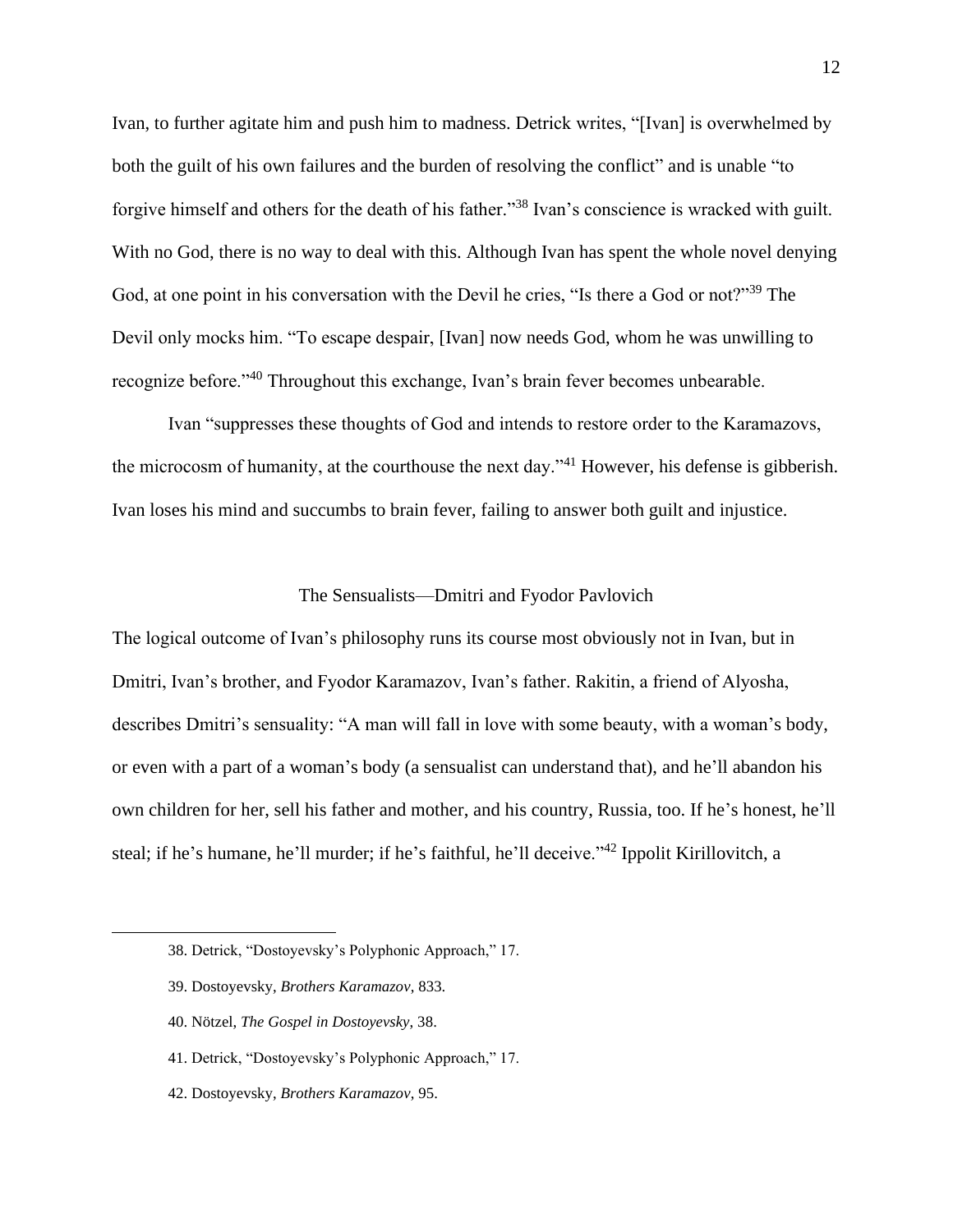Ivan, to further agitate him and push him to madness. Detrick writes, "[Ivan] is overwhelmed by both the guilt of his own failures and the burden of resolving the conflict" and is unable "to forgive himself and others for the death of his father."<sup>38</sup> Ivan's conscience is wracked with guilt. With no God, there is no way to deal with this. Although Ivan has spent the whole novel denying God, at one point in his conversation with the Devil he cries, "Is there a God or not?"<sup>39</sup> The Devil only mocks him. "To escape despair, [Ivan] now needs God, whom he was unwilling to recognize before."<sup>40</sup> Throughout this exchange, Ivan's brain fever becomes unbearable.

Ivan "suppresses these thoughts of God and intends to restore order to the Karamazovs, the microcosm of humanity, at the courthouse the next day."<sup>41</sup> However, his defense is gibberish. Ivan loses his mind and succumbs to brain fever, failing to answer both guilt and injustice.

## The Sensualists—Dmitri and Fyodor Pavlovich

The logical outcome of Ivan's philosophy runs its course most obviously not in Ivan, but in Dmitri, Ivan's brother, and Fyodor Karamazov, Ivan's father. Rakitin, a friend of Alyosha, describes Dmitri's sensuality: "A man will fall in love with some beauty, with a woman's body, or even with a part of a woman's body (a sensualist can understand that), and he'll abandon his own children for her, sell his father and mother, and his country, Russia, too. If he's honest, he'll steal; if he's humane, he'll murder; if he's faithful, he'll deceive."<sup>42</sup> Ippolit Kirillovitch, a

- 39. Dostoyevsky, *Brothers Karamazov*, 833.
- 40. Nötzel, *The Gospel in Dostoyevsky*, 38.
- 41. Detrick, "Dostoyevsky's Polyphonic Approach," 17.
- 42. Dostoyevsky, *Brothers Karamazov*, 95.

<sup>38.</sup> Detrick, "Dostoyevsky's Polyphonic Approach," 17.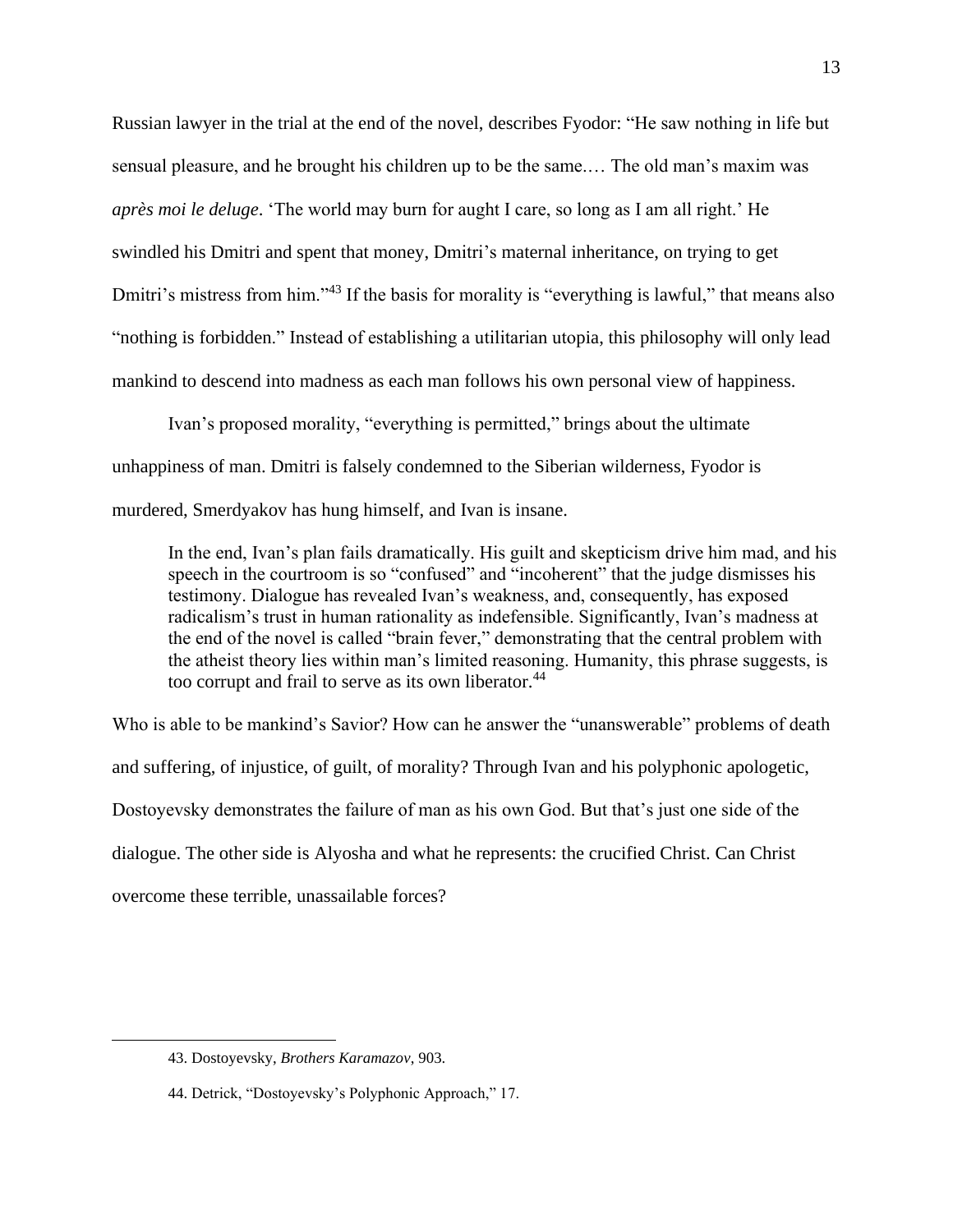Russian lawyer in the trial at the end of the novel, describes Fyodor: "He saw nothing in life but sensual pleasure, and he brought his children up to be the same.… The old man's maxim was *après moi le deluge*. 'The world may burn for aught I care, so long as I am all right.' He swindled his Dmitri and spent that money, Dmitri's maternal inheritance, on trying to get Dmitri's mistress from him."<sup>43</sup> If the basis for morality is "everything is lawful," that means also "nothing is forbidden." Instead of establishing a utilitarian utopia, this philosophy will only lead mankind to descend into madness as each man follows his own personal view of happiness.

Ivan's proposed morality, "everything is permitted," brings about the ultimate unhappiness of man. Dmitri is falsely condemned to the Siberian wilderness, Fyodor is murdered, Smerdyakov has hung himself, and Ivan is insane.

In the end, Ivan's plan fails dramatically. His guilt and skepticism drive him mad, and his speech in the courtroom is so "confused" and "incoherent" that the judge dismisses his testimony. Dialogue has revealed Ivan's weakness, and, consequently, has exposed radicalism's trust in human rationality as indefensible. Significantly, Ivan's madness at the end of the novel is called "brain fever," demonstrating that the central problem with the atheist theory lies within man's limited reasoning. Humanity, this phrase suggests, is too corrupt and frail to serve as its own liberator.<sup>44</sup>

Who is able to be mankind's Savior? How can he answer the "unanswerable" problems of death and suffering, of injustice, of guilt, of morality? Through Ivan and his polyphonic apologetic, Dostoyevsky demonstrates the failure of man as his own God. But that's just one side of the dialogue. The other side is Alyosha and what he represents: the crucified Christ. Can Christ overcome these terrible, unassailable forces?

<sup>43.</sup> Dostoyevsky, *Brothers Karamazov*, 903.

<sup>44.</sup> Detrick, "Dostoyevsky's Polyphonic Approach," 17.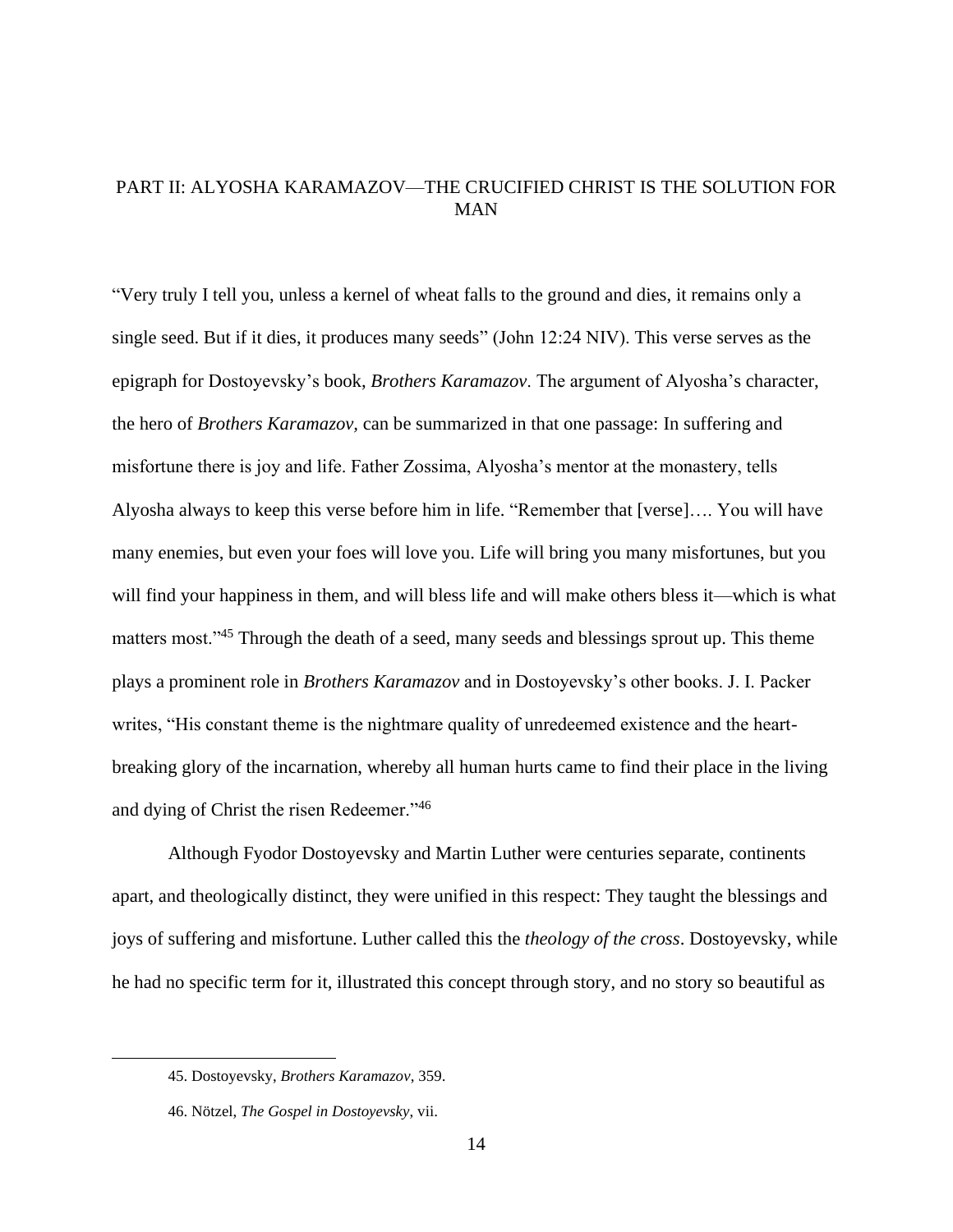# PART II: ALYOSHA KARAMAZOV—THE CRUCIFIED CHRIST IS THE SOLUTION FOR MAN

"Very truly I tell you, unless a kernel of wheat falls to the ground and dies, it remains only a single seed. But if it dies, it produces many seeds" (John 12:24 NIV). This verse serves as the epigraph for Dostoyevsky's book, *Brothers Karamazov*. The argument of Alyosha's character, the hero of *Brothers Karamazov,* can be summarized in that one passage: In suffering and misfortune there is joy and life. Father Zossima, Alyosha's mentor at the monastery, tells Alyosha always to keep this verse before him in life. "Remember that [verse]…. You will have many enemies, but even your foes will love you. Life will bring you many misfortunes, but you will find your happiness in them, and will bless life and will make others bless it—which is what matters most."<sup>45</sup> Through the death of a seed, many seeds and blessings sprout up. This theme plays a prominent role in *Brothers Karamazov* and in Dostoyevsky's other books. J. I. Packer writes, "His constant theme is the nightmare quality of unredeemed existence and the heartbreaking glory of the incarnation, whereby all human hurts came to find their place in the living and dying of Christ the risen Redeemer."<sup>46</sup>

Although Fyodor Dostoyevsky and Martin Luther were centuries separate, continents apart, and theologically distinct, they were unified in this respect: They taught the blessings and joys of suffering and misfortune. Luther called this the *theology of the cross*. Dostoyevsky, while he had no specific term for it, illustrated this concept through story, and no story so beautiful as

<sup>45.</sup> Dostoyevsky, *Brothers Karamazov*, 359.

<sup>46.</sup> Nötzel, *The Gospel in Dostoyevsky*, vii.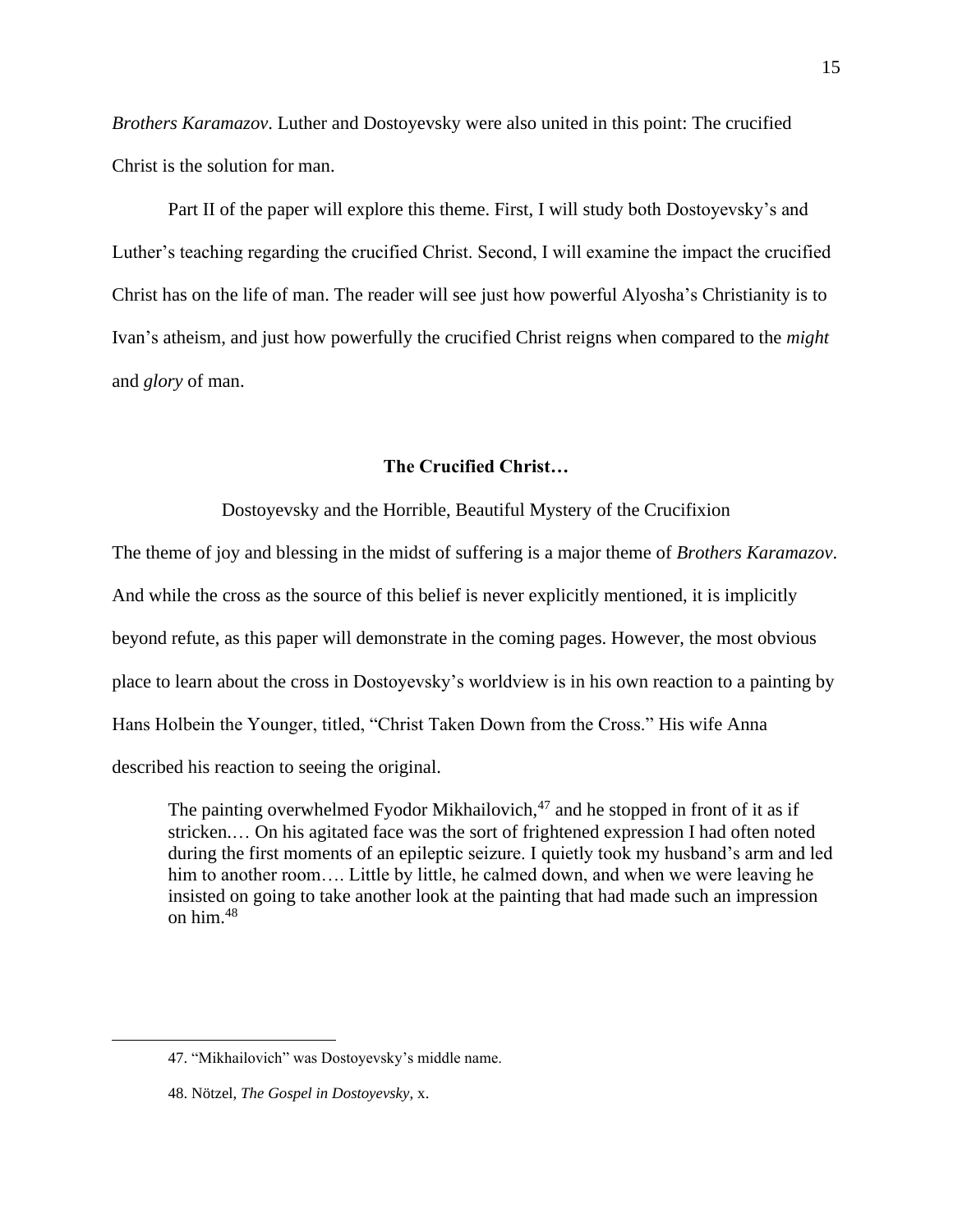*Brothers Karamazov*. Luther and Dostoyevsky were also united in this point: The crucified Christ is the solution for man.

Part II of the paper will explore this theme. First, I will study both Dostoyevsky's and Luther's teaching regarding the crucified Christ. Second, I will examine the impact the crucified Christ has on the life of man. The reader will see just how powerful Alyosha's Christianity is to Ivan's atheism, and just how powerfully the crucified Christ reigns when compared to the *might* and *glory* of man.

## **The Crucified Christ…**

Dostoyevsky and the Horrible, Beautiful Mystery of the Crucifixion

The theme of joy and blessing in the midst of suffering is a major theme of *Brothers Karamazov*. And while the cross as the source of this belief is never explicitly mentioned, it is implicitly beyond refute, as this paper will demonstrate in the coming pages. However, the most obvious place to learn about the cross in Dostoyevsky's worldview is in his own reaction to a painting by Hans Holbein the Younger, titled, "Christ Taken Down from the Cross." His wife Anna described his reaction to seeing the original.

The painting overwhelmed Fyodor Mikhailovich, $47$  and he stopped in front of it as if stricken.… On his agitated face was the sort of frightened expression I had often noted during the first moments of an epileptic seizure. I quietly took my husband's arm and led him to another room.... Little by little, he calmed down, and when we were leaving he insisted on going to take another look at the painting that had made such an impression on him.<sup>48</sup>

<sup>47.</sup> "Mikhailovich" was Dostoyevsky's middle name.

<sup>48.</sup> Nötzel, *The Gospel in Dostoyevsky*, x.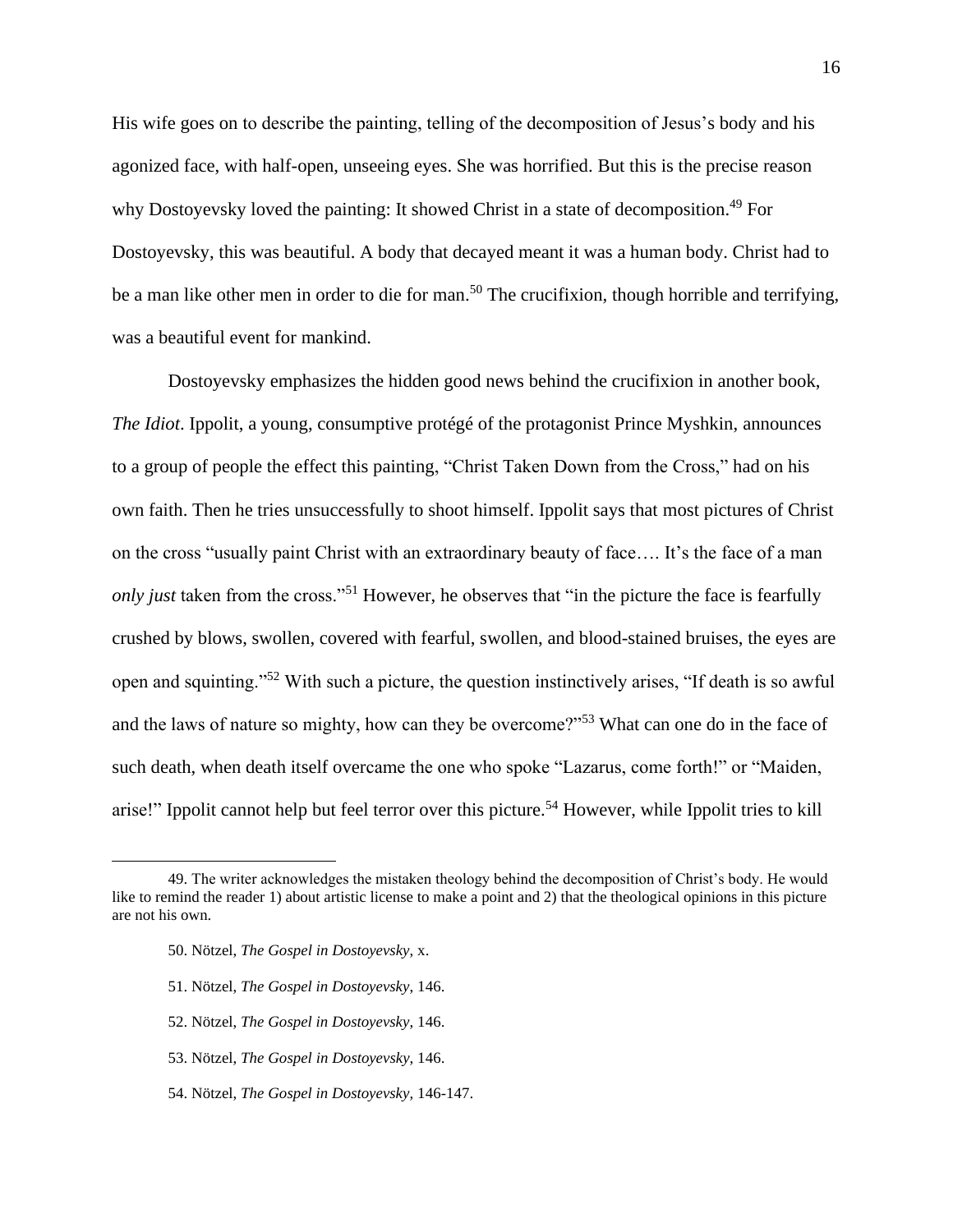His wife goes on to describe the painting, telling of the decomposition of Jesus's body and his agonized face, with half-open, unseeing eyes. She was horrified. But this is the precise reason why Dostoyevsky loved the painting: It showed Christ in a state of decomposition.<sup>49</sup> For Dostoyevsky, this was beautiful. A body that decayed meant it was a human body. Christ had to be a man like other men in order to die for man.<sup>50</sup> The crucifixion, though horrible and terrifying, was a beautiful event for mankind.

Dostoyevsky emphasizes the hidden good news behind the crucifixion in another book, *The Idiot*. Ippolit, a young, consumptive protégé of the protagonist Prince Myshkin, announces to a group of people the effect this painting, "Christ Taken Down from the Cross," had on his own faith. Then he tries unsuccessfully to shoot himself. Ippolit says that most pictures of Christ on the cross "usually paint Christ with an extraordinary beauty of face…. It's the face of a man *only just* taken from the cross."<sup>51</sup> However, he observes that "in the picture the face is fearfully crushed by blows, swollen, covered with fearful, swollen, and blood-stained bruises, the eyes are open and squinting."<sup>52</sup> With such a picture, the question instinctively arises, "If death is so awful and the laws of nature so mighty, how can they be overcome?"<sup>53</sup> What can one do in the face of such death, when death itself overcame the one who spoke "Lazarus, come forth!" or "Maiden, arise!" Ippolit cannot help but feel terror over this picture.<sup>54</sup> However, while Ippolit tries to kill

- 50. Nötzel, *The Gospel in Dostoyevsky*, x.
- 51. Nötzel, *The Gospel in Dostoyevsky*, 146.
- 52. Nötzel, *The Gospel in Dostoyevsky*, 146.
- 53. Nötzel, *The Gospel in Dostoyevsky*, 146.
- 54. Nötzel, *The Gospel in Dostoyevsky*, 146-147.

<sup>49.</sup> The writer acknowledges the mistaken theology behind the decomposition of Christ's body. He would like to remind the reader 1) about artistic license to make a point and 2) that the theological opinions in this picture are not his own.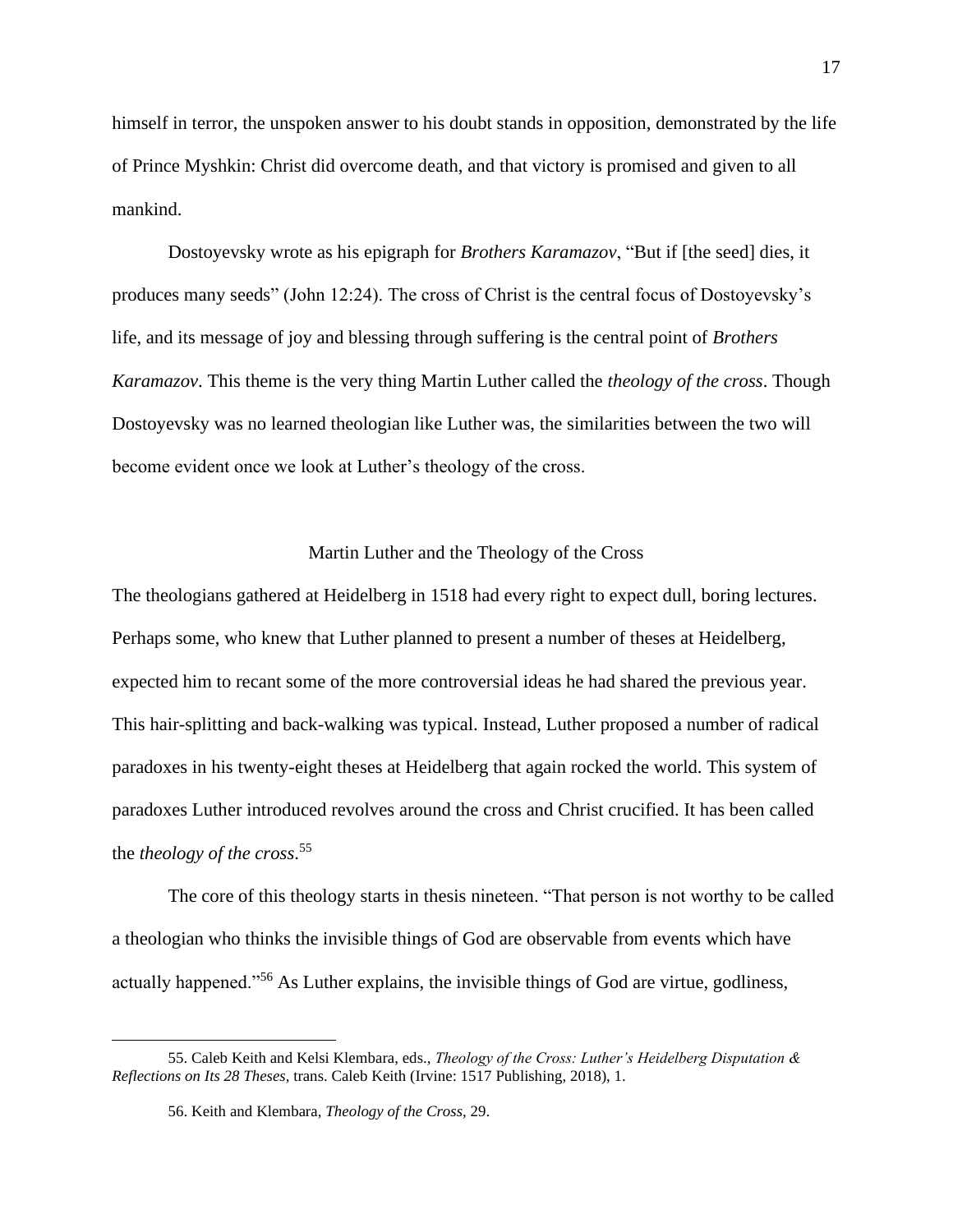himself in terror, the unspoken answer to his doubt stands in opposition, demonstrated by the life of Prince Myshkin: Christ did overcome death, and that victory is promised and given to all mankind.

Dostoyevsky wrote as his epigraph for *Brothers Karamazov*, "But if [the seed] dies, it produces many seeds" (John 12:24). The cross of Christ is the central focus of Dostoyevsky's life, and its message of joy and blessing through suffering is the central point of *Brothers Karamazov*. This theme is the very thing Martin Luther called the *theology of the cross*. Though Dostoyevsky was no learned theologian like Luther was, the similarities between the two will become evident once we look at Luther's theology of the cross.

#### Martin Luther and the Theology of the Cross

The theologians gathered at Heidelberg in 1518 had every right to expect dull, boring lectures. Perhaps some, who knew that Luther planned to present a number of theses at Heidelberg, expected him to recant some of the more controversial ideas he had shared the previous year. This hair-splitting and back-walking was typical. Instead, Luther proposed a number of radical paradoxes in his twenty-eight theses at Heidelberg that again rocked the world. This system of paradoxes Luther introduced revolves around the cross and Christ crucified. It has been called the *theology of the cross*. 55

The core of this theology starts in thesis nineteen. "That person is not worthy to be called a theologian who thinks the invisible things of God are observable from events which have actually happened."<sup>56</sup> As Luther explains, the invisible things of God are virtue, godliness,

<sup>55.</sup> Caleb Keith and Kelsi Klembara, eds., *Theology of the Cross: Luther's Heidelberg Disputation & Reflections on Its 28 Theses*, trans. Caleb Keith (Irvine: 1517 Publishing, 2018), 1.

<sup>56.</sup> Keith and Klembara, *Theology of the Cross,* 29.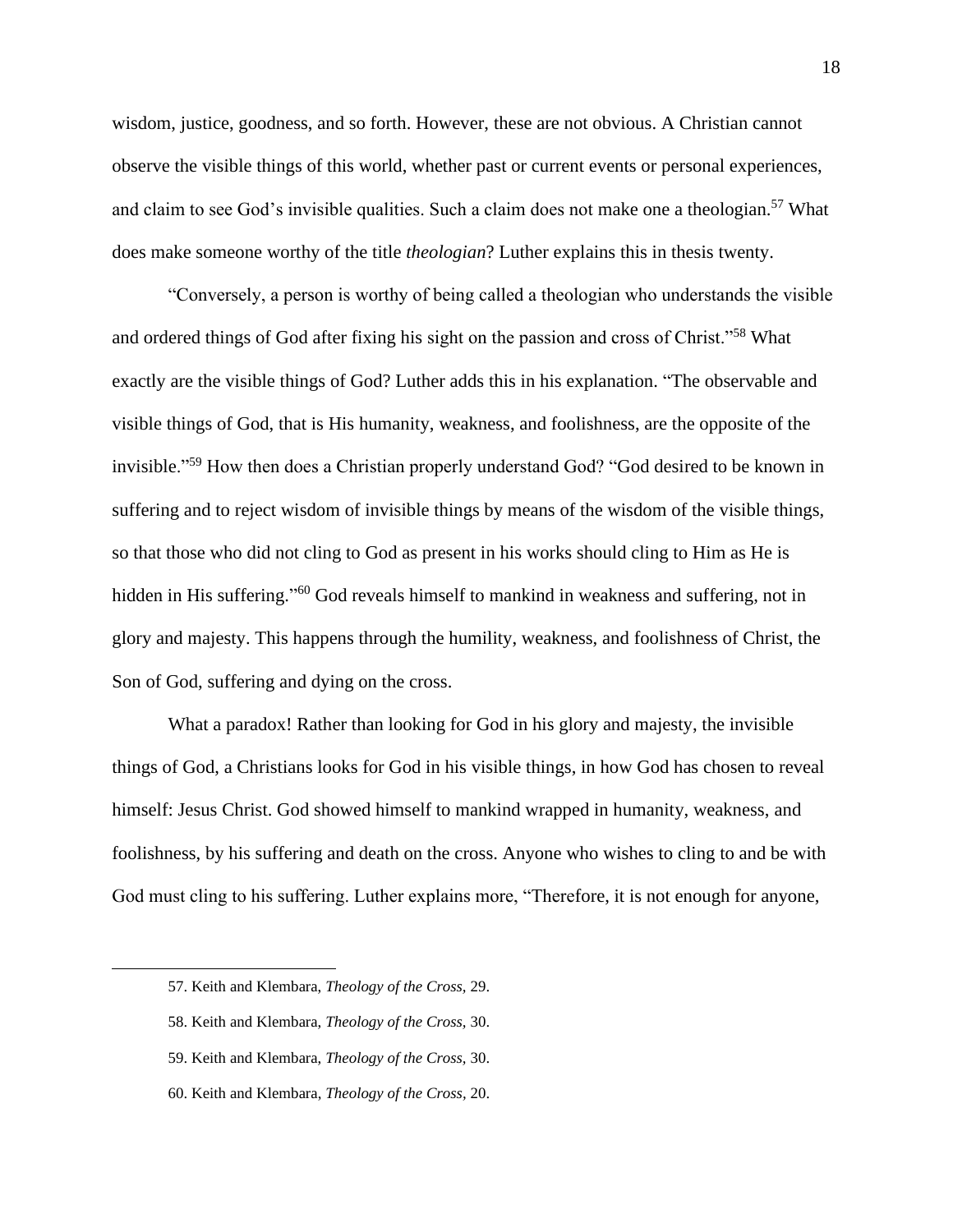wisdom, justice, goodness, and so forth. However, these are not obvious. A Christian cannot observe the visible things of this world, whether past or current events or personal experiences, and claim to see God's invisible qualities. Such a claim does not make one a theologian.<sup>57</sup> What does make someone worthy of the title *theologian*? Luther explains this in thesis twenty.

"Conversely, a person is worthy of being called a theologian who understands the visible and ordered things of God after fixing his sight on the passion and cross of Christ."<sup>58</sup> What exactly are the visible things of God? Luther adds this in his explanation. "The observable and visible things of God, that is His humanity, weakness, and foolishness, are the opposite of the invisible."<sup>59</sup> How then does a Christian properly understand God? "God desired to be known in suffering and to reject wisdom of invisible things by means of the wisdom of the visible things, so that those who did not cling to God as present in his works should cling to Him as He is hidden in His suffering."<sup>60</sup> God reveals himself to mankind in weakness and suffering, not in glory and majesty. This happens through the humility, weakness, and foolishness of Christ, the Son of God, suffering and dying on the cross.

What a paradox! Rather than looking for God in his glory and majesty, the invisible things of God, a Christians looks for God in his visible things, in how God has chosen to reveal himself: Jesus Christ. God showed himself to mankind wrapped in humanity, weakness, and foolishness, by his suffering and death on the cross. Anyone who wishes to cling to and be with God must cling to his suffering. Luther explains more, "Therefore, it is not enough for anyone,

<sup>57.</sup> Keith and Klembara, *Theology of the Cross,* 29.

<sup>58.</sup> Keith and Klembara, *Theology of the Cross,* 30.

<sup>59.</sup> Keith and Klembara, *Theology of the Cross,* 30.

<sup>60.</sup> Keith and Klembara, *Theology of the Cross,* 20.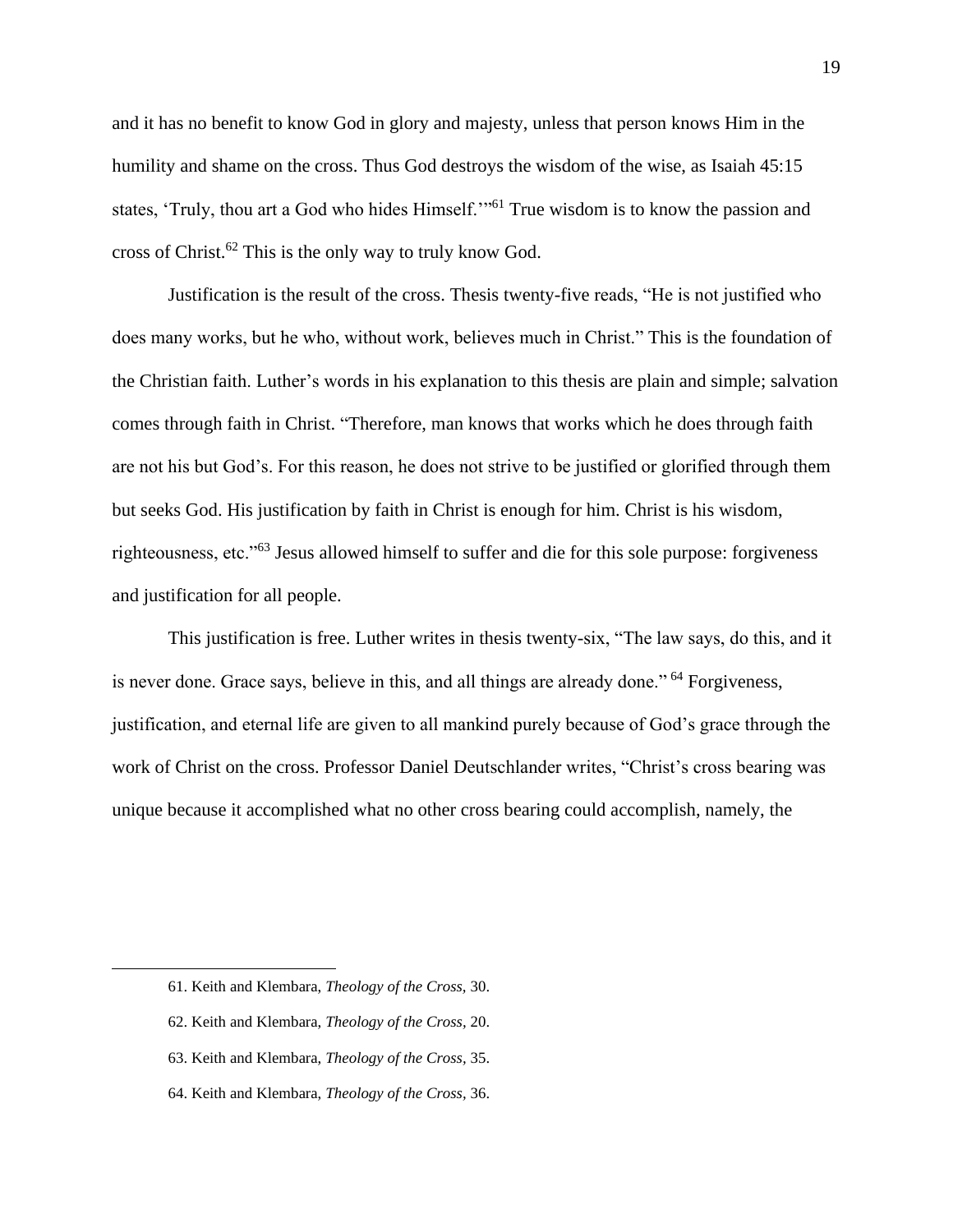and it has no benefit to know God in glory and majesty, unless that person knows Him in the humility and shame on the cross. Thus God destroys the wisdom of the wise, as Isaiah 45:15 states, 'Truly, thou art a God who hides Himself.'"<sup>61</sup> True wisdom is to know the passion and cross of Christ.<sup>62</sup> This is the only way to truly know God.

Justification is the result of the cross. Thesis twenty-five reads, "He is not justified who does many works, but he who, without work, believes much in Christ." This is the foundation of the Christian faith. Luther's words in his explanation to this thesis are plain and simple; salvation comes through faith in Christ. "Therefore, man knows that works which he does through faith are not his but God's. For this reason, he does not strive to be justified or glorified through them but seeks God. His justification by faith in Christ is enough for him. Christ is his wisdom, righteousness, etc."<sup>63</sup> Jesus allowed himself to suffer and die for this sole purpose: forgiveness and justification for all people.

This justification is free. Luther writes in thesis twenty-six, "The law says, do this, and it is never done. Grace says, believe in this, and all things are already done."<sup>64</sup> Forgiveness, justification, and eternal life are given to all mankind purely because of God's grace through the work of Christ on the cross. Professor Daniel Deutschlander writes, "Christ's cross bearing was unique because it accomplished what no other cross bearing could accomplish, namely, the

<sup>61.</sup> Keith and Klembara, *Theology of the Cross,* 30.

<sup>62.</sup> Keith and Klembara, *Theology of the Cross,* 20.

<sup>63.</sup> Keith and Klembara, *Theology of the Cross,* 35.

<sup>64.</sup> Keith and Klembara, *Theology of the Cross,* 36.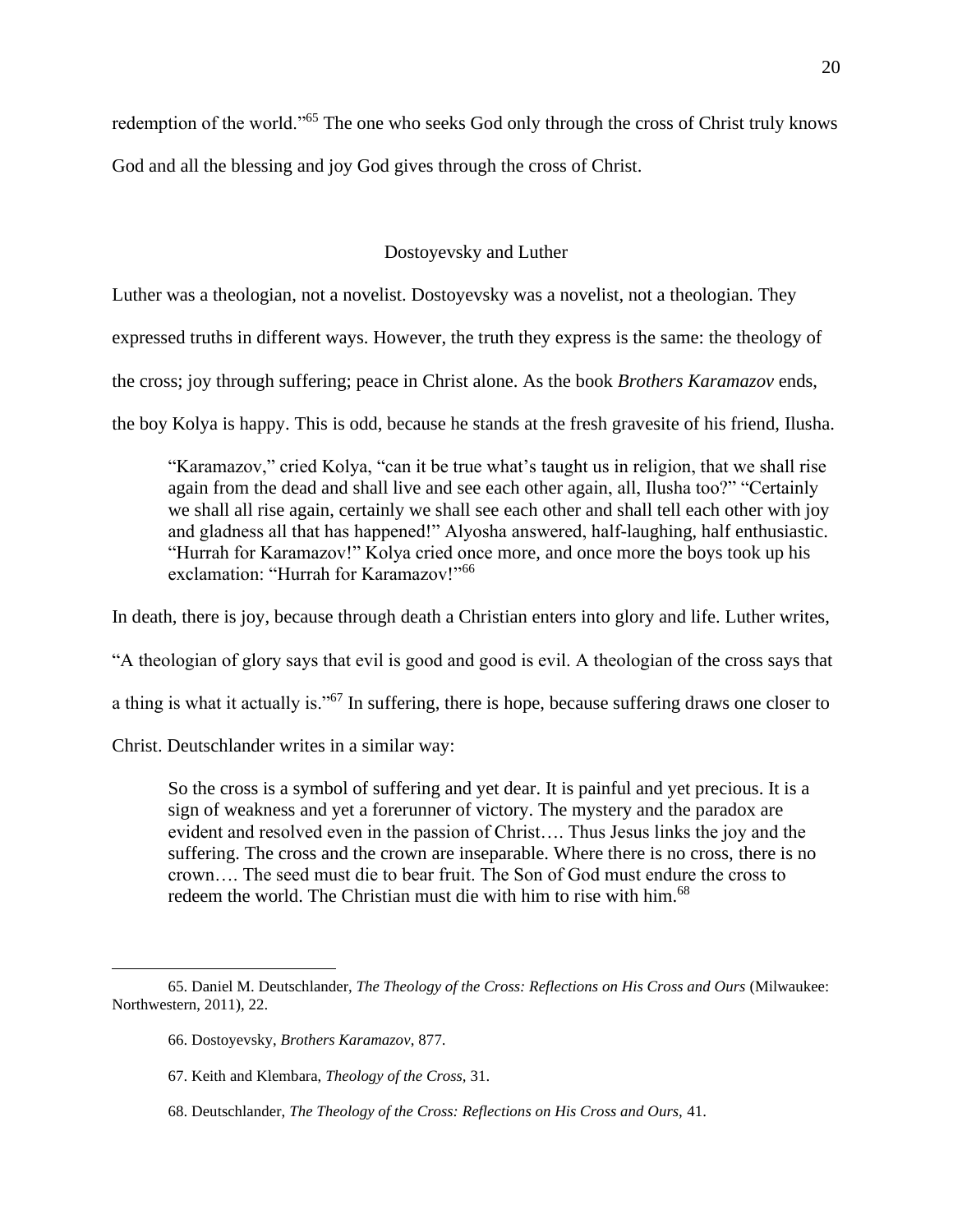redemption of the world."<sup>65</sup> The one who seeks God only through the cross of Christ truly knows

God and all the blessing and joy God gives through the cross of Christ.

Dostoyevsky and Luther

Luther was a theologian, not a novelist. Dostoyevsky was a novelist, not a theologian. They

expressed truths in different ways. However, the truth they express is the same: the theology of

the cross; joy through suffering; peace in Christ alone. As the book *Brothers Karamazov* ends,

the boy Kolya is happy. This is odd, because he stands at the fresh gravesite of his friend, Ilusha.

"Karamazov," cried Kolya, "can it be true what's taught us in religion, that we shall rise again from the dead and shall live and see each other again, all, Ilusha too?" "Certainly we shall all rise again, certainly we shall see each other and shall tell each other with joy and gladness all that has happened!" Alyosha answered, half-laughing, half enthusiastic. "Hurrah for Karamazov!" Kolya cried once more, and once more the boys took up his exclamation: "Hurrah for Karamazov!"<sup>66</sup>

In death, there is joy, because through death a Christian enters into glory and life. Luther writes,

"A theologian of glory says that evil is good and good is evil. A theologian of the cross says that

a thing is what it actually is."<sup>67</sup> In suffering, there is hope, because suffering draws one closer to

Christ. Deutschlander writes in a similar way:

So the cross is a symbol of suffering and yet dear. It is painful and yet precious. It is a sign of weakness and yet a forerunner of victory. The mystery and the paradox are evident and resolved even in the passion of Christ…. Thus Jesus links the joy and the suffering. The cross and the crown are inseparable. Where there is no cross, there is no crown…. The seed must die to bear fruit. The Son of God must endure the cross to redeem the world. The Christian must die with him to rise with him.<sup>68</sup>

<sup>65.</sup> Daniel M. Deutschlander, *The Theology of the Cross: Reflections on His Cross and Ours* (Milwaukee: Northwestern, 2011), 22.

<sup>66.</sup> Dostoyevsky, *Brothers Karamazov*, 877.

<sup>67.</sup> Keith and Klembara, *Theology of the Cross,* 31.

<sup>68.</sup> Deutschlander, *The Theology of the Cross: Reflections on His Cross and Ours,* 41.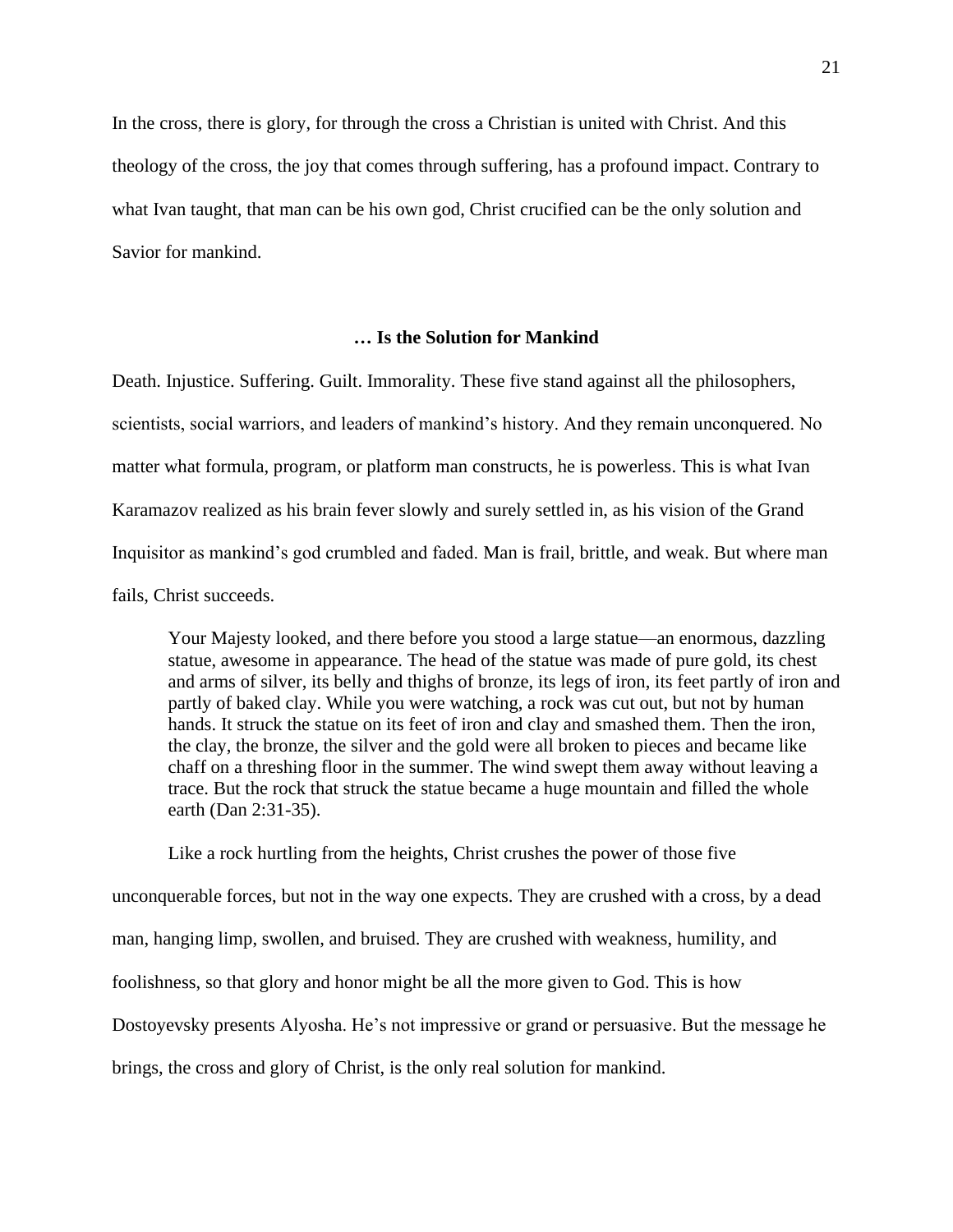In the cross, there is glory, for through the cross a Christian is united with Christ. And this theology of the cross, the joy that comes through suffering, has a profound impact. Contrary to what Ivan taught, that man can be his own god, Christ crucified can be the only solution and Savior for mankind.

## **… Is the Solution for Mankind**

Death. Injustice. Suffering. Guilt. Immorality. These five stand against all the philosophers, scientists, social warriors, and leaders of mankind's history. And they remain unconquered. No matter what formula, program, or platform man constructs, he is powerless. This is what Ivan Karamazov realized as his brain fever slowly and surely settled in, as his vision of the Grand Inquisitor as mankind's god crumbled and faded. Man is frail, brittle, and weak. But where man fails, Christ succeeds.

Your Majesty looked, and there before you stood a large statue—an enormous, dazzling statue, awesome in appearance. The head of the statue was made of pure gold, its chest and arms of silver, its belly and thighs of bronze, its legs of iron, its feet partly of iron and partly of baked clay. While you were watching, a rock was cut out, but not by human hands. It struck the statue on its feet of iron and clay and smashed them. Then the iron, the clay, the bronze, the silver and the gold were all broken to pieces and became like chaff on a threshing floor in the summer. The wind swept them away without leaving a trace. But the rock that struck the statue became a huge mountain and filled the whole earth (Dan 2:31-35).

Like a rock hurtling from the heights, Christ crushes the power of those five unconquerable forces, but not in the way one expects. They are crushed with a cross, by a dead man, hanging limp, swollen, and bruised. They are crushed with weakness, humility, and foolishness, so that glory and honor might be all the more given to God. This is how Dostoyevsky presents Alyosha. He's not impressive or grand or persuasive. But the message he brings, the cross and glory of Christ, is the only real solution for mankind.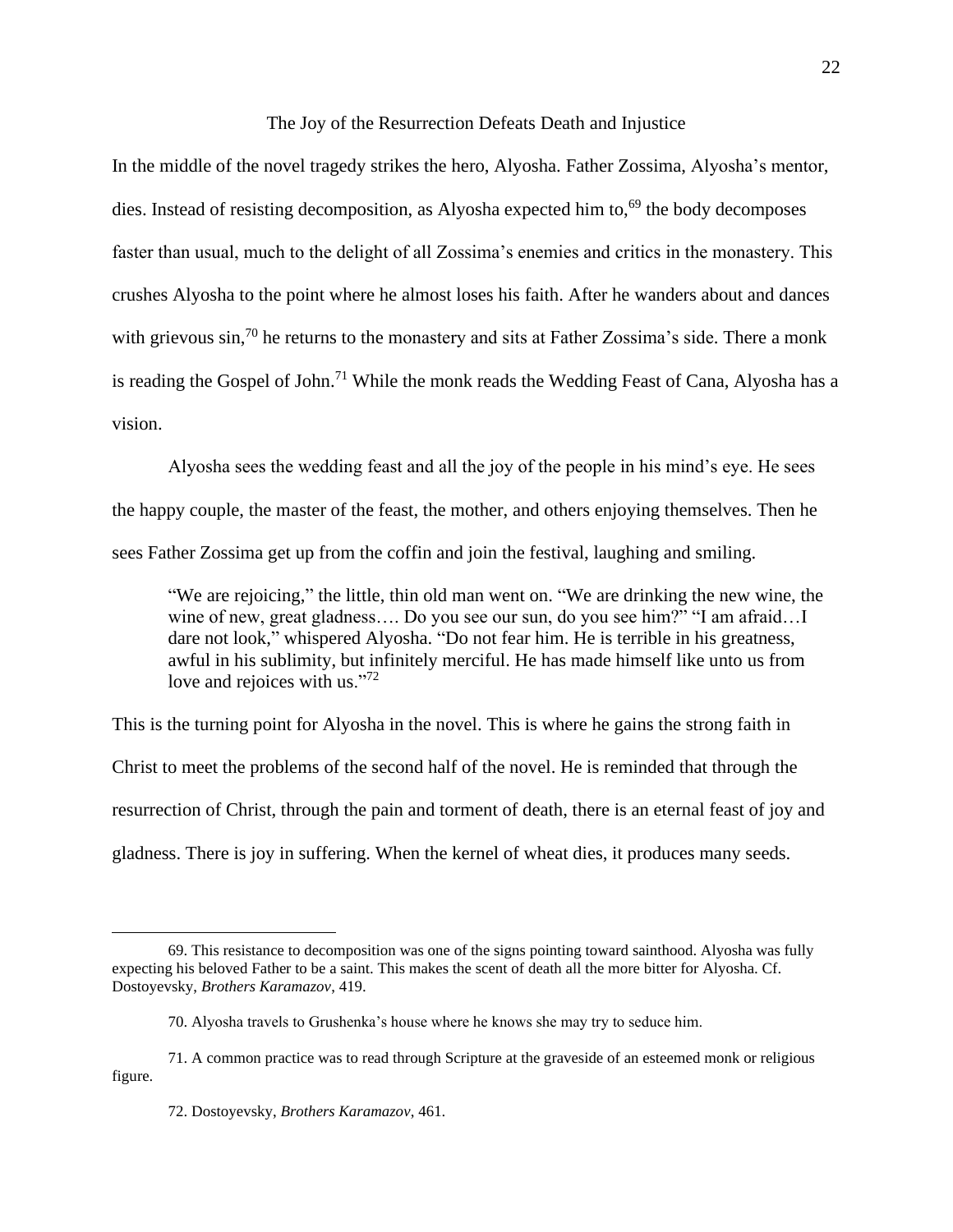The Joy of the Resurrection Defeats Death and Injustice

In the middle of the novel tragedy strikes the hero, Alyosha. Father Zossima, Alyosha's mentor, dies. Instead of resisting decomposition, as Alyosha expected him to,<sup>69</sup> the body decomposes faster than usual, much to the delight of all Zossima's enemies and critics in the monastery. This crushes Alyosha to the point where he almost loses his faith. After he wanders about and dances with grievous  $\sin^{70}$  he returns to the monastery and sits at Father Zossima's side. There a monk is reading the Gospel of John.<sup>71</sup> While the monk reads the Wedding Feast of Cana, Alyosha has a vision.

Alyosha sees the wedding feast and all the joy of the people in his mind's eye. He sees the happy couple, the master of the feast, the mother, and others enjoying themselves. Then he sees Father Zossima get up from the coffin and join the festival, laughing and smiling.

"We are rejoicing," the little, thin old man went on. "We are drinking the new wine, the wine of new, great gladness…. Do you see our sun, do you see him?" "I am afraid…I dare not look," whispered Alyosha. "Do not fear him. He is terrible in his greatness, awful in his sublimity, but infinitely merciful. He has made himself like unto us from love and rejoices with us."<sup>72</sup>

This is the turning point for Alyosha in the novel. This is where he gains the strong faith in Christ to meet the problems of the second half of the novel. He is reminded that through the resurrection of Christ, through the pain and torment of death, there is an eternal feast of joy and gladness. There is joy in suffering. When the kernel of wheat dies, it produces many seeds.

<sup>69.</sup> This resistance to decomposition was one of the signs pointing toward sainthood. Alyosha was fully expecting his beloved Father to be a saint. This makes the scent of death all the more bitter for Alyosha. Cf. Dostoyevsky, *Brothers Karamazov*, 419.

<sup>70.</sup> Alyosha travels to Grushenka's house where he knows she may try to seduce him.

<sup>71.</sup> A common practice was to read through Scripture at the graveside of an esteemed monk or religious figure.

<sup>72.</sup> Dostoyevsky, *Brothers Karamazov*, 461.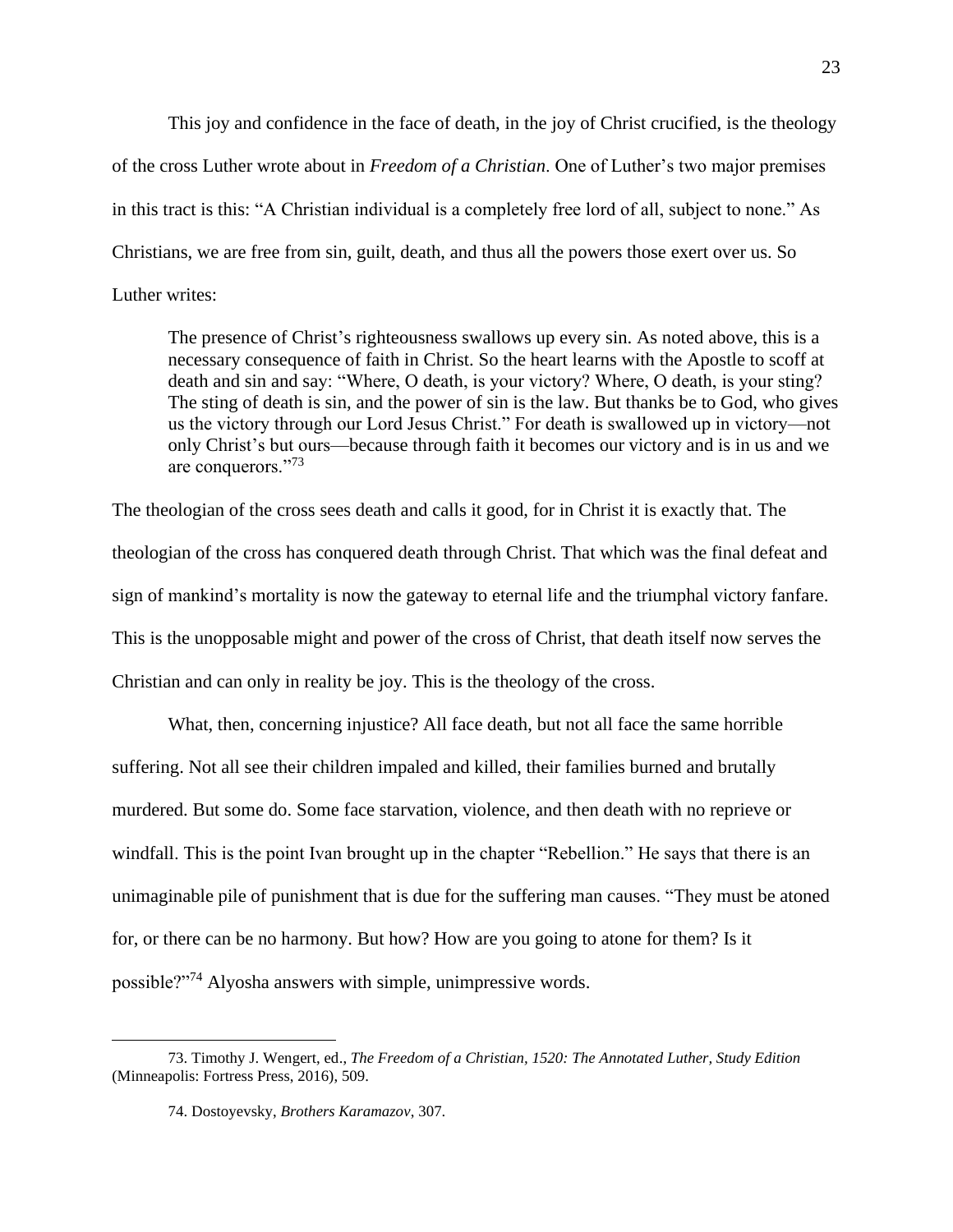This joy and confidence in the face of death, in the joy of Christ crucified, is the theology of the cross Luther wrote about in *Freedom of a Christian*. One of Luther's two major premises in this tract is this: "A Christian individual is a completely free lord of all, subject to none." As Christians, we are free from sin, guilt, death, and thus all the powers those exert over us. So Luther writes:

The presence of Christ's righteousness swallows up every sin. As noted above, this is a necessary consequence of faith in Christ. So the heart learns with the Apostle to scoff at death and sin and say: "Where, O death, is your victory? Where, O death, is your sting? The sting of death is sin, and the power of sin is the law. But thanks be to God, who gives us the victory through our Lord Jesus Christ." For death is swallowed up in victory—not only Christ's but ours—because through faith it becomes our victory and is in us and we are conquerors."<sup>73</sup>

The theologian of the cross sees death and calls it good, for in Christ it is exactly that. The theologian of the cross has conquered death through Christ. That which was the final defeat and sign of mankind's mortality is now the gateway to eternal life and the triumphal victory fanfare. This is the unopposable might and power of the cross of Christ, that death itself now serves the Christian and can only in reality be joy. This is the theology of the cross.

What, then, concerning injustice? All face death, but not all face the same horrible suffering. Not all see their children impaled and killed, their families burned and brutally murdered. But some do. Some face starvation, violence, and then death with no reprieve or windfall. This is the point Ivan brought up in the chapter "Rebellion." He says that there is an unimaginable pile of punishment that is due for the suffering man causes. "They must be atoned for, or there can be no harmony. But how? How are you going to atone for them? Is it possible?"<sup>74</sup> Alyosha answers with simple, unimpressive words.

<sup>73.</sup> Timothy J. Wengert, ed., *The Freedom of a Christian, 1520: The Annotated Luther, Study Edition* (Minneapolis: Fortress Press, 2016), 509.

<sup>74.</sup> Dostoyevsky, *Brothers Karamazov*, 307.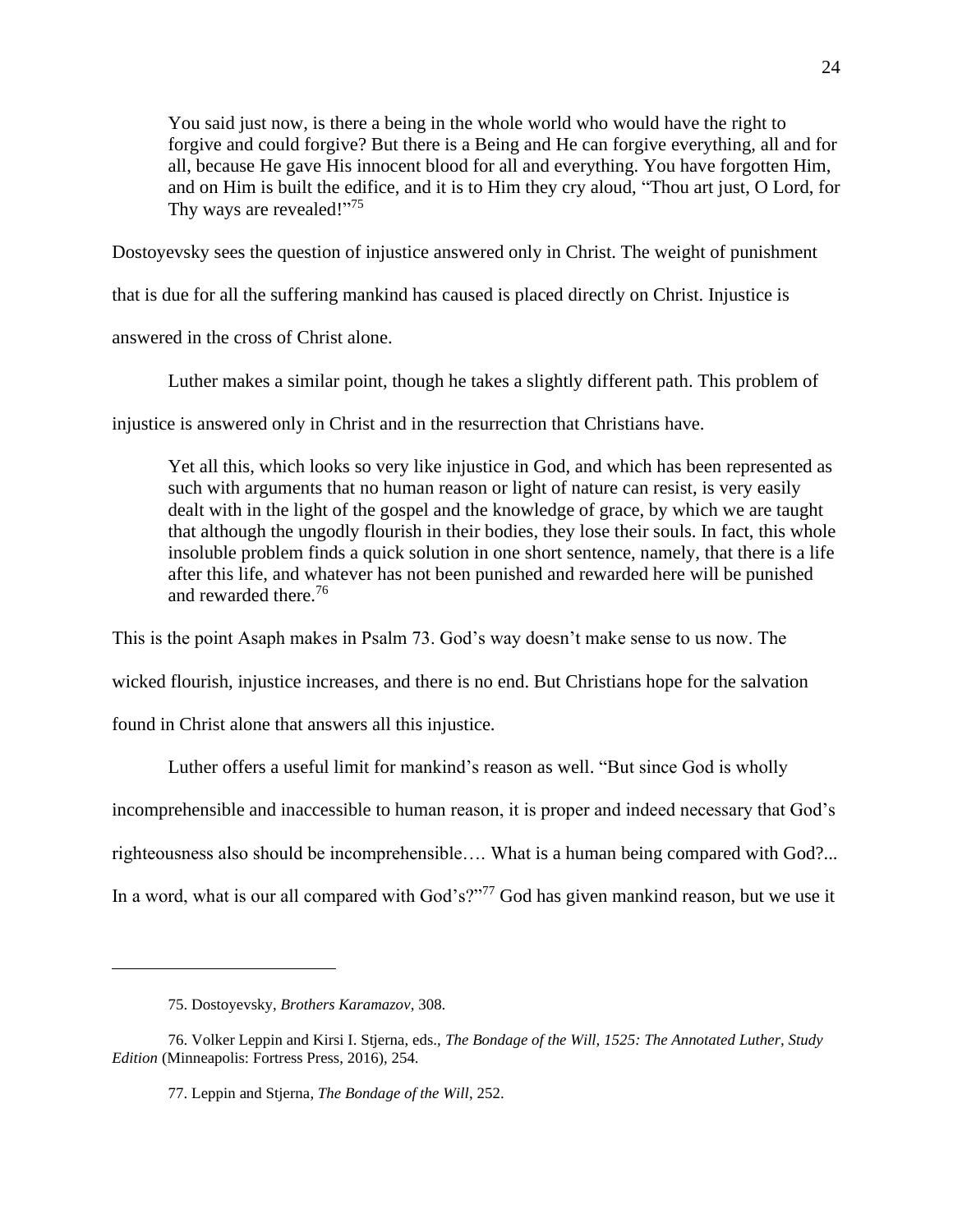You said just now, is there a being in the whole world who would have the right to forgive and could forgive? But there is a Being and He can forgive everything, all and for all, because He gave His innocent blood for all and everything. You have forgotten Him, and on Him is built the edifice, and it is to Him they cry aloud, "Thou art just, O Lord, for Thy ways are revealed!"<sup>75</sup>

Dostoyevsky sees the question of injustice answered only in Christ. The weight of punishment

that is due for all the suffering mankind has caused is placed directly on Christ. Injustice is

answered in the cross of Christ alone.

Luther makes a similar point, though he takes a slightly different path. This problem of

injustice is answered only in Christ and in the resurrection that Christians have.

Yet all this, which looks so very like injustice in God, and which has been represented as such with arguments that no human reason or light of nature can resist, is very easily dealt with in the light of the gospel and the knowledge of grace, by which we are taught that although the ungodly flourish in their bodies, they lose their souls. In fact, this whole insoluble problem finds a quick solution in one short sentence, namely, that there is a life after this life, and whatever has not been punished and rewarded here will be punished and rewarded there.<sup>76</sup>

This is the point Asaph makes in Psalm 73. God's way doesn't make sense to us now. The

wicked flourish, injustice increases, and there is no end. But Christians hope for the salvation

found in Christ alone that answers all this injustice.

Luther offers a useful limit for mankind's reason as well. "But since God is wholly

incomprehensible and inaccessible to human reason, it is proper and indeed necessary that God's

righteousness also should be incomprehensible…. What is a human being compared with God?...

In a word, what is our all compared with God's?"<sup>77</sup> God has given mankind reason, but we use it

<sup>75.</sup> Dostoyevsky, *Brothers Karamazov*, 308.

<sup>76.</sup> Volker Leppin and Kirsi I. Stjerna, eds., *The Bondage of the Will, 1525: The Annotated Luther, Study Edition* (Minneapolis: Fortress Press, 2016), 254.

<sup>77.</sup> Leppin and Stjerna, *The Bondage of the Will*, 252.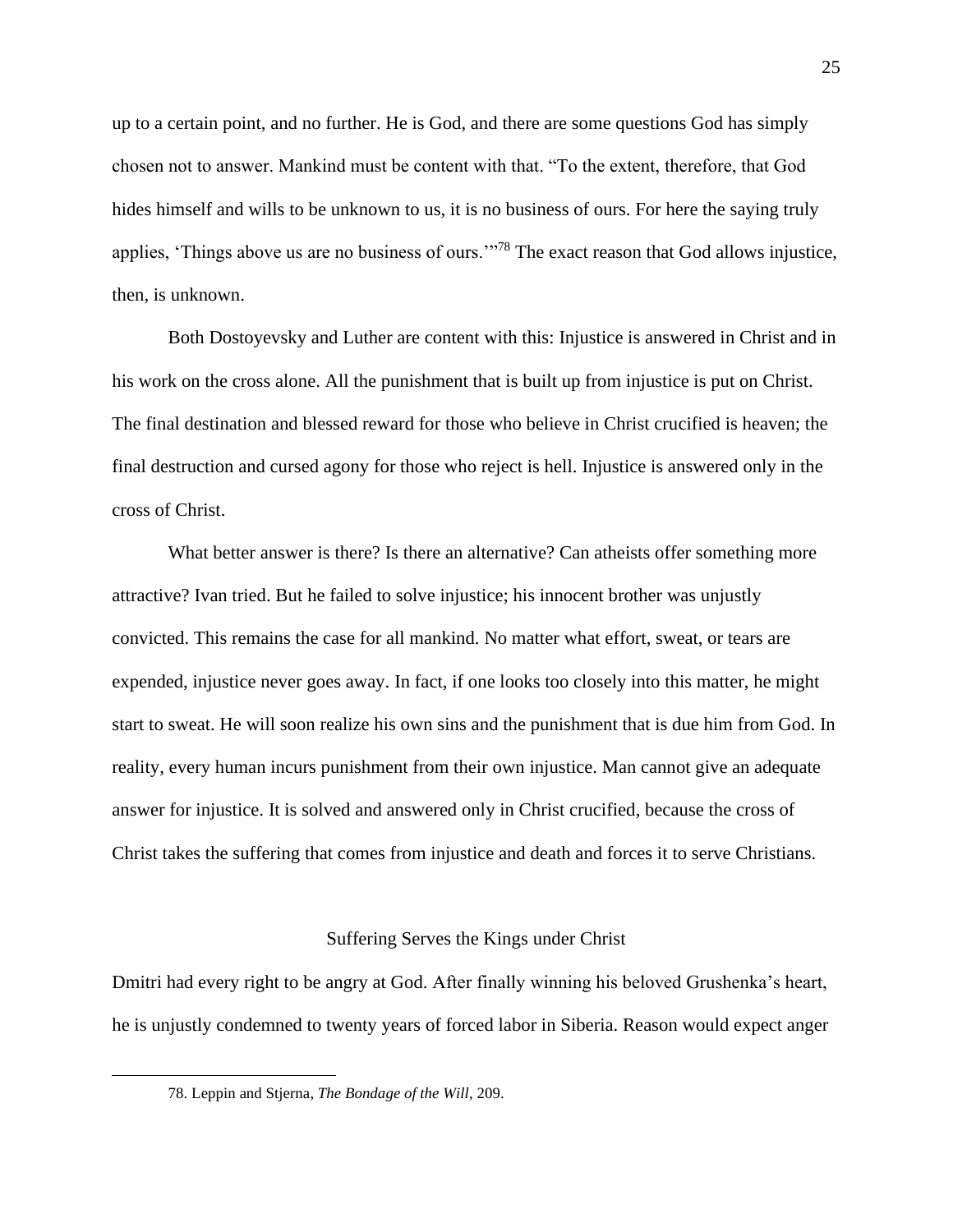up to a certain point, and no further. He is God, and there are some questions God has simply chosen not to answer. Mankind must be content with that. "To the extent, therefore, that God hides himself and wills to be unknown to us, it is no business of ours. For here the saying truly applies, 'Things above us are no business of ours.'"<sup>78</sup> The exact reason that God allows injustice, then, is unknown.

Both Dostoyevsky and Luther are content with this: Injustice is answered in Christ and in his work on the cross alone. All the punishment that is built up from injustice is put on Christ. The final destination and blessed reward for those who believe in Christ crucified is heaven; the final destruction and cursed agony for those who reject is hell. Injustice is answered only in the cross of Christ.

What better answer is there? Is there an alternative? Can atheists offer something more attractive? Ivan tried. But he failed to solve injustice; his innocent brother was unjustly convicted. This remains the case for all mankind. No matter what effort, sweat, or tears are expended, injustice never goes away. In fact, if one looks too closely into this matter, he might start to sweat. He will soon realize his own sins and the punishment that is due him from God. In reality, every human incurs punishment from their own injustice. Man cannot give an adequate answer for injustice. It is solved and answered only in Christ crucified, because the cross of Christ takes the suffering that comes from injustice and death and forces it to serve Christians.

#### Suffering Serves the Kings under Christ

Dmitri had every right to be angry at God. After finally winning his beloved Grushenka's heart, he is unjustly condemned to twenty years of forced labor in Siberia. Reason would expect anger

<sup>78.</sup> Leppin and Stjerna, *The Bondage of the Will*, 209.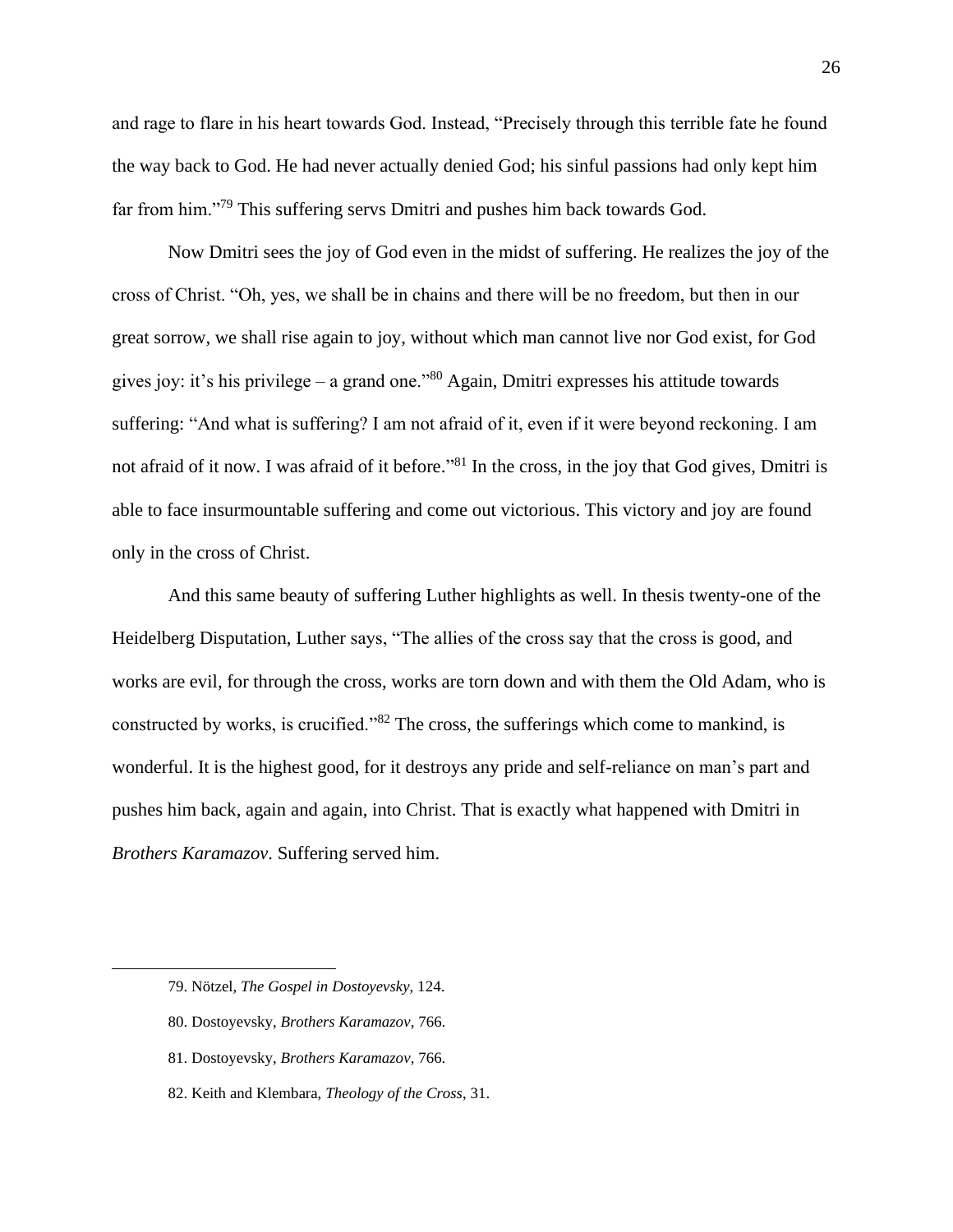and rage to flare in his heart towards God. Instead, "Precisely through this terrible fate he found the way back to God. He had never actually denied God; his sinful passions had only kept him far from him."<sup>79</sup> This suffering servs Dmitri and pushes him back towards God.

Now Dmitri sees the joy of God even in the midst of suffering. He realizes the joy of the cross of Christ. "Oh, yes, we shall be in chains and there will be no freedom, but then in our great sorrow, we shall rise again to joy, without which man cannot live nor God exist, for God gives joy: it's his privilege – a grand one." $80$  Again, Dmitri expresses his attitude towards suffering: "And what is suffering? I am not afraid of it, even if it were beyond reckoning. I am not afraid of it now. I was afraid of it before."<sup>81</sup> In the cross, in the joy that God gives, Dmitri is able to face insurmountable suffering and come out victorious. This victory and joy are found only in the cross of Christ.

And this same beauty of suffering Luther highlights as well. In thesis twenty-one of the Heidelberg Disputation, Luther says, "The allies of the cross say that the cross is good, and works are evil, for through the cross, works are torn down and with them the Old Adam, who is constructed by works, is crucified."<sup>82</sup> The cross, the sufferings which come to mankind, is wonderful. It is the highest good, for it destroys any pride and self-reliance on man's part and pushes him back, again and again, into Christ. That is exactly what happened with Dmitri in *Brothers Karamazov*. Suffering served him.

- 80. Dostoyevsky, *Brothers Karamazov*, 766.
- 81. Dostoyevsky, *Brothers Karamazov*, 766.
- 82. Keith and Klembara, *Theology of the Cross*, 31.

<sup>79.</sup> Nötzel, *The Gospel in Dostoyevsky*, 124.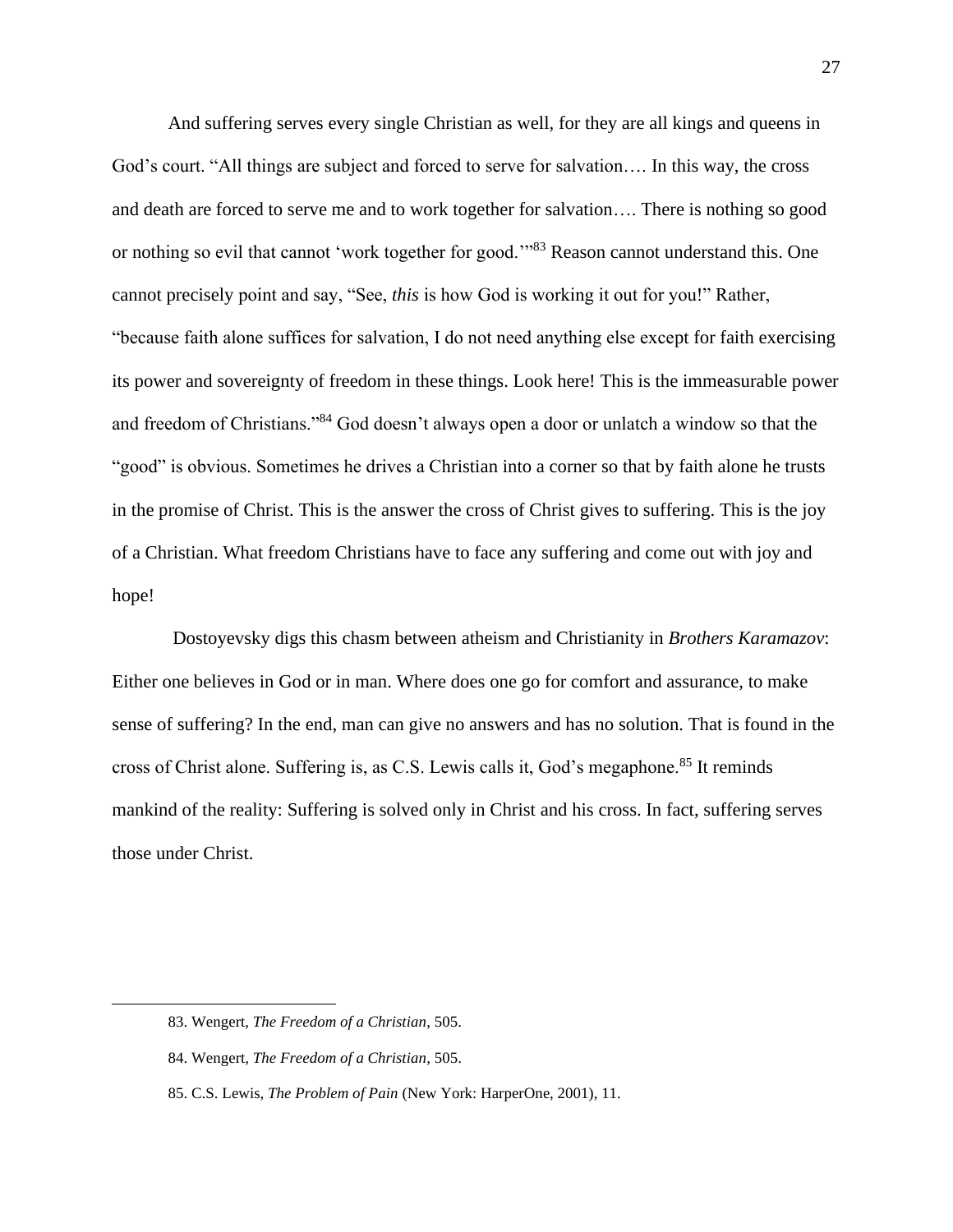And suffering serves every single Christian as well, for they are all kings and queens in God's court. "All things are subject and forced to serve for salvation…. In this way, the cross and death are forced to serve me and to work together for salvation…. There is nothing so good or nothing so evil that cannot 'work together for good.'<sup>83</sup> Reason cannot understand this. One cannot precisely point and say, "See, *this* is how God is working it out for you!" Rather, "because faith alone suffices for salvation, I do not need anything else except for faith exercising its power and sovereignty of freedom in these things. Look here! This is the immeasurable power and freedom of Christians."<sup>84</sup> God doesn't always open a door or unlatch a window so that the "good" is obvious. Sometimes he drives a Christian into a corner so that by faith alone he trusts in the promise of Christ. This is the answer the cross of Christ gives to suffering. This is the joy of a Christian. What freedom Christians have to face any suffering and come out with joy and hope!

Dostoyevsky digs this chasm between atheism and Christianity in *Brothers Karamazov*: Either one believes in God or in man. Where does one go for comfort and assurance, to make sense of suffering? In the end, man can give no answers and has no solution. That is found in the cross of Christ alone. Suffering is, as C.S. Lewis calls it, God's megaphone.<sup>85</sup> It reminds mankind of the reality: Suffering is solved only in Christ and his cross. In fact, suffering serves those under Christ.

<sup>83.</sup> Wengert, *The Freedom of a Christian*, 505.

<sup>84.</sup> Wengert, *The Freedom of a Christian*, 505.

<sup>85.</sup> C.S. Lewis, *The Problem of Pain* (New York: HarperOne, 2001), 11.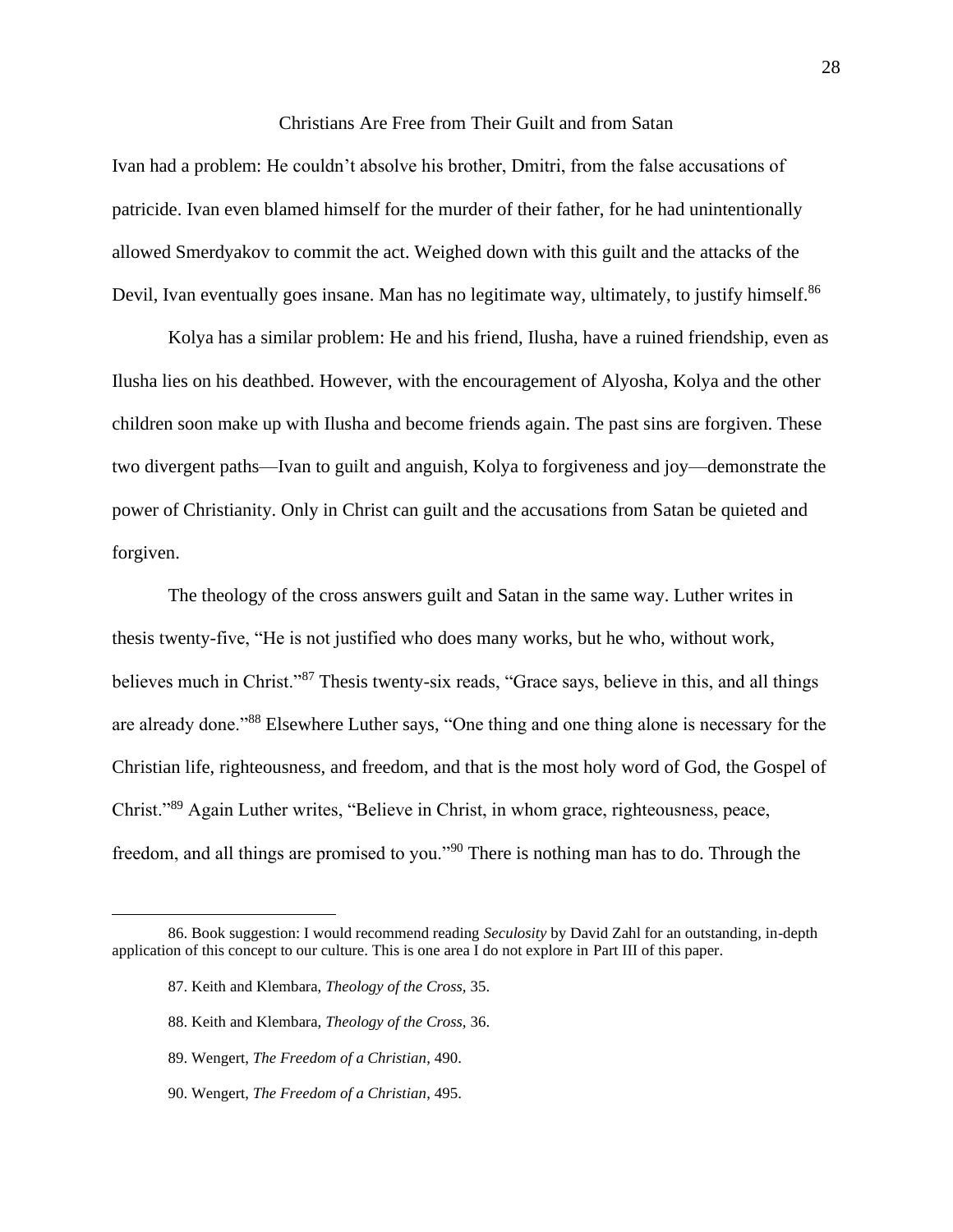#### Christians Are Free from Their Guilt and from Satan

Ivan had a problem: He couldn't absolve his brother, Dmitri, from the false accusations of patricide. Ivan even blamed himself for the murder of their father, for he had unintentionally allowed Smerdyakov to commit the act. Weighed down with this guilt and the attacks of the Devil, Ivan eventually goes insane. Man has no legitimate way, ultimately, to justify himself.<sup>86</sup>

Kolya has a similar problem: He and his friend, Ilusha, have a ruined friendship, even as Ilusha lies on his deathbed. However, with the encouragement of Alyosha, Kolya and the other children soon make up with Ilusha and become friends again. The past sins are forgiven. These two divergent paths—Ivan to guilt and anguish, Kolya to forgiveness and joy—demonstrate the power of Christianity. Only in Christ can guilt and the accusations from Satan be quieted and forgiven.

The theology of the cross answers guilt and Satan in the same way. Luther writes in thesis twenty-five, "He is not justified who does many works, but he who, without work, believes much in Christ."<sup>87</sup> Thesis twenty-six reads, "Grace says, believe in this, and all things are already done."<sup>88</sup> Elsewhere Luther says, "One thing and one thing alone is necessary for the Christian life, righteousness, and freedom, and that is the most holy word of God, the Gospel of Christ."<sup>89</sup> Again Luther writes, "Believe in Christ, in whom grace, righteousness, peace, freedom, and all things are promised to you."<sup>90</sup> There is nothing man has to do. Through the

<sup>86.</sup> Book suggestion: I would recommend reading *Seculosity* by David Zahl for an outstanding, in-depth application of this concept to our culture. This is one area I do not explore in Part III of this paper.

<sup>87.</sup> Keith and Klembara, *Theology of the Cross,* 35.

<sup>88.</sup> Keith and Klembara, *Theology of the Cross,* 36.

<sup>89.</sup> Wengert, *The Freedom of a Christian*, 490.

<sup>90.</sup> Wengert, *The Freedom of a Christian*, 495.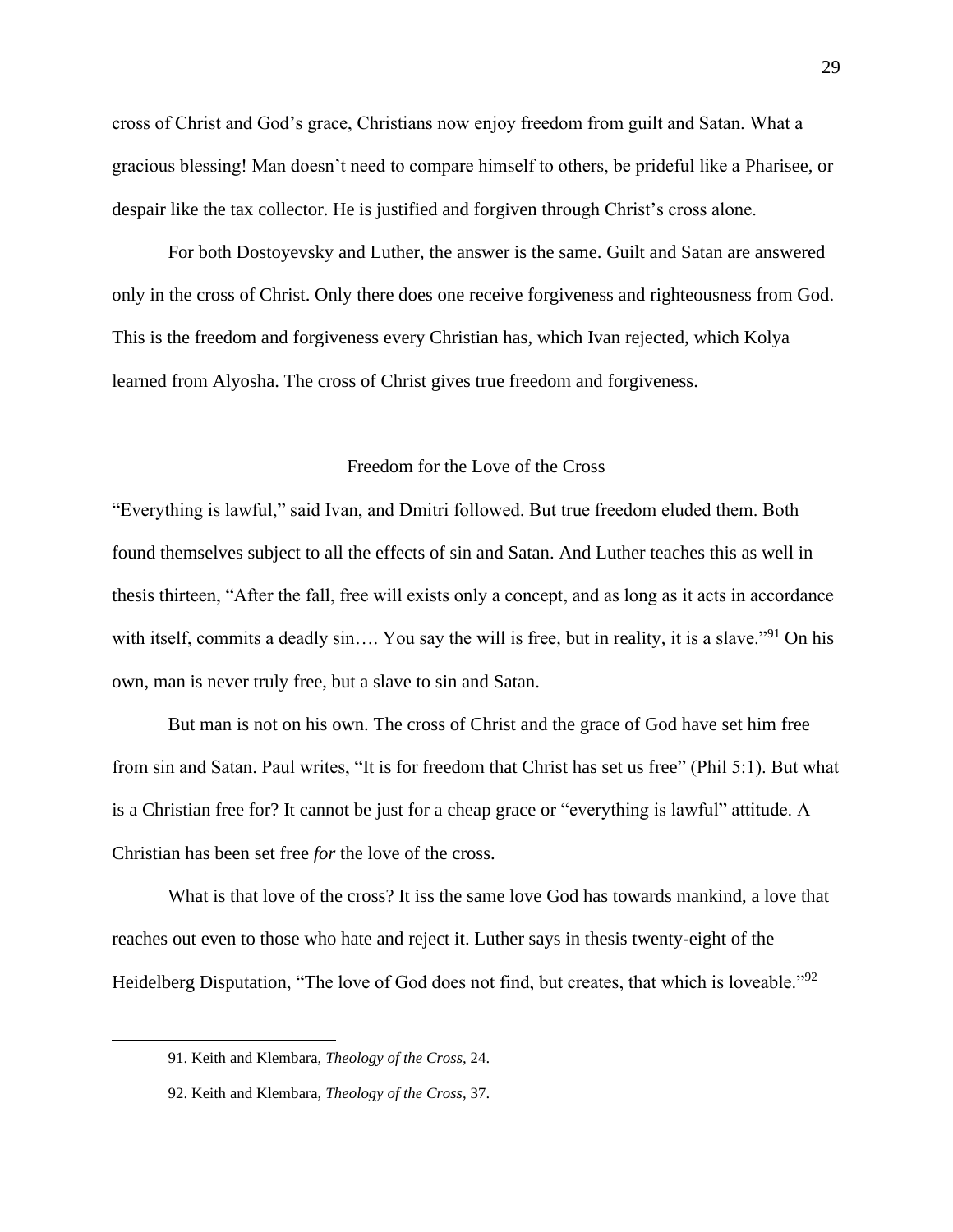cross of Christ and God's grace, Christians now enjoy freedom from guilt and Satan. What a gracious blessing! Man doesn't need to compare himself to others, be prideful like a Pharisee, or despair like the tax collector. He is justified and forgiven through Christ's cross alone.

For both Dostoyevsky and Luther, the answer is the same. Guilt and Satan are answered only in the cross of Christ. Only there does one receive forgiveness and righteousness from God. This is the freedom and forgiveness every Christian has, which Ivan rejected, which Kolya learned from Alyosha. The cross of Christ gives true freedom and forgiveness.

#### Freedom for the Love of the Cross

"Everything is lawful," said Ivan, and Dmitri followed. But true freedom eluded them. Both found themselves subject to all the effects of sin and Satan. And Luther teaches this as well in thesis thirteen, "After the fall, free will exists only a concept, and as long as it acts in accordance with itself, commits a deadly sin.... You say the will is free, but in reality, it is a slave."<sup>91</sup> On his own, man is never truly free, but a slave to sin and Satan.

But man is not on his own. The cross of Christ and the grace of God have set him free from sin and Satan. Paul writes, "It is for freedom that Christ has set us free" (Phil 5:1). But what is a Christian free for? It cannot be just for a cheap grace or "everything is lawful" attitude. A Christian has been set free *for* the love of the cross.

What is that love of the cross? It iss the same love God has towards mankind, a love that reaches out even to those who hate and reject it. Luther says in thesis twenty-eight of the Heidelberg Disputation, "The love of God does not find, but creates, that which is loveable."<sup>92</sup>

<sup>91.</sup> Keith and Klembara, *Theology of the Cross,* 24.

<sup>92.</sup> Keith and Klembara, *Theology of the Cross*, 37.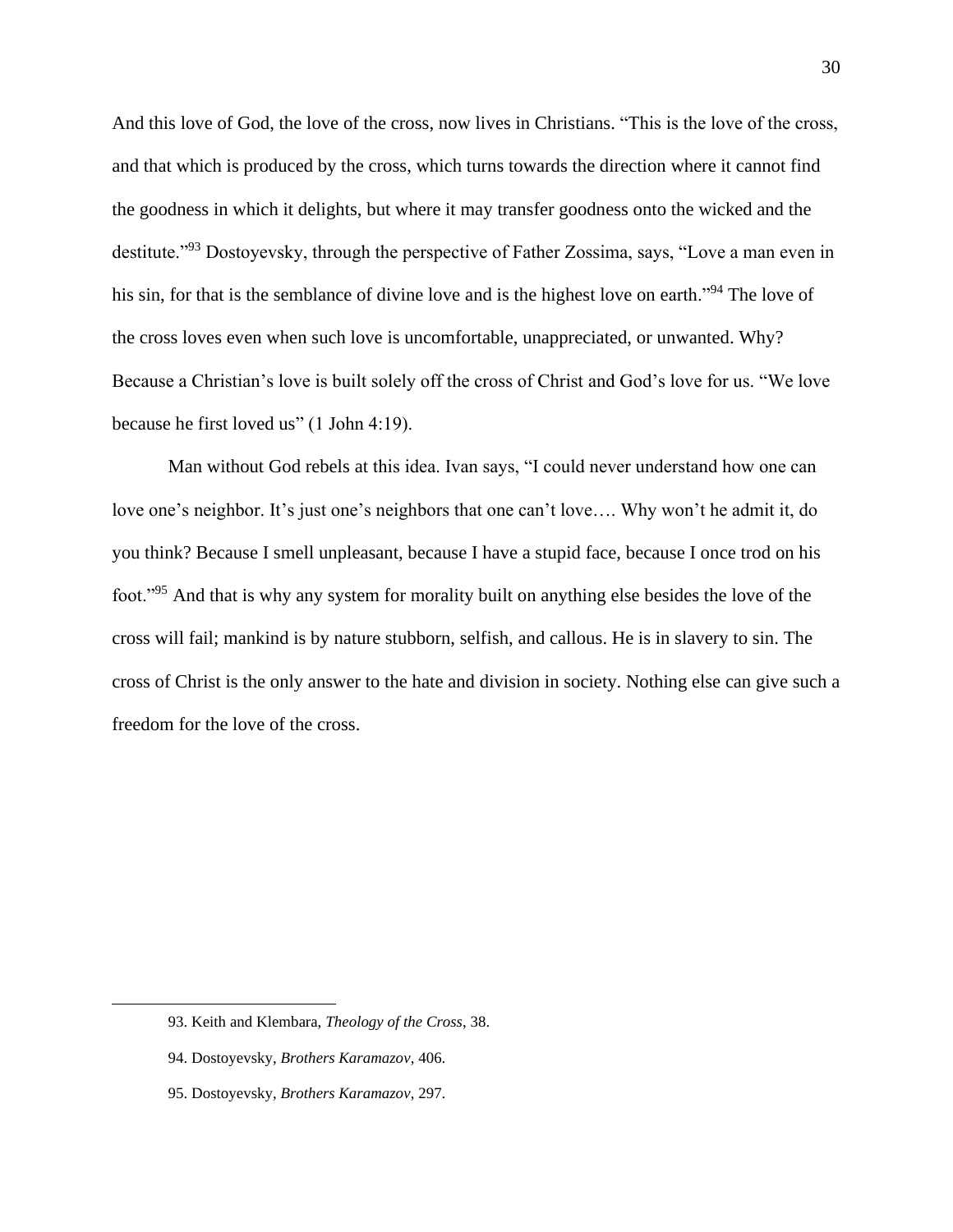And this love of God, the love of the cross, now lives in Christians. "This is the love of the cross, and that which is produced by the cross, which turns towards the direction where it cannot find the goodness in which it delights, but where it may transfer goodness onto the wicked and the destitute."<sup>93</sup> Dostoyevsky, through the perspective of Father Zossima, says, "Love a man even in his sin, for that is the semblance of divine love and is the highest love on earth."<sup>94</sup> The love of the cross loves even when such love is uncomfortable, unappreciated, or unwanted. Why? Because a Christian's love is built solely off the cross of Christ and God's love for us. "We love because he first loved us" (1 John 4:19).

Man without God rebels at this idea. Ivan says, "I could never understand how one can love one's neighbor. It's just one's neighbors that one can't love…. Why won't he admit it, do you think? Because I smell unpleasant, because I have a stupid face, because I once trod on his foot."<sup>95</sup> And that is why any system for morality built on anything else besides the love of the cross will fail; mankind is by nature stubborn, selfish, and callous. He is in slavery to sin. The cross of Christ is the only answer to the hate and division in society. Nothing else can give such a freedom for the love of the cross.

<sup>93.</sup> Keith and Klembara, *Theology of the Cross*, 38.

<sup>94.</sup> Dostoyevsky, *Brothers Karamazov*, 406.

<sup>95.</sup> Dostoyevsky, *Brothers Karamazov*, 297.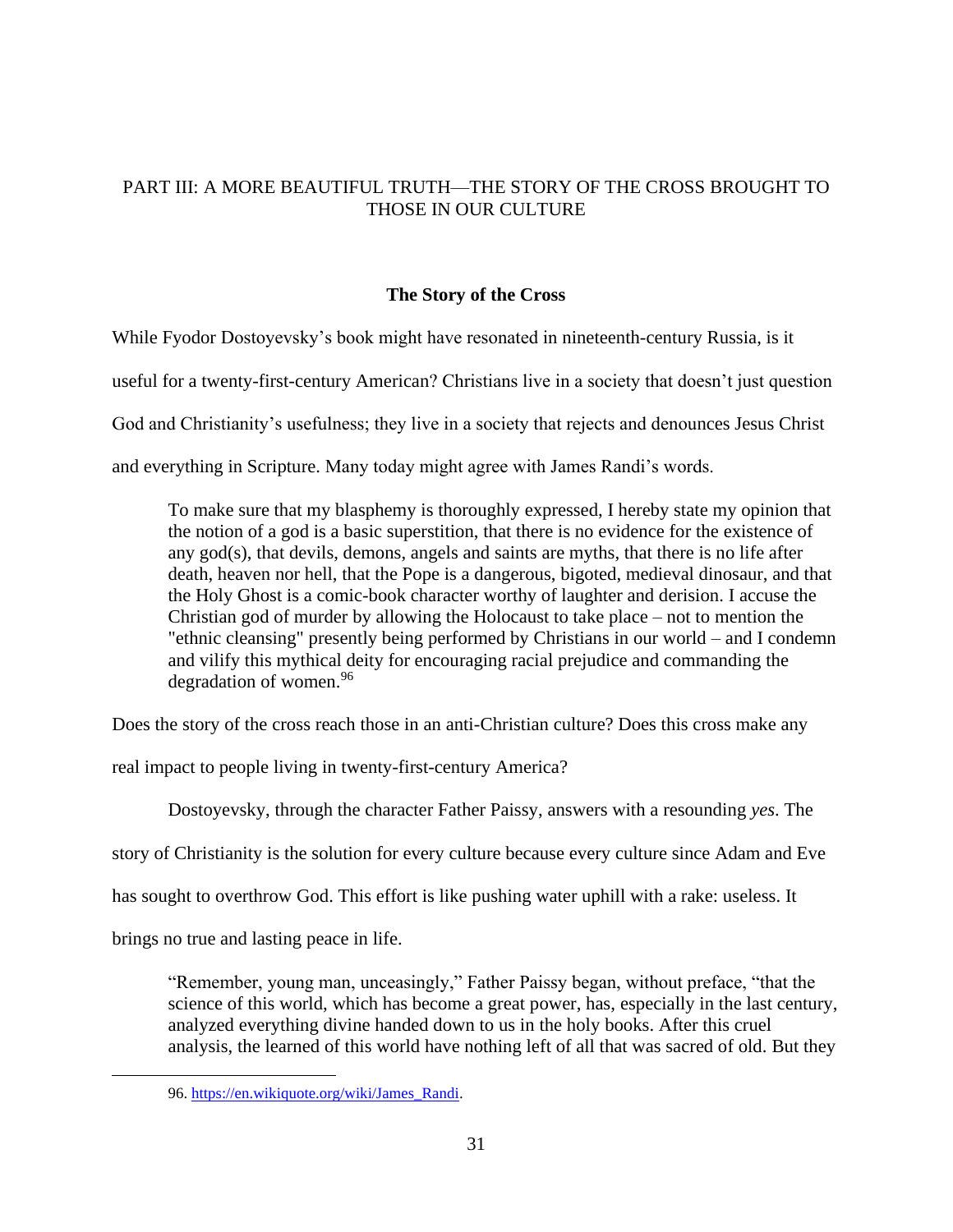# PART III: A MORE BEAUTIFUL TRUTH—THE STORY OF THE CROSS BROUGHT TO THOSE IN OUR CULTURE

# **The Story of the Cross**

While Fyodor Dostoyevsky's book might have resonated in nineteenth-century Russia, is it useful for a twenty-first-century American? Christians live in a society that doesn't just question God and Christianity's usefulness; they live in a society that rejects and denounces Jesus Christ and everything in Scripture. Many today might agree with James Randi's words.

To make sure that my blasphemy is thoroughly expressed, I hereby state my opinion that the notion of a god is a basic superstition, that there is no evidence for the existence of any god(s), that devils, demons, angels and saints are myths, that there is no life after death, heaven nor hell, that the Pope is a dangerous, bigoted, medieval dinosaur, and that the Holy Ghost is a comic-book character worthy of laughter and derision. I accuse the Christian god of murder by allowing the Holocaust to take place – not to mention the "ethnic cleansing" presently being performed by Christians in our world – and I condemn and vilify this mythical deity for encouraging racial prejudice and commanding the degradation of women.<sup>96</sup>

Does the story of the cross reach those in an anti-Christian culture? Does this cross make any

real impact to people living in twenty-first-century America?

Dostoyevsky, through the character Father Paissy, answers with a resounding *yes*. The

story of Christianity is the solution for every culture because every culture since Adam and Eve

has sought to overthrow God. This effort is like pushing water uphill with a rake: useless. It

brings no true and lasting peace in life.

"Remember, young man, unceasingly," Father Paissy began, without preface, "that the science of this world, which has become a great power, has, especially in the last century, analyzed everything divine handed down to us in the holy books. After this cruel analysis, the learned of this world have nothing left of all that was sacred of old. But they

<sup>96.</sup> [https://en.wikiquote.org/wiki/James\\_Randi.](https://en.wikiquote.org/wiki/James_Randi)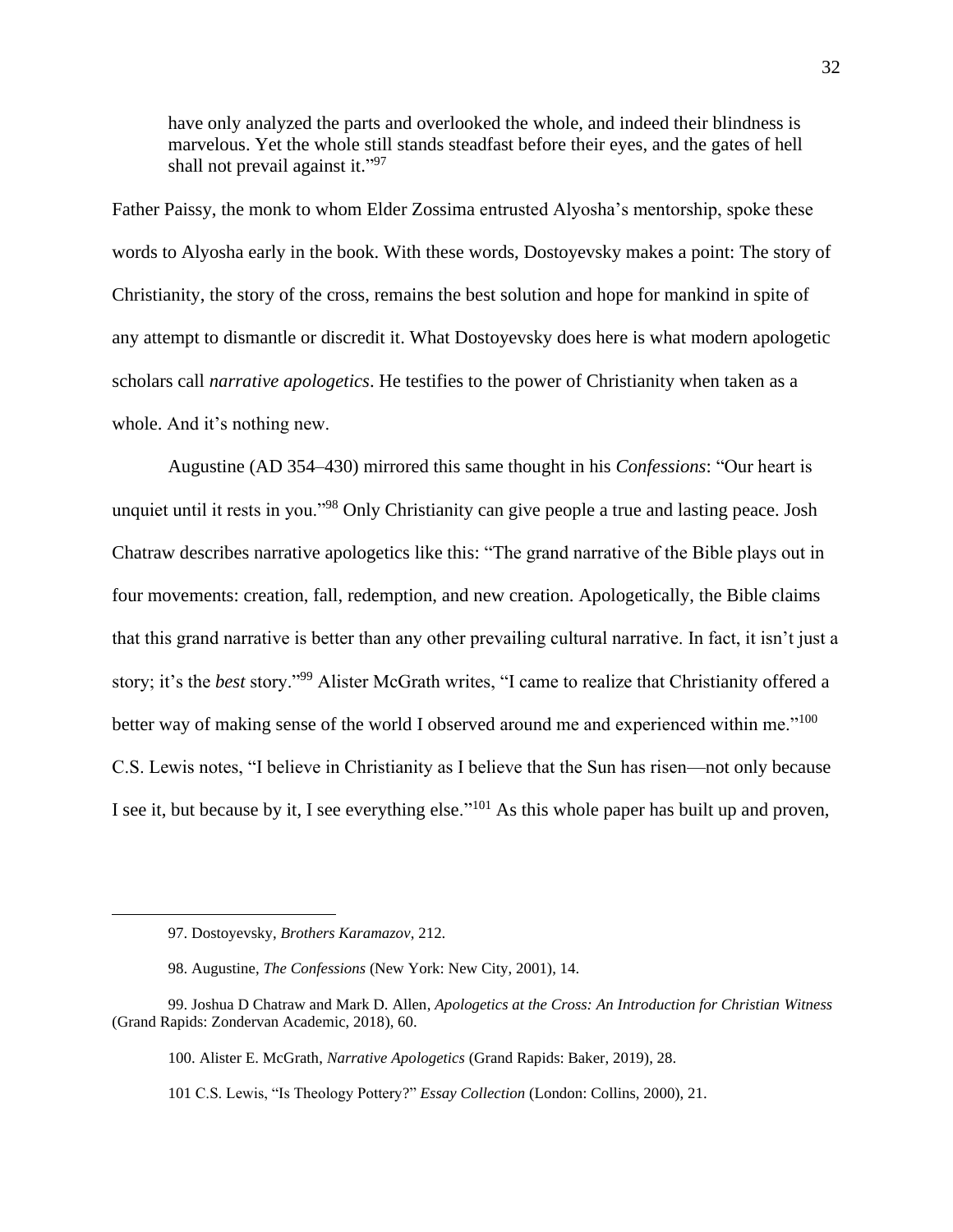have only analyzed the parts and overlooked the whole, and indeed their blindness is marvelous. Yet the whole still stands steadfast before their eyes, and the gates of hell shall not prevail against it."97

Father Paissy, the monk to whom Elder Zossima entrusted Alyosha's mentorship, spoke these words to Alyosha early in the book. With these words, Dostoyevsky makes a point: The story of Christianity, the story of the cross, remains the best solution and hope for mankind in spite of any attempt to dismantle or discredit it. What Dostoyevsky does here is what modern apologetic scholars call *narrative apologetics*. He testifies to the power of Christianity when taken as a whole. And it's nothing new.

Augustine (AD 354–430) mirrored this same thought in his *Confessions*: "Our heart is unquiet until it rests in you."<sup>98</sup> Only Christianity can give people a true and lasting peace. Josh Chatraw describes narrative apologetics like this: "The grand narrative of the Bible plays out in four movements: creation, fall, redemption, and new creation. Apologetically, the Bible claims that this grand narrative is better than any other prevailing cultural narrative. In fact, it isn't just a story; it's the *best* story."<sup>99</sup> Alister McGrath writes, "I came to realize that Christianity offered a better way of making sense of the world I observed around me and experienced within me."<sup>100</sup> C.S. Lewis notes, "I believe in Christianity as I believe that the Sun has risen—not only because I see it, but because by it, I see everything else."<sup>101</sup> As this whole paper has built up and proven,

100. Alister E. McGrath, *Narrative Apologetics* (Grand Rapids: Baker, 2019), 28.

101 C.S. Lewis, "Is Theology Pottery?" *Essay Collection* (London: Collins, 2000), 21.

<sup>97.</sup> Dostoyevsky, *Brothers Karamazov*, 212.

<sup>98.</sup> Augustine, *The Confessions* (New York: New City, 2001), 14.

<sup>99.</sup> Joshua D Chatraw and Mark D. Allen, *Apologetics at the Cross: An Introduction for Christian Witness* (Grand Rapids: Zondervan Academic, 2018), 60.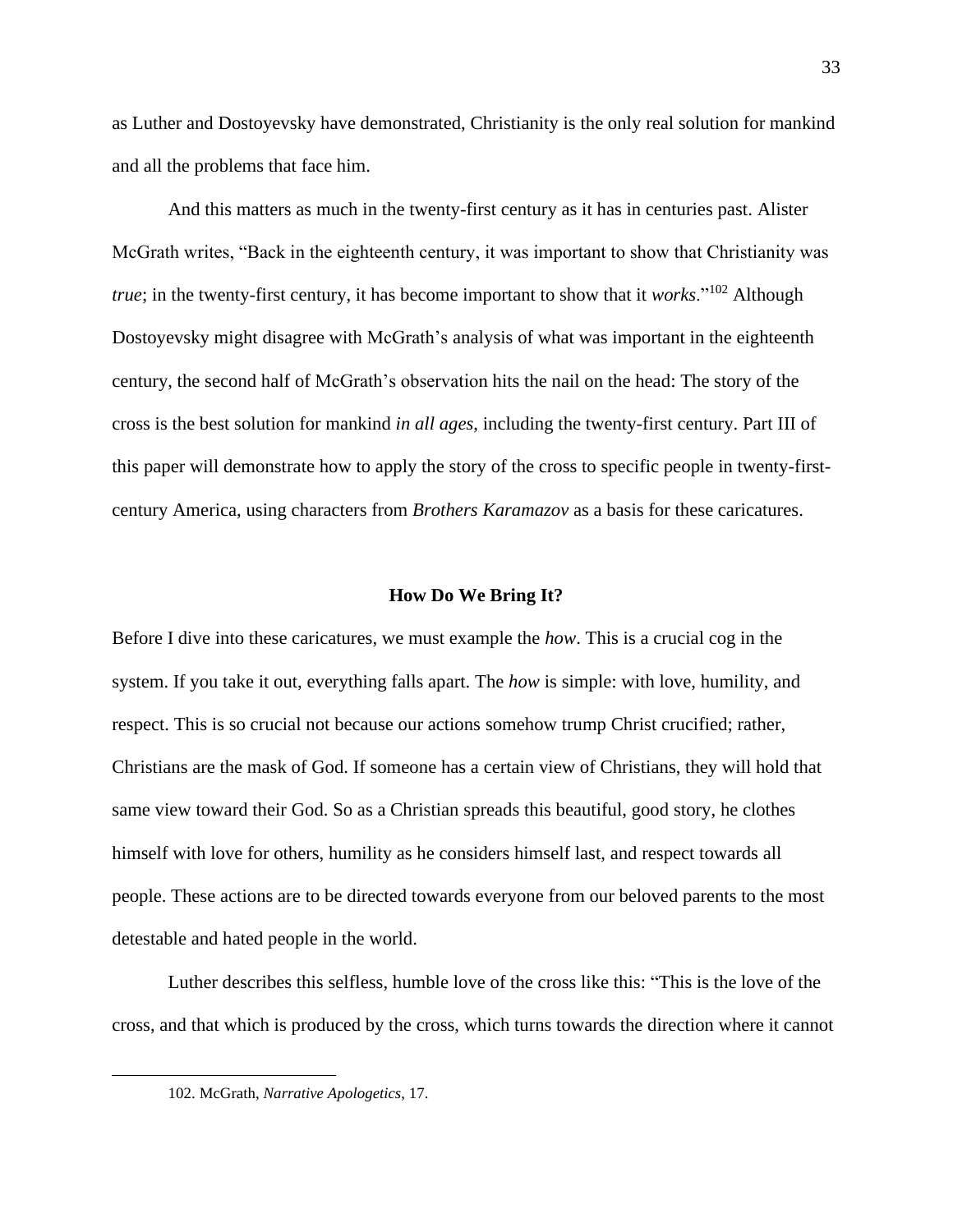as Luther and Dostoyevsky have demonstrated, Christianity is the only real solution for mankind and all the problems that face him.

And this matters as much in the twenty-first century as it has in centuries past. Alister McGrath writes, "Back in the eighteenth century, it was important to show that Christianity was *true*; in the twenty-first century, it has become important to show that it *works*."<sup>102</sup> Although Dostoyevsky might disagree with McGrath's analysis of what was important in the eighteenth century, the second half of McGrath's observation hits the nail on the head: The story of the cross is the best solution for mankind *in all ages*, including the twenty-first century. Part III of this paper will demonstrate how to apply the story of the cross to specific people in twenty-firstcentury America, using characters from *Brothers Karamazov* as a basis for these caricatures.

#### **How Do We Bring It?**

Before I dive into these caricatures, we must example the *how*. This is a crucial cog in the system. If you take it out, everything falls apart. The *how* is simple: with love, humility, and respect. This is so crucial not because our actions somehow trump Christ crucified; rather, Christians are the mask of God. If someone has a certain view of Christians, they will hold that same view toward their God. So as a Christian spreads this beautiful, good story, he clothes himself with love for others, humility as he considers himself last, and respect towards all people. These actions are to be directed towards everyone from our beloved parents to the most detestable and hated people in the world.

Luther describes this selfless, humble love of the cross like this: "This is the love of the cross, and that which is produced by the cross, which turns towards the direction where it cannot

<sup>102.</sup> McGrath, *Narrative Apologetics*, 17.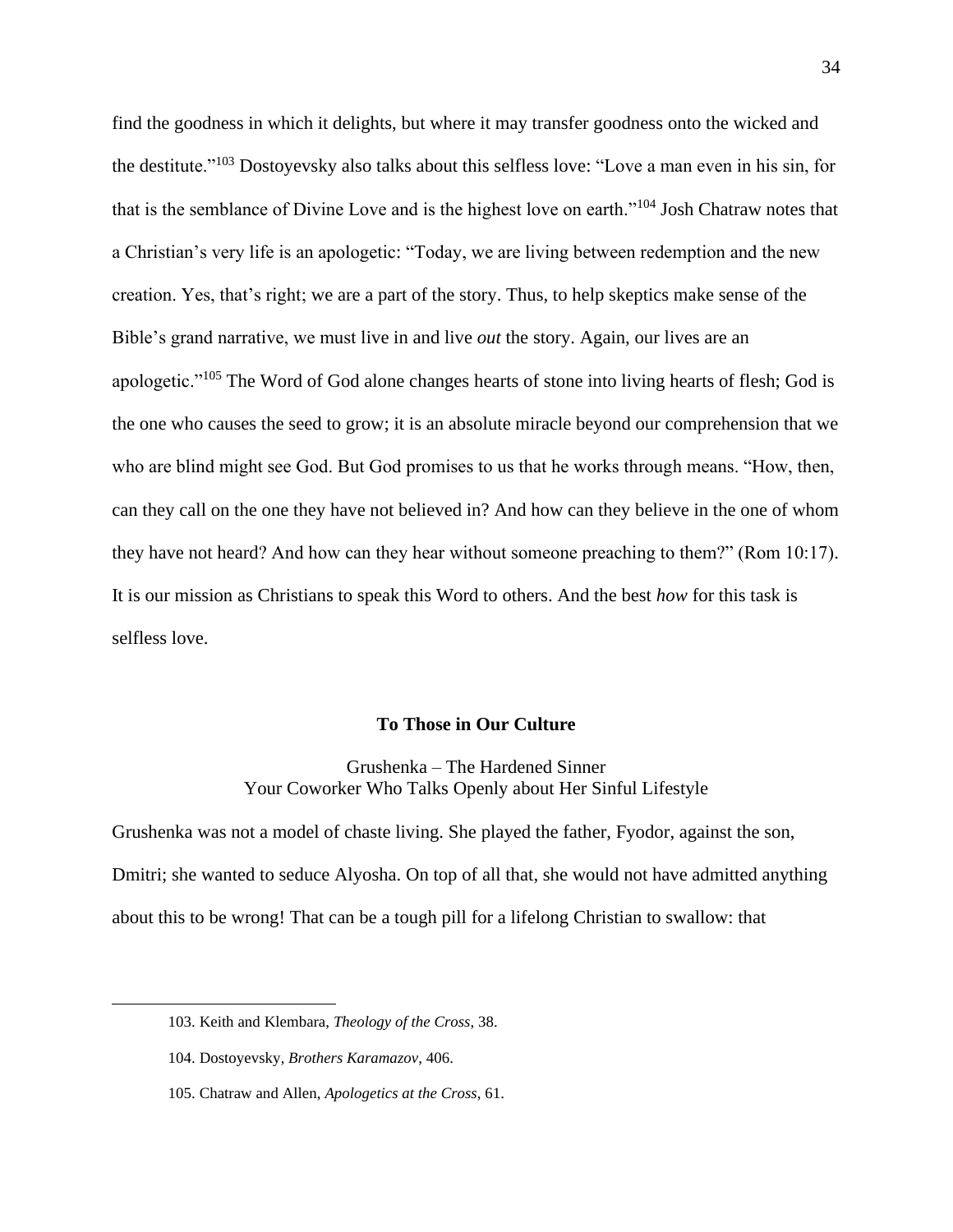find the goodness in which it delights, but where it may transfer goodness onto the wicked and the destitute."<sup>103</sup> Dostoyevsky also talks about this selfless love: "Love a man even in his sin, for that is the semblance of Divine Love and is the highest love on earth."<sup>104</sup> Josh Chatraw notes that a Christian's very life is an apologetic: "Today, we are living between redemption and the new creation. Yes, that's right; we are a part of the story. Thus, to help skeptics make sense of the Bible's grand narrative, we must live in and live *out* the story. Again, our lives are an apologetic."<sup>105</sup> The Word of God alone changes hearts of stone into living hearts of flesh; God is the one who causes the seed to grow; it is an absolute miracle beyond our comprehension that we who are blind might see God. But God promises to us that he works through means. "How, then, can they call on the one they have not believed in? And how can they believe in the one of whom they have not heard? And how can they hear without someone preaching to them?" (Rom 10:17). It is our mission as Christians to speak this Word to others. And the best *how* for this task is selfless love.

#### **To Those in Our Culture**

Grushenka – The Hardened Sinner Your Coworker Who Talks Openly about Her Sinful Lifestyle

Grushenka was not a model of chaste living. She played the father, Fyodor, against the son, Dmitri; she wanted to seduce Alyosha. On top of all that, she would not have admitted anything about this to be wrong! That can be a tough pill for a lifelong Christian to swallow: that

<sup>103.</sup> Keith and Klembara, *Theology of the Cross*, 38.

<sup>104.</sup> Dostoyevsky, *Brothers Karamazov*, 406.

<sup>105.</sup> Chatraw and Allen, *Apologetics at the Cross*, 61.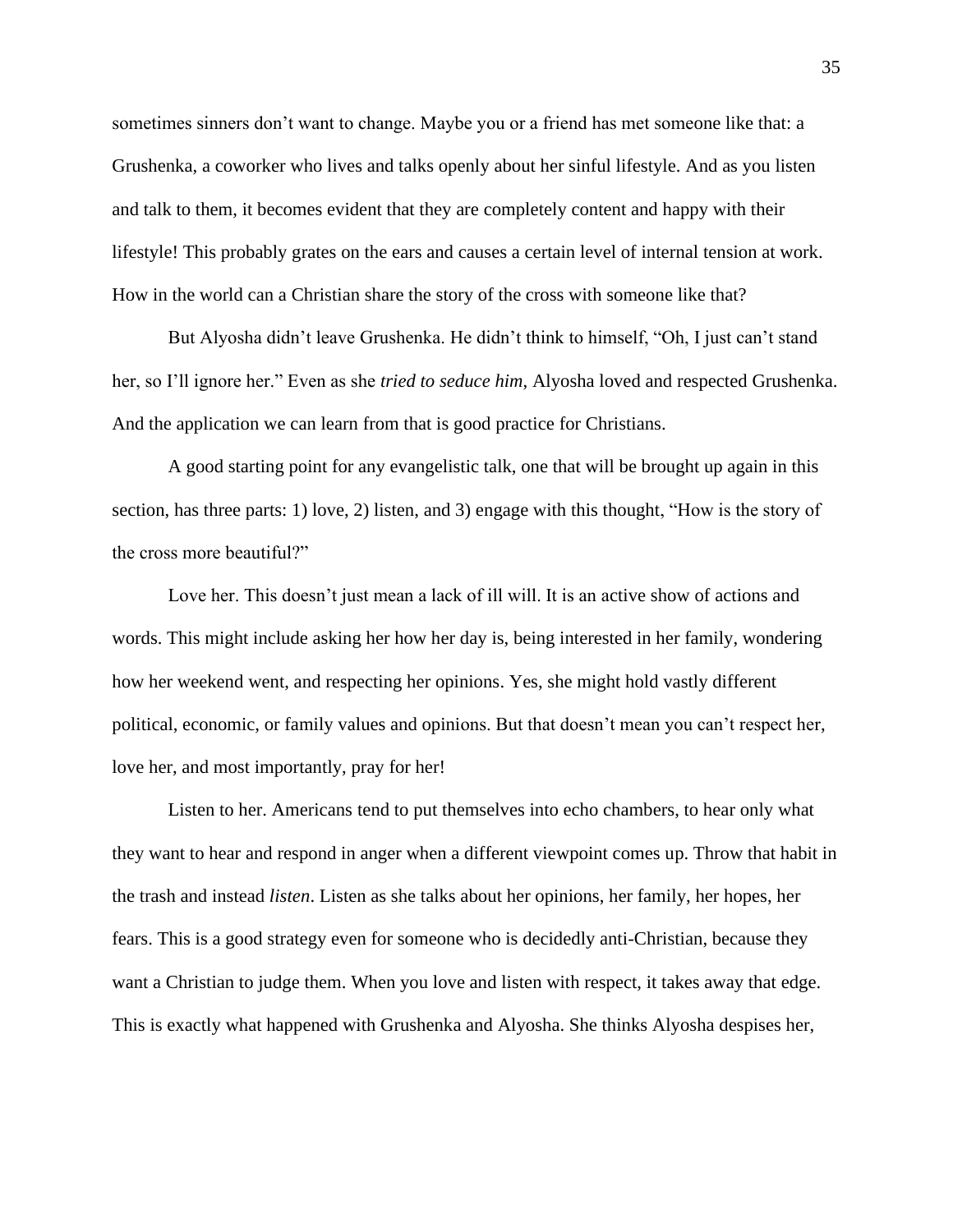sometimes sinners don't want to change. Maybe you or a friend has met someone like that: a Grushenka, a coworker who lives and talks openly about her sinful lifestyle. And as you listen and talk to them, it becomes evident that they are completely content and happy with their lifestyle! This probably grates on the ears and causes a certain level of internal tension at work. How in the world can a Christian share the story of the cross with someone like that?

But Alyosha didn't leave Grushenka. He didn't think to himself, "Oh, I just can't stand her, so I'll ignore her." Even as she *tried to seduce him*, Alyosha loved and respected Grushenka. And the application we can learn from that is good practice for Christians.

A good starting point for any evangelistic talk, one that will be brought up again in this section, has three parts: 1) love, 2) listen, and 3) engage with this thought, "How is the story of the cross more beautiful?"

Love her. This doesn't just mean a lack of ill will. It is an active show of actions and words. This might include asking her how her day is, being interested in her family, wondering how her weekend went, and respecting her opinions. Yes, she might hold vastly different political, economic, or family values and opinions. But that doesn't mean you can't respect her, love her, and most importantly, pray for her!

Listen to her. Americans tend to put themselves into echo chambers, to hear only what they want to hear and respond in anger when a different viewpoint comes up. Throw that habit in the trash and instead *listen*. Listen as she talks about her opinions, her family, her hopes, her fears. This is a good strategy even for someone who is decidedly anti-Christian, because they want a Christian to judge them. When you love and listen with respect, it takes away that edge. This is exactly what happened with Grushenka and Alyosha. She thinks Alyosha despises her,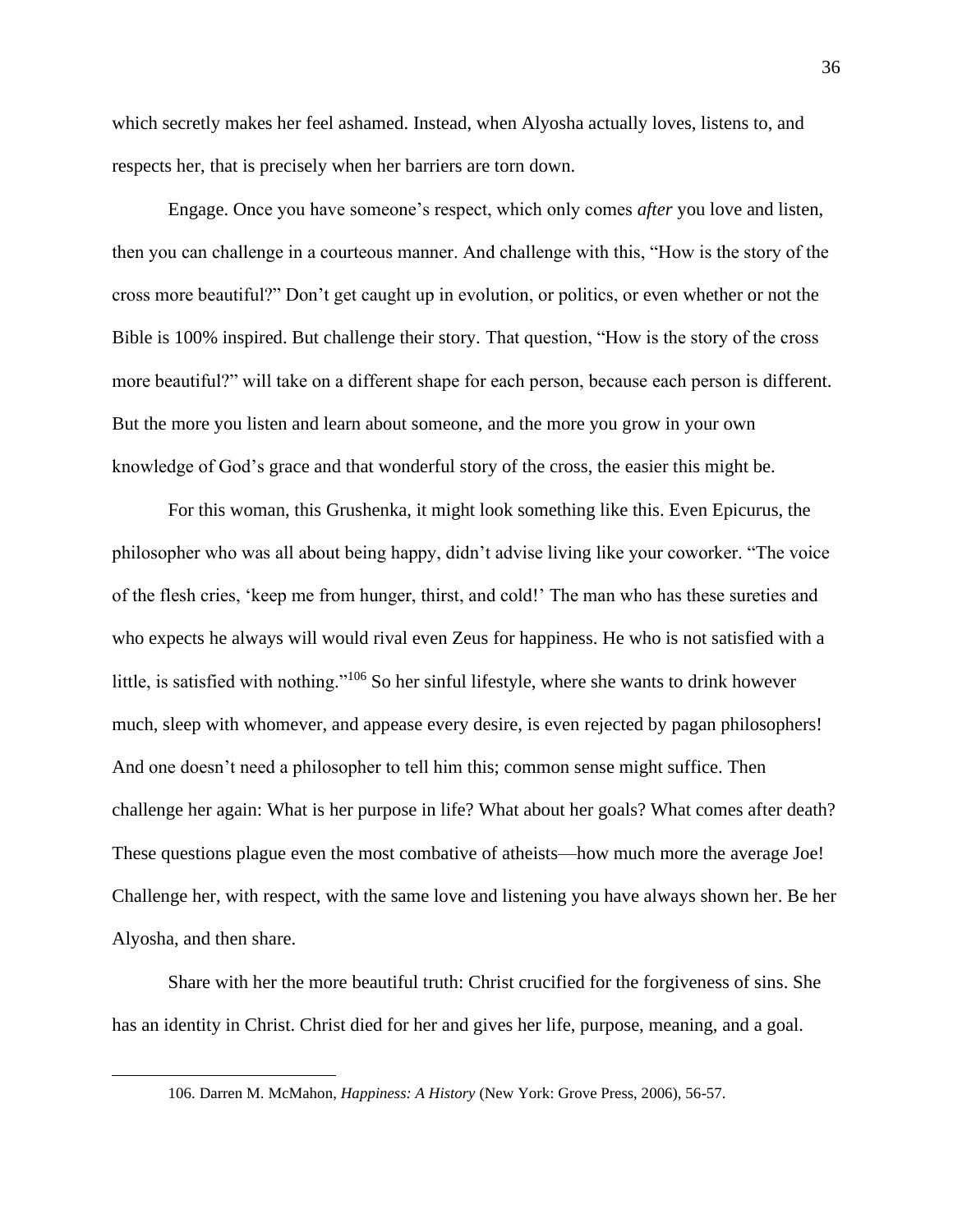which secretly makes her feel ashamed. Instead, when Alyosha actually loves, listens to, and respects her, that is precisely when her barriers are torn down.

Engage. Once you have someone's respect, which only comes *after* you love and listen, then you can challenge in a courteous manner. And challenge with this, "How is the story of the cross more beautiful?" Don't get caught up in evolution, or politics, or even whether or not the Bible is 100% inspired. But challenge their story. That question, "How is the story of the cross more beautiful?" will take on a different shape for each person, because each person is different. But the more you listen and learn about someone, and the more you grow in your own knowledge of God's grace and that wonderful story of the cross, the easier this might be.

For this woman, this Grushenka, it might look something like this. Even Epicurus, the philosopher who was all about being happy, didn't advise living like your coworker. "The voice of the flesh cries, 'keep me from hunger, thirst, and cold!' The man who has these sureties and who expects he always will would rival even Zeus for happiness. He who is not satisfied with a little, is satisfied with nothing."<sup>106</sup> So her sinful lifestyle, where she wants to drink however much, sleep with whomever, and appease every desire, is even rejected by pagan philosophers! And one doesn't need a philosopher to tell him this; common sense might suffice. Then challenge her again: What is her purpose in life? What about her goals? What comes after death? These questions plague even the most combative of atheists—how much more the average Joe! Challenge her, with respect, with the same love and listening you have always shown her. Be her Alyosha, and then share.

Share with her the more beautiful truth: Christ crucified for the forgiveness of sins. She has an identity in Christ. Christ died for her and gives her life, purpose, meaning, and a goal.

<sup>106.</sup> Darren M. McMahon, *Happiness: A History* (New York: Grove Press, 2006), 56-57.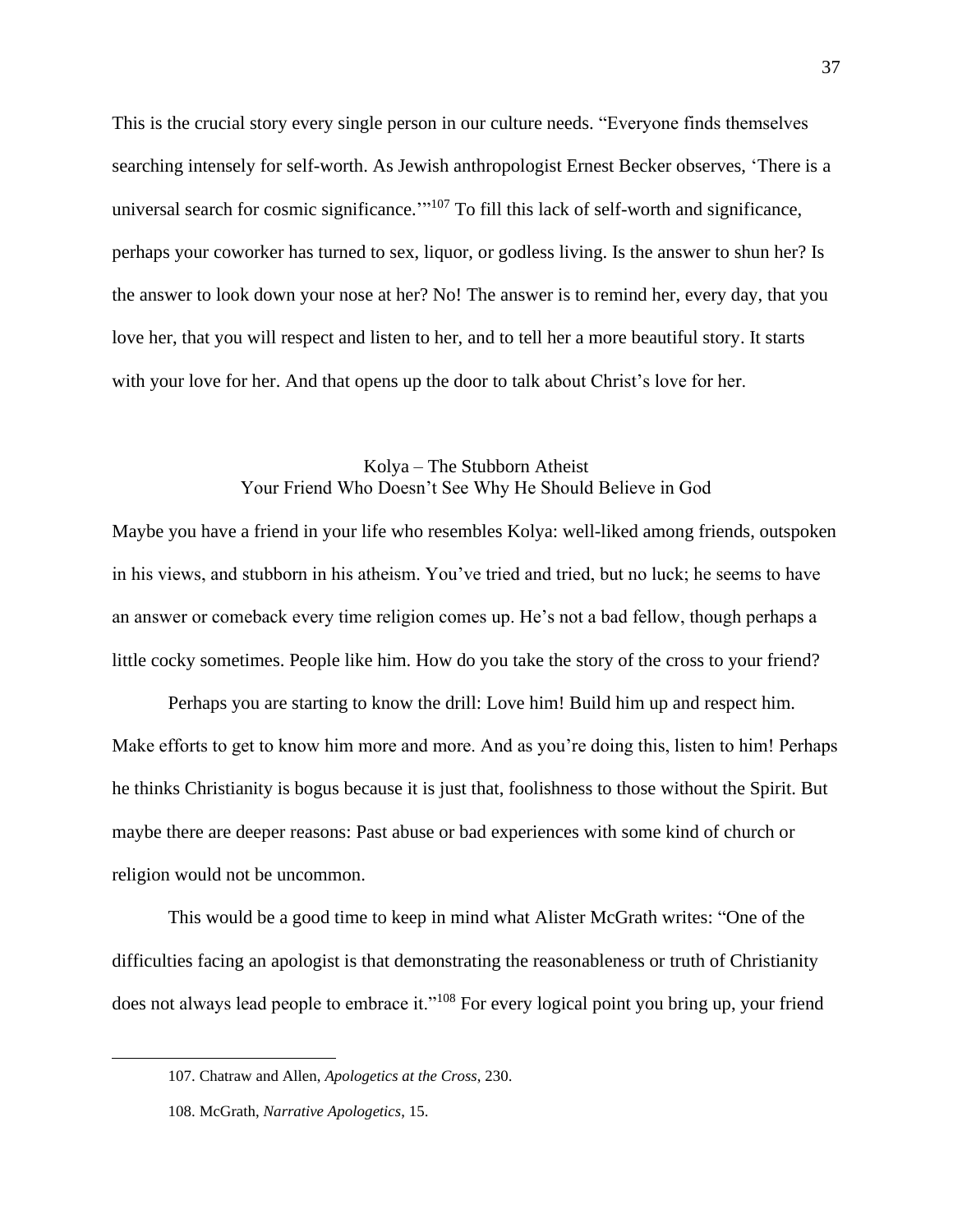This is the crucial story every single person in our culture needs. "Everyone finds themselves searching intensely for self-worth. As Jewish anthropologist Ernest Becker observes, 'There is a universal search for cosmic significance."<sup>107</sup> To fill this lack of self-worth and significance, perhaps your coworker has turned to sex, liquor, or godless living. Is the answer to shun her? Is the answer to look down your nose at her? No! The answer is to remind her, every day, that you love her, that you will respect and listen to her, and to tell her a more beautiful story. It starts with your love for her. And that opens up the door to talk about Christ's love for her.

## Kolya – The Stubborn Atheist Your Friend Who Doesn't See Why He Should Believe in God

Maybe you have a friend in your life who resembles Kolya: well-liked among friends, outspoken in his views, and stubborn in his atheism. You've tried and tried, but no luck; he seems to have an answer or comeback every time religion comes up. He's not a bad fellow, though perhaps a little cocky sometimes. People like him. How do you take the story of the cross to your friend?

Perhaps you are starting to know the drill: Love him! Build him up and respect him. Make efforts to get to know him more and more. And as you're doing this, listen to him! Perhaps he thinks Christianity is bogus because it is just that, foolishness to those without the Spirit. But maybe there are deeper reasons: Past abuse or bad experiences with some kind of church or religion would not be uncommon.

This would be a good time to keep in mind what Alister McGrath writes: "One of the difficulties facing an apologist is that demonstrating the reasonableness or truth of Christianity does not always lead people to embrace it."<sup>108</sup> For every logical point you bring up, your friend

<sup>107.</sup> Chatraw and Allen, *Apologetics at the Cross*, 230.

<sup>108.</sup> McGrath, *Narrative Apologetics*, 15.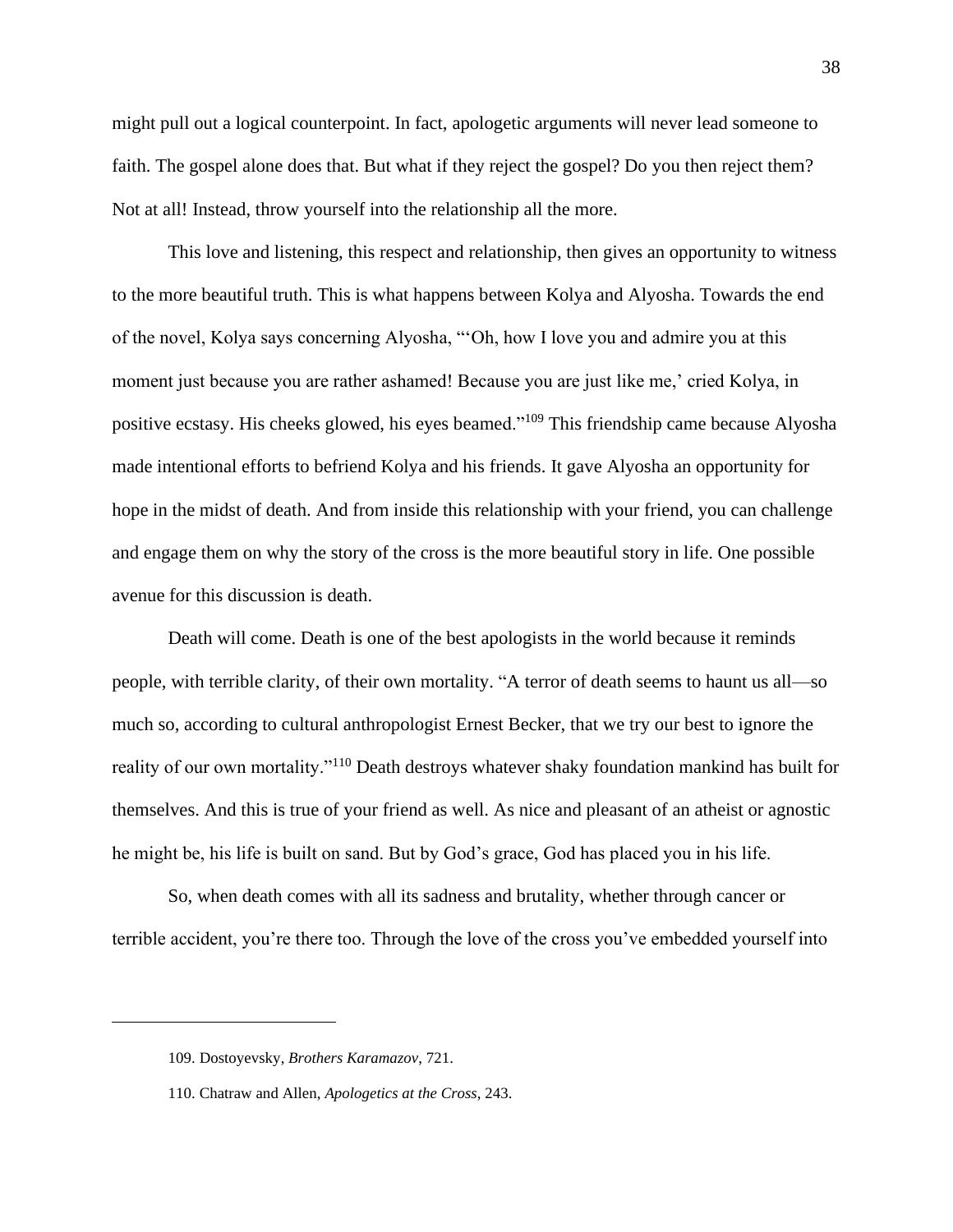might pull out a logical counterpoint. In fact, apologetic arguments will never lead someone to faith. The gospel alone does that. But what if they reject the gospel? Do you then reject them? Not at all! Instead, throw yourself into the relationship all the more.

This love and listening, this respect and relationship, then gives an opportunity to witness to the more beautiful truth. This is what happens between Kolya and Alyosha. Towards the end of the novel, Kolya says concerning Alyosha, "'Oh, how I love you and admire you at this moment just because you are rather ashamed! Because you are just like me,' cried Kolya, in positive ecstasy. His cheeks glowed, his eyes beamed."<sup>109</sup> This friendship came because Alyosha made intentional efforts to befriend Kolya and his friends. It gave Alyosha an opportunity for hope in the midst of death. And from inside this relationship with your friend, you can challenge and engage them on why the story of the cross is the more beautiful story in life. One possible avenue for this discussion is death.

Death will come. Death is one of the best apologists in the world because it reminds people, with terrible clarity, of their own mortality. "A terror of death seems to haunt us all—so much so, according to cultural anthropologist Ernest Becker, that we try our best to ignore the reality of our own mortality."<sup>110</sup> Death destroys whatever shaky foundation mankind has built for themselves. And this is true of your friend as well. As nice and pleasant of an atheist or agnostic he might be, his life is built on sand. But by God's grace, God has placed you in his life.

So, when death comes with all its sadness and brutality, whether through cancer or terrible accident, you're there too. Through the love of the cross you've embedded yourself into

<sup>109.</sup> Dostoyevsky, *Brothers Karamazov*, 721.

<sup>110.</sup> Chatraw and Allen, *Apologetics at the Cross*, 243.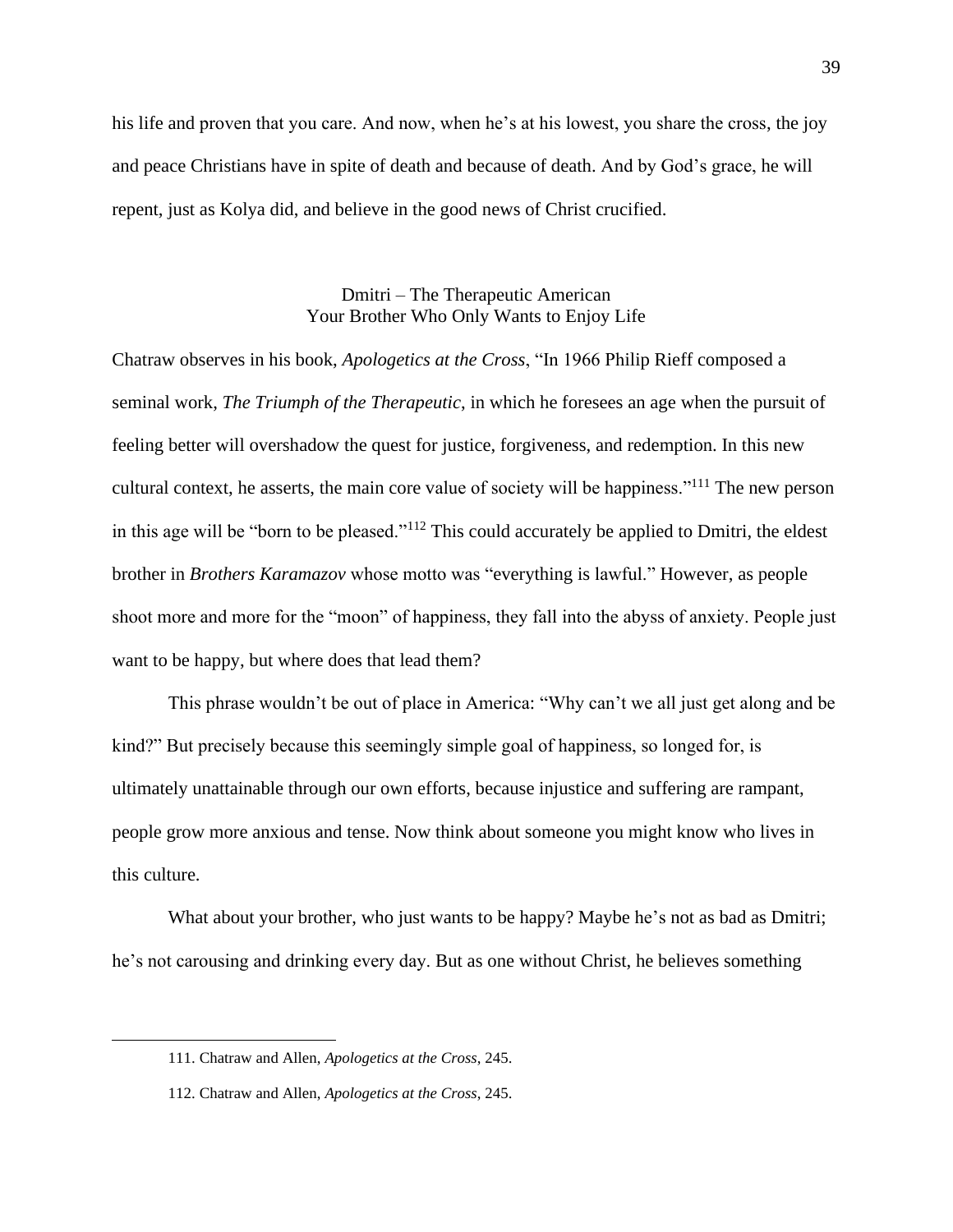his life and proven that you care. And now, when he's at his lowest, you share the cross, the joy and peace Christians have in spite of death and because of death. And by God's grace, he will repent, just as Kolya did, and believe in the good news of Christ crucified.

# Dmitri – The Therapeutic American Your Brother Who Only Wants to Enjoy Life

Chatraw observes in his book, *Apologetics at the Cross*, "In 1966 Philip Rieff composed a seminal work, *The Triumph of the Therapeutic*, in which he foresees an age when the pursuit of feeling better will overshadow the quest for justice, forgiveness, and redemption. In this new cultural context, he asserts, the main core value of society will be happiness."<sup>111</sup> The new person in this age will be "born to be pleased."<sup>112</sup> This could accurately be applied to Dmitri, the eldest brother in *Brothers Karamazov* whose motto was "everything is lawful." However, as people shoot more and more for the "moon" of happiness, they fall into the abyss of anxiety. People just want to be happy, but where does that lead them?

This phrase wouldn't be out of place in America: "Why can't we all just get along and be kind?" But precisely because this seemingly simple goal of happiness, so longed for, is ultimately unattainable through our own efforts, because injustice and suffering are rampant, people grow more anxious and tense. Now think about someone you might know who lives in this culture.

What about your brother, who just wants to be happy? Maybe he's not as bad as Dmitri; he's not carousing and drinking every day. But as one without Christ, he believes something

<sup>111.</sup> Chatraw and Allen, *Apologetics at the Cross*, 245.

<sup>112.</sup> Chatraw and Allen, *Apologetics at the Cross*, 245.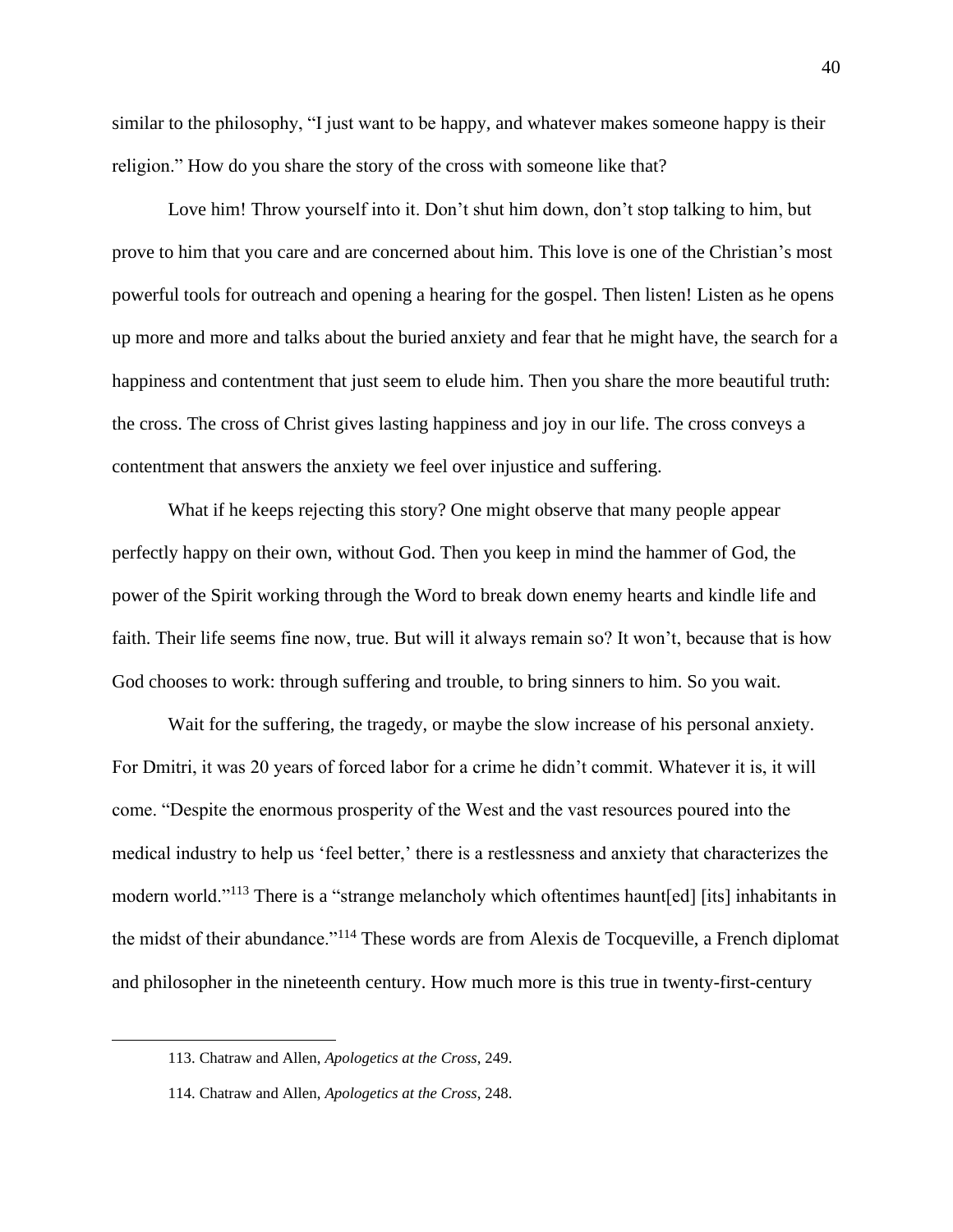similar to the philosophy, "I just want to be happy, and whatever makes someone happy is their religion." How do you share the story of the cross with someone like that?

Love him! Throw yourself into it. Don't shut him down, don't stop talking to him, but prove to him that you care and are concerned about him. This love is one of the Christian's most powerful tools for outreach and opening a hearing for the gospel. Then listen! Listen as he opens up more and more and talks about the buried anxiety and fear that he might have, the search for a happiness and contentment that just seem to elude him. Then you share the more beautiful truth: the cross. The cross of Christ gives lasting happiness and joy in our life. The cross conveys a contentment that answers the anxiety we feel over injustice and suffering.

What if he keeps rejecting this story? One might observe that many people appear perfectly happy on their own, without God. Then you keep in mind the hammer of God, the power of the Spirit working through the Word to break down enemy hearts and kindle life and faith. Their life seems fine now, true. But will it always remain so? It won't, because that is how God chooses to work: through suffering and trouble, to bring sinners to him. So you wait.

Wait for the suffering, the tragedy, or maybe the slow increase of his personal anxiety. For Dmitri, it was 20 years of forced labor for a crime he didn't commit. Whatever it is, it will come. "Despite the enormous prosperity of the West and the vast resources poured into the medical industry to help us 'feel better,' there is a restlessness and anxiety that characterizes the modern world."<sup>113</sup> There is a "strange melancholy which oftentimes haunt[ed] [its] inhabitants in the midst of their abundance."<sup>114</sup> These words are from Alexis de Tocqueville, a French diplomat and philosopher in the nineteenth century. How much more is this true in twenty-first-century

<sup>113.</sup> Chatraw and Allen, *Apologetics at the Cross*, 249.

<sup>114.</sup> Chatraw and Allen, *Apologetics at the Cross*, 248.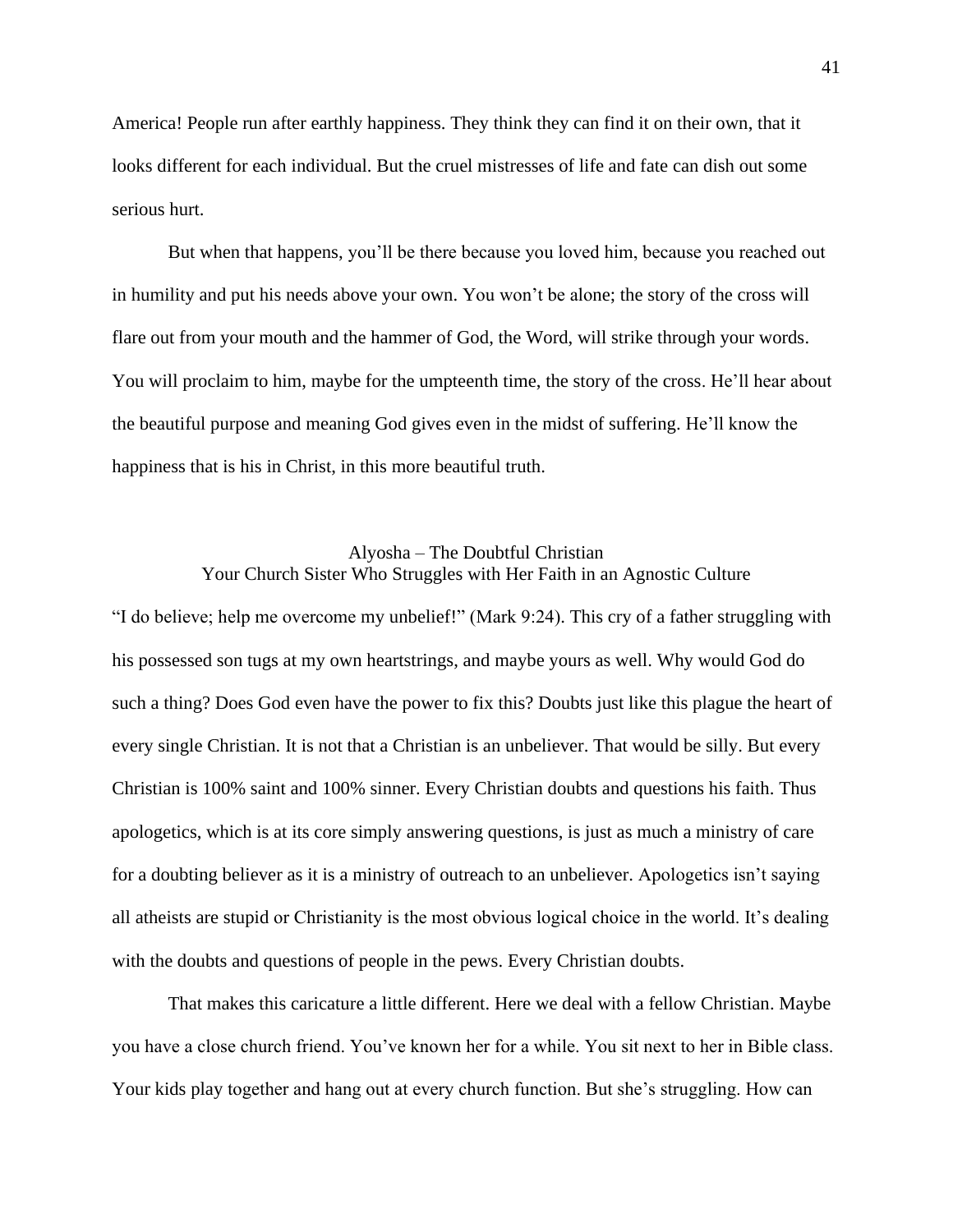America! People run after earthly happiness. They think they can find it on their own, that it looks different for each individual. But the cruel mistresses of life and fate can dish out some serious hurt.

But when that happens, you'll be there because you loved him, because you reached out in humility and put his needs above your own. You won't be alone; the story of the cross will flare out from your mouth and the hammer of God, the Word, will strike through your words. You will proclaim to him, maybe for the umpteenth time, the story of the cross. He'll hear about the beautiful purpose and meaning God gives even in the midst of suffering. He'll know the happiness that is his in Christ, in this more beautiful truth.

## Alyosha – The Doubtful Christian Your Church Sister Who Struggles with Her Faith in an Agnostic Culture

"I do believe; help me overcome my unbelief!" (Mark 9:24). This cry of a father struggling with his possessed son tugs at my own heartstrings, and maybe yours as well. Why would God do such a thing? Does God even have the power to fix this? Doubts just like this plague the heart of every single Christian. It is not that a Christian is an unbeliever. That would be silly. But every Christian is 100% saint and 100% sinner. Every Christian doubts and questions his faith. Thus apologetics, which is at its core simply answering questions, is just as much a ministry of care for a doubting believer as it is a ministry of outreach to an unbeliever. Apologetics isn't saying all atheists are stupid or Christianity is the most obvious logical choice in the world. It's dealing with the doubts and questions of people in the pews. Every Christian doubts.

That makes this caricature a little different. Here we deal with a fellow Christian. Maybe you have a close church friend. You've known her for a while. You sit next to her in Bible class. Your kids play together and hang out at every church function. But she's struggling. How can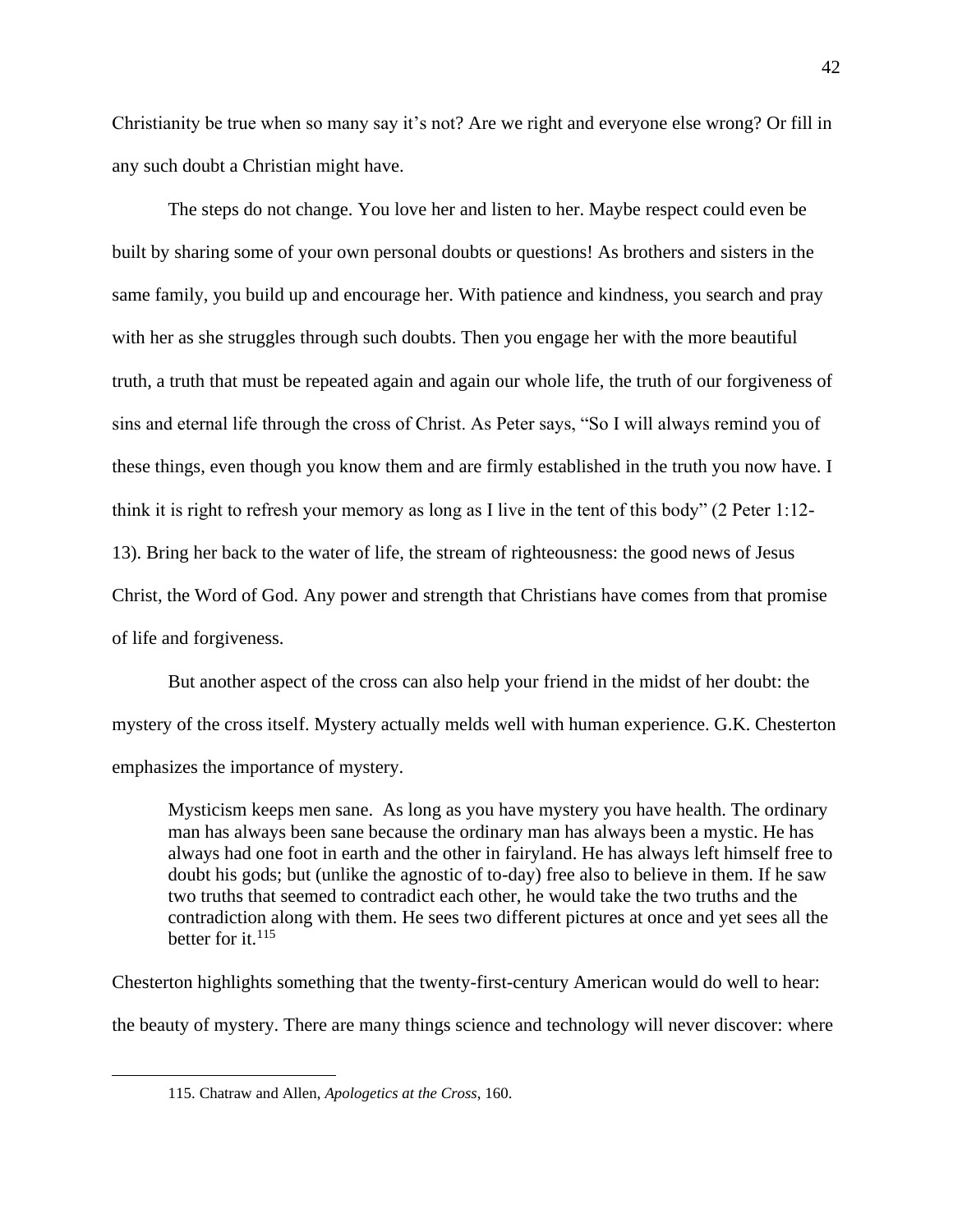Christianity be true when so many say it's not? Are we right and everyone else wrong? Or fill in any such doubt a Christian might have.

The steps do not change. You love her and listen to her. Maybe respect could even be built by sharing some of your own personal doubts or questions! As brothers and sisters in the same family, you build up and encourage her. With patience and kindness, you search and pray with her as she struggles through such doubts. Then you engage her with the more beautiful truth, a truth that must be repeated again and again our whole life, the truth of our forgiveness of sins and eternal life through the cross of Christ. As Peter says, "So I will always remind you of these things, even though you know them and are firmly established in the truth you now have. I think it is right to refresh your memory as long as I live in the tent of this body" (2 Peter 1:12- 13). Bring her back to the water of life, the stream of righteousness: the good news of Jesus Christ, the Word of God. Any power and strength that Christians have comes from that promise of life and forgiveness.

But another aspect of the cross can also help your friend in the midst of her doubt: the mystery of the cross itself. Mystery actually melds well with human experience. G.K. Chesterton emphasizes the importance of mystery.

Mysticism keeps men sane. As long as you have mystery you have health. The ordinary man has always been sane because the ordinary man has always been a mystic. He has always had one foot in earth and the other in fairyland. He has always left himself free to doubt his gods; but (unlike the agnostic of to-day) free also to believe in them. If he saw two truths that seemed to contradict each other, he would take the two truths and the contradiction along with them. He sees two different pictures at once and yet sees all the better for it. $^{115}$ 

Chesterton highlights something that the twenty-first-century American would do well to hear: the beauty of mystery. There are many things science and technology will never discover: where

<sup>115.</sup> Chatraw and Allen, *Apologetics at the Cross*, 160.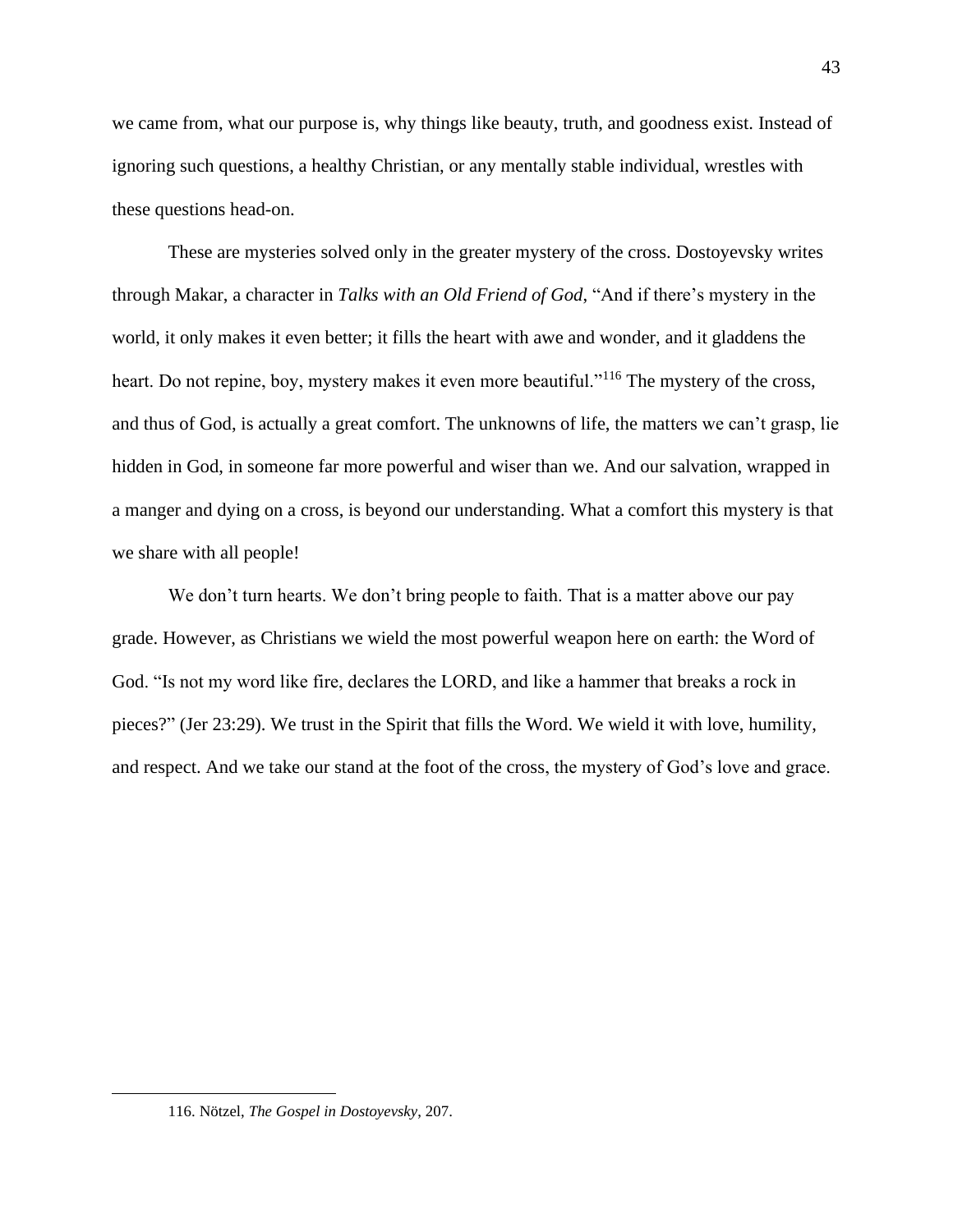we came from, what our purpose is, why things like beauty, truth, and goodness exist. Instead of ignoring such questions, a healthy Christian, or any mentally stable individual, wrestles with these questions head-on.

These are mysteries solved only in the greater mystery of the cross. Dostoyevsky writes through Makar, a character in *Talks with an Old Friend of God*, "And if there's mystery in the world, it only makes it even better; it fills the heart with awe and wonder, and it gladdens the heart. Do not repine, boy, mystery makes it even more beautiful."<sup>116</sup> The mystery of the cross, and thus of God, is actually a great comfort. The unknowns of life, the matters we can't grasp, lie hidden in God, in someone far more powerful and wiser than we. And our salvation, wrapped in a manger and dying on a cross, is beyond our understanding. What a comfort this mystery is that we share with all people!

We don't turn hearts. We don't bring people to faith. That is a matter above our pay grade. However, as Christians we wield the most powerful weapon here on earth: the Word of God. "Is not my word like fire, declares the LORD, and like a hammer that breaks a rock in pieces?" (Jer 23:29). We trust in the Spirit that fills the Word. We wield it with love, humility, and respect. And we take our stand at the foot of the cross, the mystery of God's love and grace.

<sup>116.</sup> Nötzel, *The Gospel in Dostoyevsky*, 207.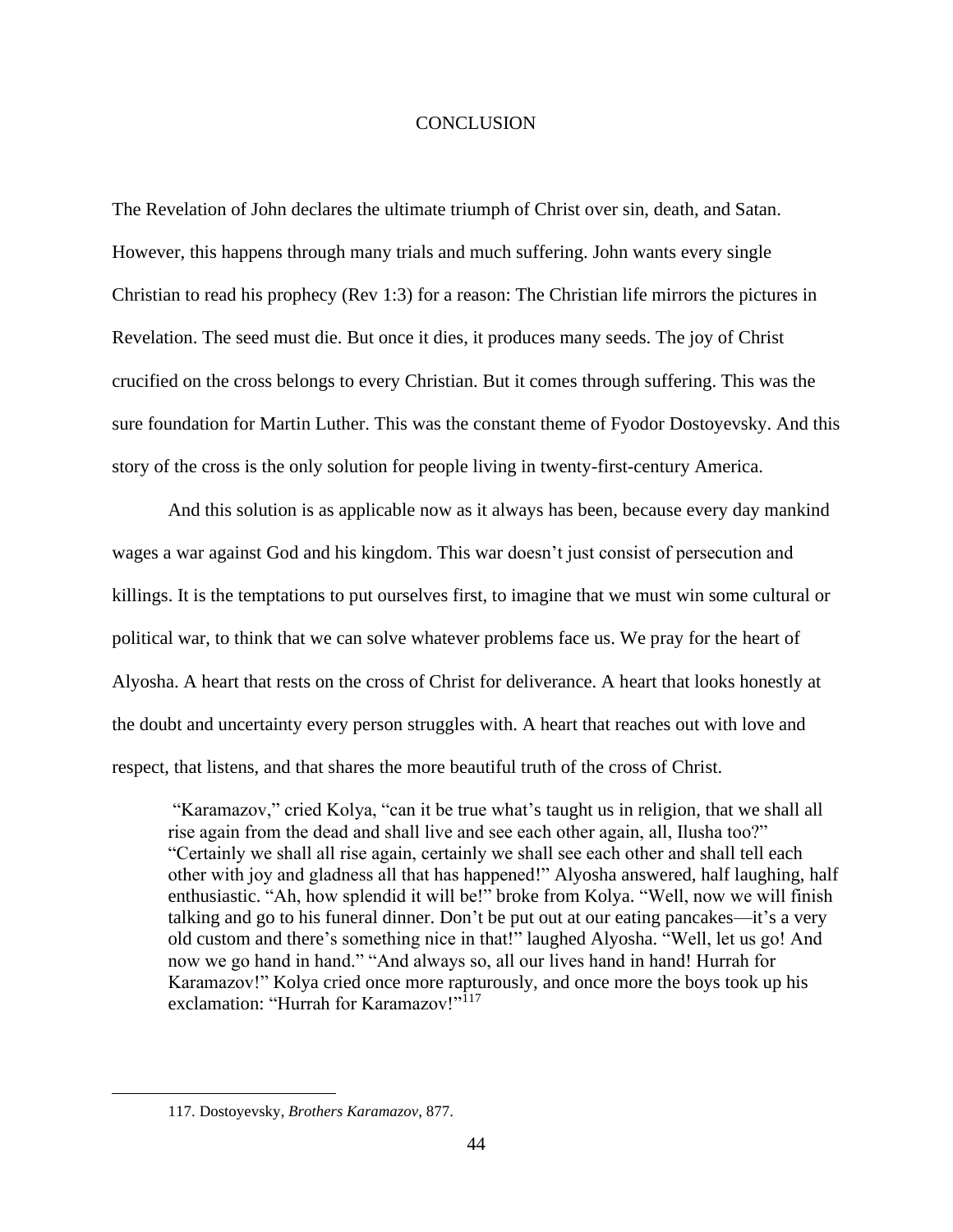#### CONCLUSION

The Revelation of John declares the ultimate triumph of Christ over sin, death, and Satan. However, this happens through many trials and much suffering. John wants every single Christian to read his prophecy (Rev 1:3) for a reason: The Christian life mirrors the pictures in Revelation. The seed must die. But once it dies, it produces many seeds. The joy of Christ crucified on the cross belongs to every Christian. But it comes through suffering. This was the sure foundation for Martin Luther. This was the constant theme of Fyodor Dostoyevsky. And this story of the cross is the only solution for people living in twenty-first-century America.

And this solution is as applicable now as it always has been, because every day mankind wages a war against God and his kingdom. This war doesn't just consist of persecution and killings. It is the temptations to put ourselves first, to imagine that we must win some cultural or political war, to think that we can solve whatever problems face us. We pray for the heart of Alyosha. A heart that rests on the cross of Christ for deliverance. A heart that looks honestly at the doubt and uncertainty every person struggles with. A heart that reaches out with love and respect, that listens, and that shares the more beautiful truth of the cross of Christ.

"Karamazov," cried Kolya, "can it be true what's taught us in religion, that we shall all rise again from the dead and shall live and see each other again, all, Ilusha too?" "Certainly we shall all rise again, certainly we shall see each other and shall tell each other with joy and gladness all that has happened!" Alyosha answered, half laughing, half enthusiastic. "Ah, how splendid it will be!" broke from Kolya. "Well, now we will finish talking and go to his funeral dinner. Don't be put out at our eating pancakes—it's a very old custom and there's something nice in that!" laughed Alyosha. "Well, let us go! And now we go hand in hand." "And always so, all our lives hand in hand! Hurrah for Karamazov!" Kolya cried once more rapturously, and once more the boys took up his exclamation: "Hurrah for Karamazov!"<sup>117</sup>

<sup>117.</sup> Dostoyevsky, *Brothers Karamazov*, 877.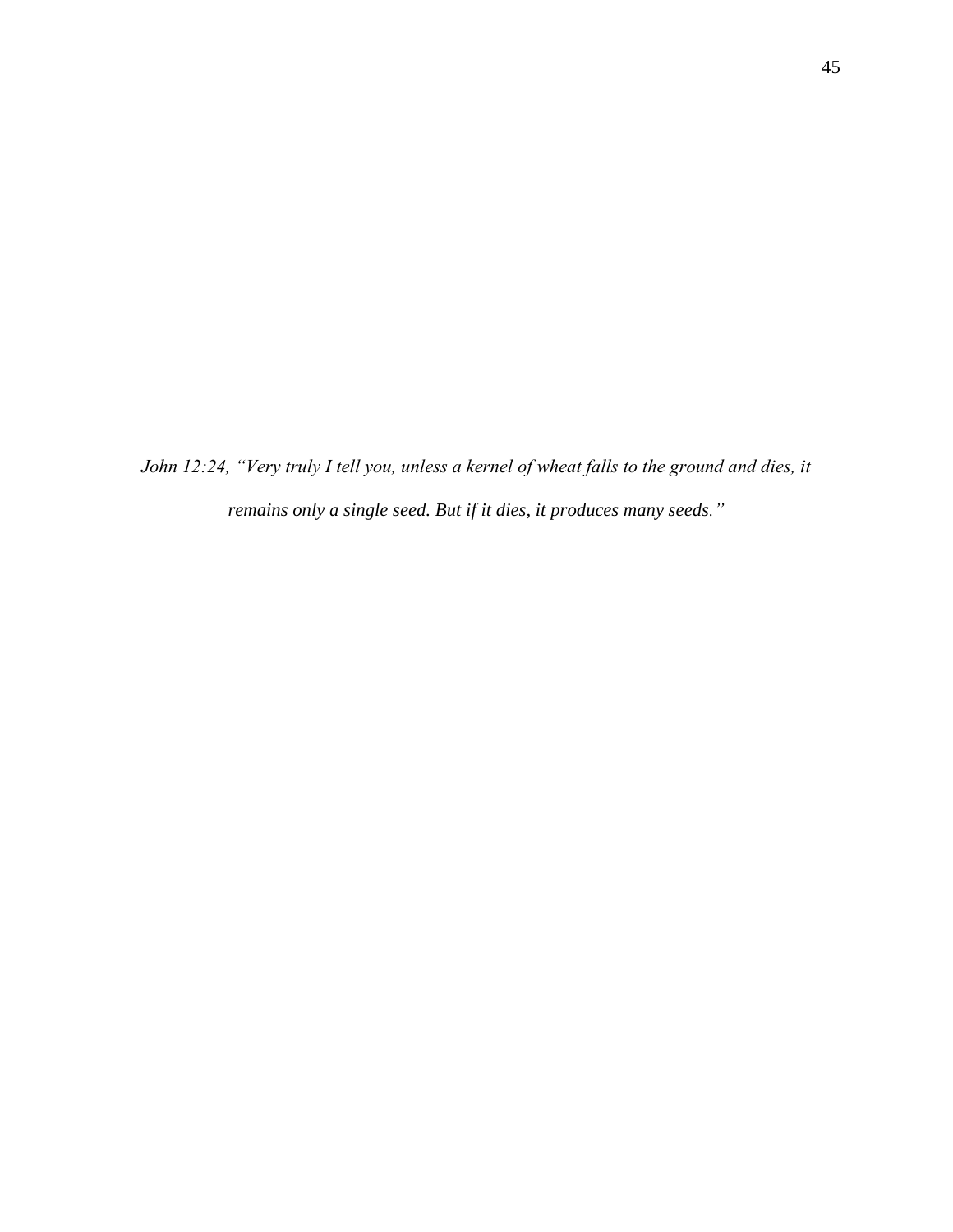*John 12:24, "Very truly I tell you, unless a kernel of wheat falls to the ground and dies, it remains only a single seed. But if it dies, it produces many seeds."*